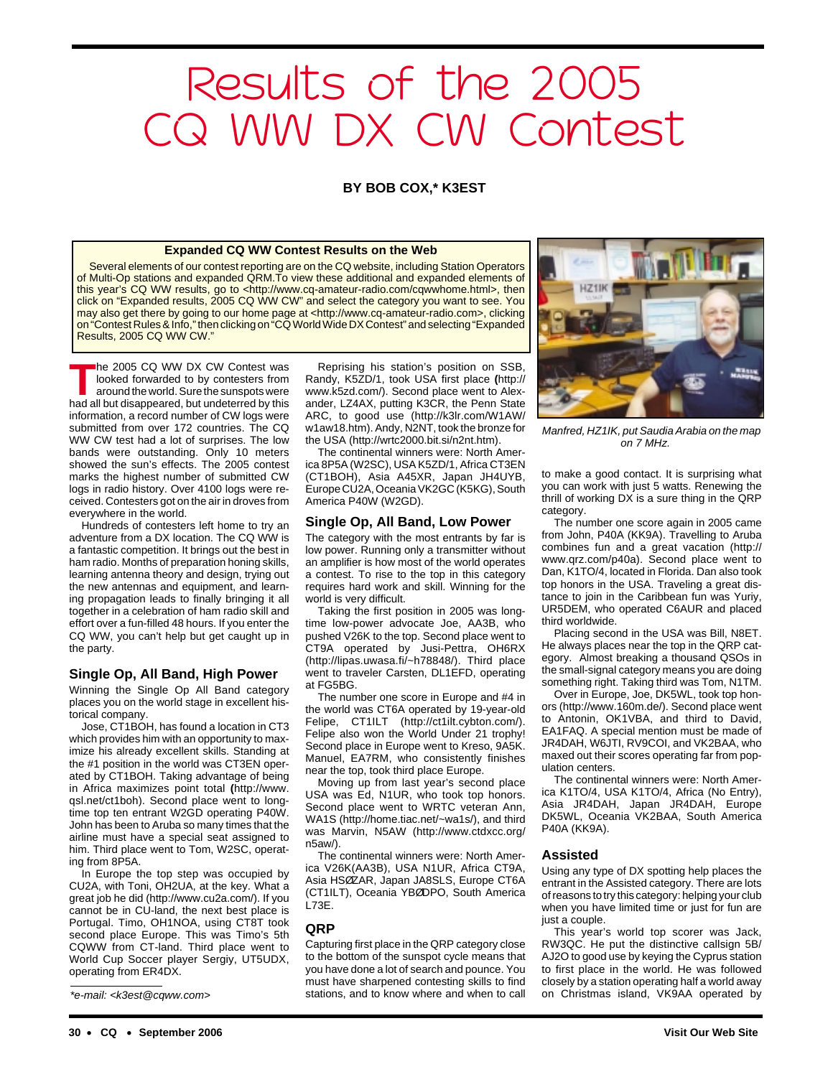# Results of the 2005 CQ WW DX CW Contest

### **BY BOB COX,\* K3EST**

### **Expanded CQ WW Contest Results on the Web**

Several elements of our contest reporting are on the CQ website, including Station Operators of Multi-Op stations and expanded QRM.To view these additional and expanded elements of this year's CQ WW results, go to <http://www.cq-amateur-radio.com/cqwwhome.html>, then click on "Expanded results, 2005 CQ WW CW" and select the category you want to see. You may also get there by going to our home page at <http://www.cq-amateur-radio.com>, clicking on "Contest Rules & Info," then clicking on "CQ World Wide DX Contest" and selecting "Expanded Results, 2005 CQ WW CW."

**T**he 2005 CQ WW DX CW Contest was looked forwarded to by contesters from around the world. Sure the sunspots were had all but disappeared, but undeterred by this information, a record number of CW logs were submitted from over 172 countries. The CQ WW CW test had a lot of surprises. The low bands were outstanding. Only 10 meters showed the sun's effects. The 2005 contest marks the highest number of submitted CW logs in radio history. Over 4100 logs were received. Contesters got on the air in droves from everywhere in the world.

Hundreds of contesters left home to try an adventure from a DX location. The CQ WW is a fantastic competition. It brings out the best in ham radio. Months of preparation honing skills, learning antenna theory and design, trying out the new antennas and equipment, and learning propagation leads to finally bringing it all together in a celebration of ham radio skill and effort over a fun-filled 48 hours. If you enter the CQ WW, you can't help but get caught up in the party.

### **Single Op, All Band, High Power**

Winning the Single Op All Band category places you on the world stage in excellent historical company.

Jose, CT1BOH, has found a location in CT3 which provides him with an opportunity to maximize his already excellent skills. Standing at the #1 position in the world was CT3EN operated by CT1BOH. Taking advantage of being in Africa maximizes point total **(**http://www. qsl.net/ct1boh). Second place went to longtime top ten entrant W2GD operating P40W. John has been to Aruba so many times that the airline must have a special seat assigned to him. Third place went to Tom, W2SC, operating from 8P5A.

In Europe the top step was occupied by CU2A, with Toni, OH2UA, at the key. What a great job he did (http://www.cu2a.com/). If you cannot be in CU-land, the next best place is Portugal. Timo, OH1NOA, using CT8T took second place Europe. This was Timo's 5th CQWW from CT-land. Third place went to World Cup Soccer player Sergiy, UT5UDX, operating from ER4DX.

Reprising his station's position on SSB, Randy, K5ZD/1, took USA first place **(**http:// www.k5zd.com/). Second place went to Alexander, LZ4AX, putting K3CR, the Penn State ARC, to good use (http://k3lr.com/W1AW/ w1aw18.htm). Andy, N2NT, took the bronze for the USA (http://wrtc2000.bit.si/n2nt.htm).

The continental winners were: North America 8P5A (W2SC), USA K5ZD/1, Africa CT3EN (CT1BOH), Asia A45XR, Japan JH4UYB, Europe CU2A, Oceania VK2GC (K5KG), South America P40W (W2GD).

### **Single Op, All Band, Low Power**

The category with the most entrants by far is low power. Running only a transmitter without an amplifier is how most of the world operates a contest. To rise to the top in this category requires hard work and skill. Winning for the world is very difficult.

Taking the first position in 2005 was longtime low-power advocate Joe, AA3B, who pushed V26K to the top. Second place went to CT9A operated by Jusi-Pettra, OH6RX (http://lipas.uwasa.fi/~h78848/). Third place went to traveler Carsten, DL1EFD, operating at FG5BG.

The number one score in Europe and #4 in the world was CT6A operated by 19-year-old Felipe, CT1ILT (http://ct1ilt.cybton.com/). Felipe also won the World Under 21 trophy! Second place in Europe went to Kreso, 9A5K. Manuel, EA7RM, who consistently finishes near the top, took third place Europe.

Moving up from last year's second place USA was Ed, N1UR, who took top honors. Second place went to WRTC veteran Ann, WA1S (http://home.tiac.net/~wa1s/), and third was Marvin, N5AW (http://www.ctdxcc.org/ n5aw/).

The continental winners were: North America V26K(AA3B), USA N1UR, Africa CT9A, Asia HSØZAR, Japan JA8SLS, Europe CT6A (CT1ILT), Oceania YBØDPO, South America L73E.

### **QRP**

Capturing first place in the QRP category close to the bottom of the sunspot cycle means that you have done a lot of search and pounce. You must have sharpened contesting skills to find \*e-mail: <k3est@cqww.com> stations, and to know where and when to call on Christmas island, VK9AA operated by



Manfred, HZ1IK, put Saudia Arabia on the map on 7 MHz.

to make a good contact. It is surprising what you can work with just 5 watts. Renewing the thrill of working DX is a sure thing in the QRP category.

The number one score again in 2005 came from John, P40A (KK9A). Travelling to Aruba combines fun and a great vacation (http:// www.qrz.com/p40a). Second place went to Dan, K1TO/4, located in Florida. Dan also took top honors in the USA. Traveling a great distance to join in the Caribbean fun was Yuriy, UR5DEM, who operated C6AUR and placed third worldwide.

Placing second in the USA was Bill, N8ET. He always places near the top in the QRP category. Almost breaking a thousand QSOs in the small-signal category means you are doing something right. Taking third was Tom, N1TM.

Over in Europe, Joe, DK5WL, took top honors (http://www.160m.de/). Second place went to Antonin, OK1VBA, and third to David, EA1FAQ. A special mention must be made of JR4DAH, W6JTI, RV9COI, and VK2BAA, who maxed out their scores operating far from population centers.

The continental winners were: North America K1TO/4, USA K1TO/4, Africa (No Entry), Asia JR4DAH, Japan JR4DAH, Europe DK5WL, Oceania VK2BAA, South America P40A (KK9A).

### **Assisted**

Using any type of DX spotting help places the entrant in the Assisted category. There are lots of reasons to try this category: helping your club when you have limited time or just for fun are just a couple.

This year's world top scorer was Jack, RW3QC. He put the distinctive callsign 5B/ AJ2O to good use by keying the Cyprus station to first place in the world. He was followed closely by a station operating half a world away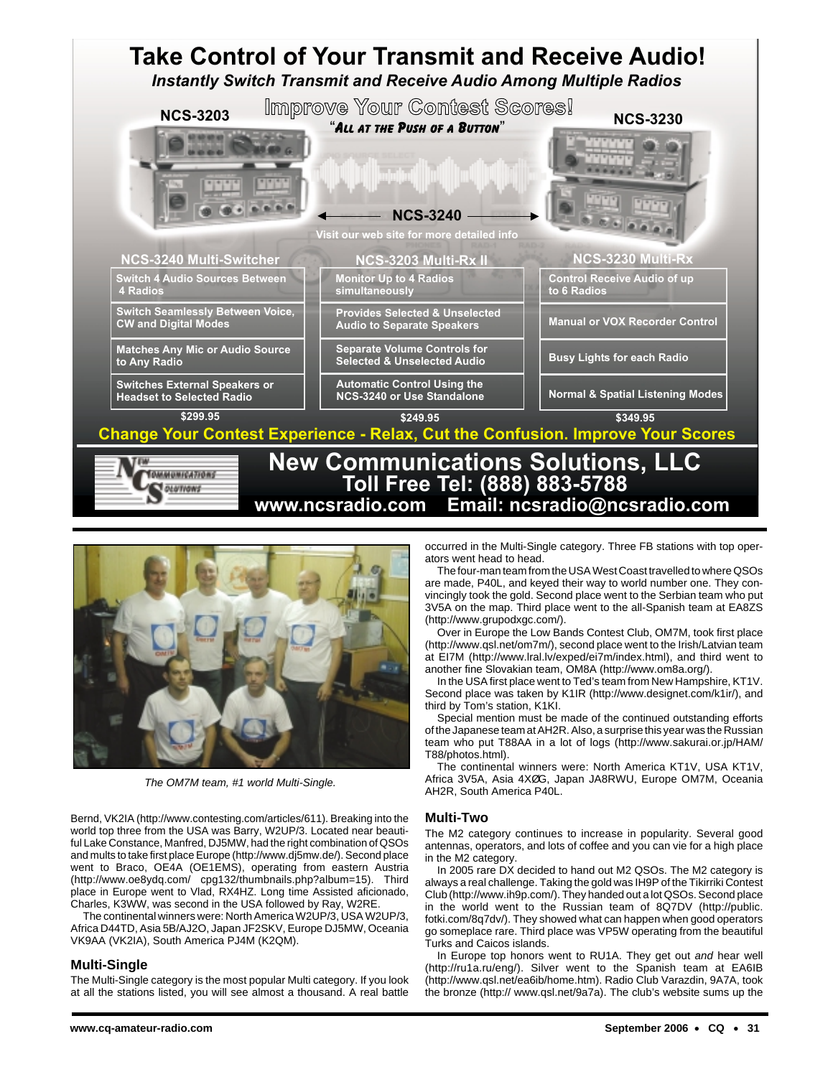



The OM7M team, #1 world Multi-Single.

Bernd, VK2IA (http://www.contesting.com/articles/611). Breaking into the world top three from the USA was Barry, W2UP/3. Located near beautiful Lake Constance, Manfred, DJ5MW, had the right combination of QSOs and mults to take first place Europe (http://www.dj5mw.de/). Second place went to Braco, OE4A (OE1EMS), operating from eastern Austria (http://www.oe8ydq.com/ cpg132/thumbnails.php?album=15). Third place in Europe went to Vlad, RX4HZ. Long time Assisted aficionado, Charles, K3WW, was second in the USA followed by Ray, W2RE.

The continental winners were: North America W2UP/3, USA W2UP/3, Africa D44TD, Asia 5B/AJ2O, Japan JF2SKV, Europe DJ5MW, Oceania VK9AA (VK2IA), South America PJ4M (K2QM).

### **Multi-Single**

The Multi-Single category is the most popular Multi category. If you look at all the stations listed, you will see almost a thousand. A real battle

occurred in the Multi-Single category. Three FB stations with top operators went head to head.

The four-man team from the USA West Coast travelled to where QSOs are made, P40L, and keyed their way to world number one. They convincingly took the gold. Second place went to the Serbian team who put 3V5A on the map. Third place went to the all-Spanish team at EA8ZS (http://www.grupodxgc.com/).

Over in Europe the Low Bands Contest Club, OM7M, took first place (http://www.qsl.net/om7m/), second place went to the Irish/Latvian team at EI7M (http://www.lral.lv/exped/ei7m/index.html), and third went to another fine Slovakian team, OM8A (http://www.om8a.org/).

In the USA first place went to Ted's team from New Hampshire, KT1V. Second place was taken by K1IR (http://www.designet.com/k1ir/), and third by Tom's station, K1KI.

Special mention must be made of the continued outstanding efforts of the Japanese team at AH2R. Also, a surprise this year was the Russian team who put T88AA in a lot of logs (http://www.sakurai.or.jp/HAM/ T88/photos.html).

The continental winners were: North America KT1V, USA KT1V, Africa 3V5A, Asia 4XØG, Japan JA8RWU, Europe OM7M, Oceania AH2R, South America P40L.

### **Multi-Two**

The M2 category continues to increase in popularity. Several good antennas, operators, and lots of coffee and you can vie for a high place in the M2 category.

In 2005 rare DX decided to hand out M2 QSOs. The M2 category is always a real challenge. Taking the gold was IH9P of the Tikirriki Contest Club (http://www.ih9p.com/). They handed out a lot QSOs. Second place in the world went to the Russian team of 8Q7DV (http://public. fotki.com/8q7dv/). They showed what can happen when good operators go someplace rare. Third place was VP5W operating from the beautiful Turks and Caicos islands.

In Europe top honors went to RU1A. They get out and hear well (http://ru1a.ru/eng/). Silver went to the Spanish team at EA6IB (http://www.qsl.net/ea6ib/home.htm). Radio Club Varazdin, 9A7A, took the bronze (http:// www.qsl.net/9a7a). The club's website sums up the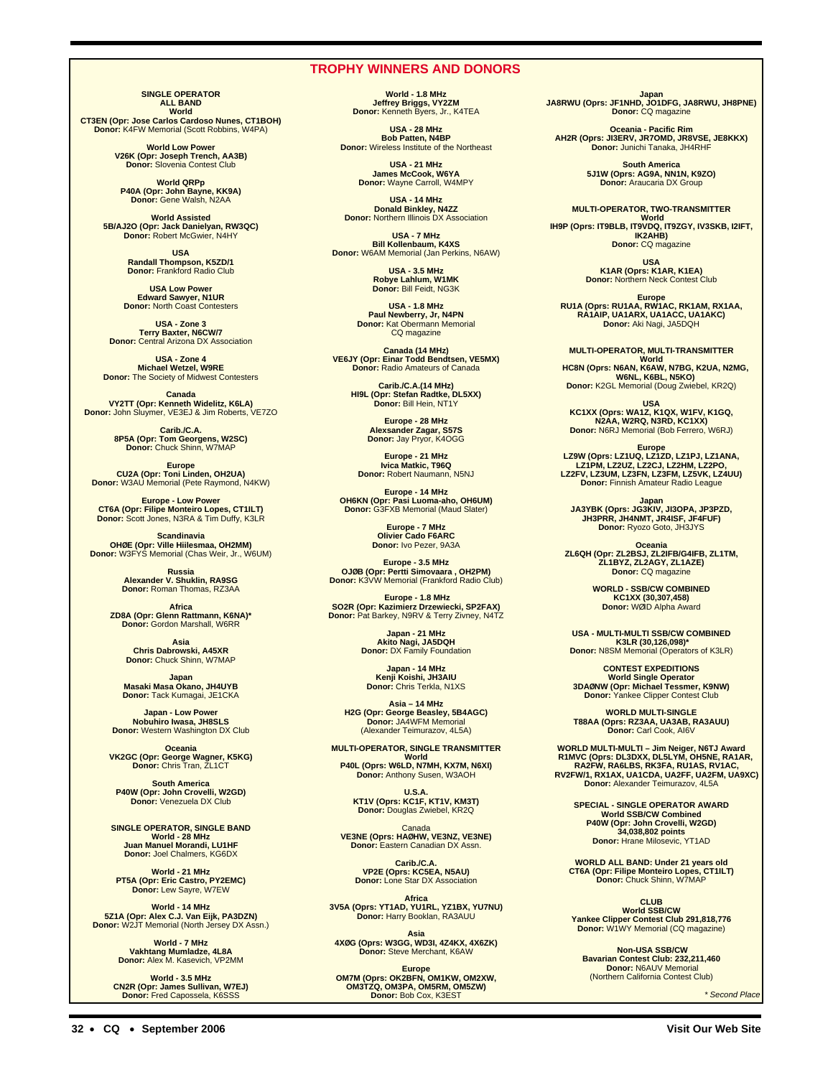### **TROPHY WINNERS AND DONORS**

**SINGLE OPERATOR ALL BAND World**

**CT3EN (Opr: Jose Carlos Cardoso Nunes, CT1BOH) Donor:** K4FW Memorial (Scott Robbins, W4PA)

**World Low Power V26K (Opr: Joseph Trench, AA3B) Donor:** Slovenia Contest Club

**World QRPp P40A (Opr: John Bayne, KK9A) Donor:** Gene Walsh, N2AA

**World Assisted 5B/AJ2O (Opr: Jack Danielyan, RW3QC) Donor:** Robert McGwier, N4HY

> **USA Randall Thompson, K5ZD/1 Donor:** Frankford Radio Club

> **USA Low Power Edward Sawyer, N1UR Donor:** North Coast Contesters

**USA - Zone 3 Terry Baxter, N6CW/7 Donor:** Central Arizona DX Association

**USA - Zone 4 Michael Wetzel, W9RE Donor:** The Society of Midwest Contesters

**Canada VY2TT (Opr: Kenneth Widelitz, K6LA) Donor:** John Sluymer, VE3EJ & Jim Roberts, VE7ZO

> **Carib./C.A. 8P5A (Opr: Tom Georgens, W2SC) Donor:** Chuck Shinn, W7MAP

**Europe<br><b>CU2A (Opr: Toni Linden, OH2UA)**<br>Donor: W3AU Memorial (Pete Raymond, N4KW)

**Europe - Low Power CT6A (Opr: Filipe Monteiro Lopes, CT1ILT) Donor:** Scott Jones, N3RA & Tim Duffy, K3LR

**Scandinavia<br><b>OHØE (Opr: Ville Hiilesmaa, OH2MM)**<br>Donor: W3FYS Memorial (Chas Weir, Jr., W6UM)

**Russia Alexander V. Shuklin, RA9SG Donor:** Roman Thomas, RZ3AA

**Africa ZD8A (Opr: Glenn Rattmann, K6NA)\* Donor:** Gordon Marshall, W6RR

**Asia Chris Dabrowski, A45XR Donor:** Chuck Shinn, W7MAP

**Japan Masaki Masa Okano, JH4UYB Donor:** Tack Kumagai, JE1CKA

**Japan - Low Power Nobuhiro Iwasa, JH8SLS Donor:** Western Washington DX Club

**Oceania VK2GC (Opr: George Wagner, K5KG) Donor:** Chris Tran, ZL1CT

**South America P40W (Opr: John Crovelli, W2GD) Donor:** Venezuela DX Club

**SINGLE OPERATOR, SINGLE BAND World - 28 MHz Juan Manuel Morandi, LU1HF Donor:** Joel Chalmers, KG6DX

**World - 21 MHz PT5A (Opr: Eric Castro, PY2EMC) Donor:** Lew Sayre, W7EW

**World - 14 MHz 5Z1A (Opr: Alex C.J. Van Eijk, PA3DZN) Donor:** W2JT Memorial (North Jersey DX Assn.)

> **World - 7 MHz Vakhtang Mumladze, 4L8A Donor:** Alex M. Kasevich, VP2MM

**World - 3.5 MHz CN2R (Opr: James Sullivan, W7EJ) Donor:** Fred Capossela, K6SSS

**World - 1.8 MHz Jeffrey Briggs, VY2ZM Donor:** Kenneth Byers, Jr., K4TEA

**USA - 28 MHz Bob Patten, N4BP Donor:** Wireless Institute of the Northeast

> **USA - 21 MHz James McCook, W6YA Donor:** Wayne Carroll, W4MPY

**USA - 14 MHz Donald Binkley, N4ZZ Donor:** Northern Illinois DX Association

**USA - 7 MHz Bill Kollenbaum, K4XS Donor:** W6AM Memorial (Jan Perkins, N6AW)

> **USA - 3.5 MHz Robye Lahlum, W1MK Donor:** Bill Feidt, NG3K

**USA - 1.8 MHz Paul Newberry, Jr, N4PN Donor:** Kat Obermann Memorial CQ magazine

**Canada (14 MHz) VE6JY (Opr: Einar Todd Bendtsen, VE5MX) Donor:** Radio Amateurs of Canada

**Carib./C.A.(14 MHz) HI9L (Opr: Stefan Radtke, DL5XX) Donor:** Bill Hein, NT1Y

> **Europe - 28 MHz Alexsander Zagar, S57S Donor:** Jay Pryor, K4OGG

**Europe - 21 MHz Ivica Matkic, T96Q Donor:** Robert Naumann, N5NJ

**Europe - 14 MHz OH6KN (Opr: Pasi Luoma-aho, OH6UM) Donor:** G3FXB Memorial (Maud Slater)

**Europe - 7 MHz Olivier Cado F6ARC Donor:** Ivo Pezer, 9A3A

**Europe - 3.5 MHz OJØB (Opr: Pertti Simovaara , OH2PM) Donor:** K3VW Memorial (Frankford Radio Club)

**Europe - 1.8 MHz SO2R (Opr: Kazimierz Drzewiecki, SP2FAX) Donor:** Pat Barkey, N9RV & Terry Zivney, N4TZ

> **Japan - 21 MHz Akito Nagi, JA5DQH Donor:** DX Family Foundation

**Japan - 14 MHz Kenji Koishi, JH3AIU Donor:** Chris Terkla, N1XS

**Asia – 14 MHz H2G (Opr: George Beasley, 5B4AGC) Donor:** JA4WFM Memorial (Alexander Teimurazov, 4L5A)

**MULTI-OPERATOR, SINGLE TRANSMITTER World P40L (Oprs: W6LD, N7MH, KX7M, N6XI) Donor:** Anthony Susen, W3AOH

**U.S.A.<br>KT1V (Oprs: KC1F, KT1V, KM3T)<br>Donor: Douglas Zwiebel, KR2Q** 

Canada **VE3NE (Oprs: HAØHW, VE3NZ, VE3NE) Donor:** Eastern Canadian DX Assn.

**Carib./C.A. VP2E (Oprs: KC5EA, N5AU) Donor:** Lone Star DX Association

**Africa 3V5A (Oprs: YT1AD, YU1RL, YZ1BX, YU7NU) Donor:** Harry Booklan, RA3AUU

**Asia 4XØG (Oprs: W3GG, WD3I, 4Z4KX, 4X6ZK) Donor:** Steve Merchant, K6AW

**Europe OM7M (Oprs: OK2BFN, OM1KW, OM2XW, OM3TZQ, OM3PA, OM5RM, OM5ZW) Donor:** Bob Cox, K3EST

**Japan JA8RWU (Oprs: JF1NHD, JO1DFG, JA8RWU, JH8PNE) Donor:** CQ magazine

**Oceania - Pacific Rim AH2R (Oprs: JI3ERV, JR7OMD, JR8VSE, JE8KKX) Donor:** Junichi Tanaka, JH4RHF

> **South America 5J1W (Oprs: AG9A, NN1N, K9ZO) Donor:** Araucaria DX Group

**MULTI-OPERATOR, TWO-TRANSMITTER** World<br>TH9P (Oprs: IT9BLB, IT9VDQ, IT9ZGY, IV3SKB, I2IFT,

**IK2AHB) Donor:** CQ magazine

> **USA K1AR (Oprs: K1AR, K1EA) Donor:** Northern Neck Contest Club

**Europe RU1A (Oprs: RU1AA, RW1AC, RK1AM, RX1AA, RA1AIP, UA1ARX, UA1ACC, UA1AKC) Donor:** Aki Nagi, JA5DQH

**MULTI-OPERATOR, MULTI-TRANSMITTER World HC8N (Oprs: N6AN, K6AW, N7BG, K2UA, N2MG, W6NL, K6BL, N5KO) Donor:** K2GL Memorial (Doug Zwiebel, KR2Q)

**USA KC1XX (Oprs: WA1Z, K1QX, W1FV, K1GQ, N2AA, W2RQ, N3RD, KC1XX) Donor:** N6RJ Memorial (Bob Ferrero, W6RJ)

**Europe LZ9W (Oprs: LZ1UQ, LZ1ZD, LZ1PJ, LZ1ANA, LZ1PM, LZ2UZ, LZ2CJ, LZ2HM, LZ2PO, LZ2FV, LZ3UM, LZ3FN, LZ3FM, LZ5VK, LZ4UU) Donor:** Finnish Amateur Radio League

**Japan JA3YBK (Oprs: JG3KIV, JI3OPA, JP3PZD, JH3PRR, JH4NMT, JR4ISF, JF4FUF) Donor:** Ryozo Goto, JH3JYS

**Oceania ZL6QH (Opr: ZL2BSJ, ZL2IFB/G4IFB, ZL1TM, ZL1BYZ, ZL2AGY, ZL1AZE) Donor:** CQ magazine

**WORLD - SSB/CW COMBINED KC1XX (30,307,458) Donor:** WØID Alpha Award

**USA - MULTI-MULTI SSB/CW COMBINED K3LR (30,126,098)\* Donor:** N8SM Memorial (Operators of K3LR)

**CONTEST EXPEDITIONS World Single Operator 3DAØNW (Opr: Michael Tessmer, K9NW) Donor:** Yankee Clipper Contest Club

**WORLD MULTI-SINGLE T88AA (Oprs: RZ3AA, UA3AB, RA3AUU) Donor:** Carl Cook, AI6V

**WORLD MULTI-MULTI – Jim Neiger, N6TJ Award R1MVC (Oprs: DL3DXX, DL5LYM, OH5NE, RA1AR, RA2FW, RA6LBS, RK3FA, RU1AS, RV1AC, RV2FW/1, RX1AX, UA1CDA, UA2FF, UA2FM, UA9XC) Donor:** Alexander Teimurazov, 4L5A

**SPECIAL - SINGLE OPERATOR AWARD World SSB/CW Combined P40W (Opr: John Crovelli, W2GD) 34,038,802 points Donor:** Hrane Milosevic, YT1AD

**WORLD ALL BAND: Under 21 years old CT6A (Opr: Filipe Monteiro Lopes, CT1ILT) Donor:** Chuck Shinn, W7MAP

**CLUB World SSB/CW<br><b>Yankee Clipper Contest Club 291,818,776**<br>Donor: W1WY Memorial (CQ magazine)

**Non-USA SSB/CW Bavarian Contest Club: 232,211,460 Donor:** N6AUV Memorial (Northern California Contest Club)

\* Second Place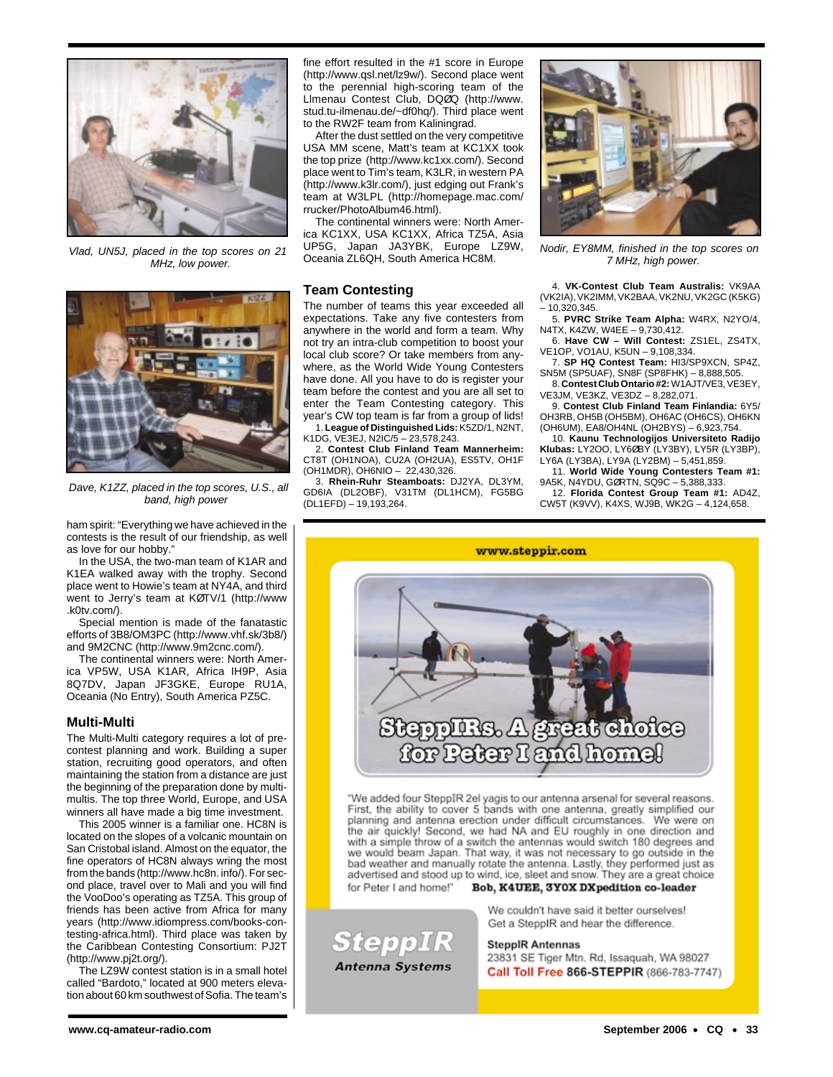

Vlad, UN5J, placed in the top scores on 21 MHz, low power.



Dave, K1ZZ, placed in the top scores, U.S., all band, high power

ham spirit: "Everything we have achieved in the contests is the result of our friendship, as well as love for our hobby."

In the USA, the two-man team of K1AR and K1EA walked away with the trophy. Second place went to Howie's team at NY4A, and third went to Jerry's team at KØTV/1 (http://www .k0tv.com/).

Special mention is made of the fanatastic efforts of 3B8/OM3PC (http://www.vhf.sk/3b8/) and 9M2CNC (http://www.9m2cnc.com/).

The continental winners were: North America VP5W, USA K1AR, Africa IH9P, Asia 8Q7DV, Japan JF3GKE, Europe RU1A, Oceania (No Entry), South America PZ5C.

### **Multi-Multi**

The Multi-Multi category requires a lot of precontest planning and work. Building a super station, recruiting good operators, and often maintaining the station from a distance are just the beginning of the preparation done by multimultis. The top three World, Europe, and USA winners all have made a big time investment.

This 2005 winner is a familiar one. HC8N is located on the slopes of a volcanic mountain on San Cristobal island. Almost on the equator, the fine operators of HC8N always wring the most from the bands (http://www.hc8n. info/). For second place, travel over to Mali and you will find the VooDoo's operating as TZ5A. This group of friends has been active from Africa for many years (http://www.idiompress.com/books-contesting-africa.html). Third place was taken by the Caribbean Contesting Consortium: PJ2T (http://www.pj2t.org/).

The LZ9W contest station is in a small hotel called "Bardoto," located at 900 meters elevation about 60 km southwest of Sofia. The team's fine effort resulted in the #1 score in Europe (http://www.qsl.net/lz9w/). Second place went to the perennial high-scoring team of the Llmenau Contest Club, DQØQ (http://www. stud.tu-ilmenau.de/~df0hq/). Third place went to the RW2F team from Kaliningrad.

After the dust settled on the very competitive USA MM scene, Matt's team at KC1XX took the top prize (http://www.kc1xx.com/). Second place went to Tim's team, K3LR, in western PA (http://www.k3lr.com/), just edging out Frank's team at W3LPL (http://homepage.mac.com/ rrucker/PhotoAlbum46.html).

The continental winners were: North America KC1XX, USA KC1XX, Africa TZ5A, Asia UP5G, Japan JA3YBK, Europe LZ9W, Oceania ZL6QH, South America HC8M.

### **Team Contesting**

The number of teams this year exceeded all expectations. Take any five contesters from anywhere in the world and form a team. Why not try an intra-club competition to boost your local club score? Or take members from anywhere, as the World Wide Young Contesters have done. All you have to do is register your team before the contest and you are all set to enter the Team Contesting category. This year's CW top team is far from a group of lids! 1. **League of Distinguished Lids:** K5ZD/1, N2NT, K1DG, VE3EJ, N2IC/5 – 23,578,243.

2. **Contest Club Finland Team Mannerheim:** CT8T (OH1NOA), CU2A (OH2UA), ES5TV, OH1F (OH1MDR), OH6NIO – 22,430,326.

3. **Rhein-Ruhr Steamboats:** DJ2YA, DL3YM, GD6IA (DL2OBF), V31TM (DL1HCM), FG5BG (DL1EFD) – 19,193,264.

**SteppIR** 

**Antenna Systems** 



Nodir, EY8MM, finished in the top scores on 7 MHz, high power.

4. **VK-Contest Club Team Australis:** VK9AA (VK2IA), VK2IMM, VK2BAA, VK2NU, VK2GC (K5KG) – 10,320,345.

5. **PVRC Strike Team Alpha:** W4RX, N2YO/4, N4TX, K4ZW, W4EE – 9,730,412.

6. **Have CW – Will Contest:** ZS1EL, ZS4TX, VE1OP, VO1AU, K5UN – 9,108,334.

7. **SP HQ Contest Team:** HI3/SP9XCN, SP4Z, SN5M (SP5UAF), SN8F (SP8FHK) – 8,888,505.

8. **Contest Club Ontario #2:**W1AJT/VE3, VE3EY, VE3JM, VE3KZ, VE3DZ – 8,282,071.

9. **Contest Club Finland Team Finlandia:** 6Y5/ OH3RB, OH5B (OH5BM), OH6AC (OH6CS), OH6KN (OH6UM), EA8/OH4NL (OH2BYS) – 6,923,754.

10. **Kaunu Technologijos Universiteto Radijo Klubas:** LY2OO, LY6ØBY (LY3BY), LY5R (LY3BP), LY6A (LY3BA), LY9A (LY2BM) – 5,451,859.

11. **World Wide Young Contesters Team #1:** 9A5K, N4YDU, GØRTN, SQ9C – 5,388,333.

12. **Florida Contest Group Team #1:** AD4Z, CW5T (K9VV), K4XS, WJ9B, WK2G – 4,124,658.



"We added four SteppIR 2el yagis to our antenna arsenal for several reasons.<br>First, the ability to cover 5 bands with one antenna, greatly simplified our planning and antenna erection under difficult circumstances. We were on the air quickly! Second, we had NA and EU roughly in one direction and with a simple throw of a switch the antennas would switch 180 degrees and we would beam Japan. That way, it was not necessary to go outside in the bad weather and manually rotate the antenna. Lastly, they performed just as advertised and stood up to wind, ice, sleet and snow. They are a great choice Bob, K4UEE, 3YOX DXpedition co-leader for Peter I and home!"

> We couldn't have said it better ourselves! Get a SteppIR and hear the difference.

**SteppIR Antennas** 

23831 SE Tiger Mtn. Rd, Issaquah, WA 98027 Call Toll Free 866-STEPPIR (866-783-7747)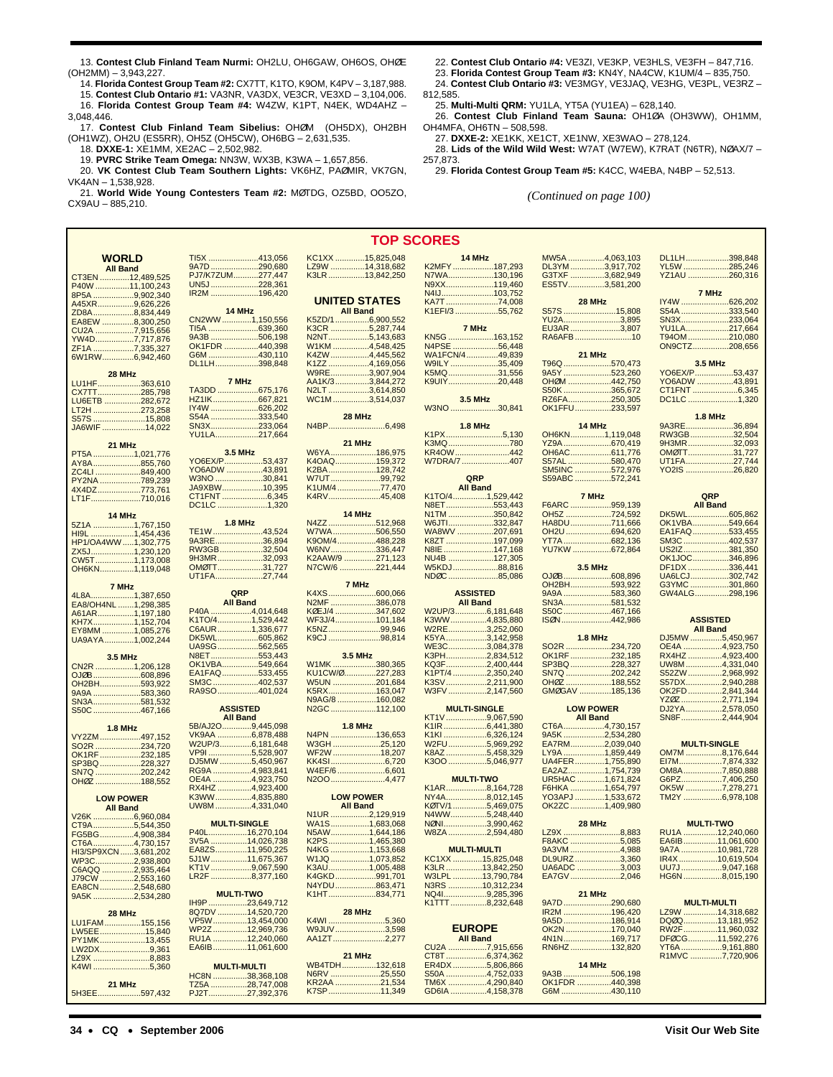13. **Contest Club Finland Team Nurmi:** OH2LU, OH6GAW, OH6OS, OHØE (OH2MM) – 3,943,227.

14. **Florida Contest Group Team #2:** CX7TT, K1TO, K9OM, K4PV – 3,187,988. 15. **Contest Club Ontario #1:** VA3NR, VA3DX, VE3CR, VE3XD – 3,104,006.

16. **Florida Contest Group Team #4:** W4ZW, K1PT, N4EK, WD4AHZ –

3,048,446. 17. **Contest Club Finland Team Sibelius:** OHØM (OH5DX), OH2BH (OH1WZ), OH2U (ES5RR), OH5Z (OH5CW), OH6BG – 2,631,535.

18. **DXXE-1:** XE1MM, XE2AC – 2,502,982.

19. **PVRC Strike Team Omega:** NN3W, WX3B, K3WA – 1,657,856.

20. **VK Contest Club Team Southern Lights:** VK6HZ, PAØMIR, VK7GN, VK4AN – 1,538,928.

21. **World Wide Young Contesters Team #2:** MØTDG, OZ5BD, OO5ZO, CX9AU – 885,210.

- 22. **Contest Club Ontario #4:** VE3ZI, VE3KP, VE3HLS, VE3FH 847,716.
- 23. **Florida Contest Group Team #3:** KN4Y, NA4CW, K1UM/4 835,750.
- 24. **Contest Club Ontario #3:** VE3MGY, VE3JAQ, VE3HG, VE3PL, VE3RZ –
- 812,585.

25. **Multi-Multi QRM:** YU1LA, YT5A (YU1EA) – 628,140.

26. **Contest Club Finland Team Sauna:** OH1ØA (OH3WW), OH1MM, OH4MFA, OH6TN – 508,598.

27. **DXXE-2:** XE1KK, XE1CT, XE1NW, XE3WAO – 278,124. 28. **Lids of the Wild Wild West:** W7AT (W7EW), K7RAT (N6TR), NØAX/7 – 257,873.

29. **Florida Contest Group Team #5:** K4CC, W4EBA, N4BP – 52,513.

*(Continued on page 100)*

| <b>WORLD</b>                                                                          | TI5X 413,056                      | KC1XX 15,825,048           | 14 MHz                            | MW5A 4,063,103                | DL1LH398,848         |
|---------------------------------------------------------------------------------------|-----------------------------------|----------------------------|-----------------------------------|-------------------------------|----------------------|
| <b>All Band</b>                                                                       | 290,680<br>9A7D.                  | LZ9W 14,318,682            | K2MFY187,293                      | DL3YM3,917,702                | YL5W 285,246         |
|                                                                                       | PJ7/K7ZUM277,447                  | K3LR 13,842,250            | N7WA130,196                       | G3TXF 3,682,949               | YZ1AU 260,316        |
| CT3EN 12,489,525                                                                      | UN5J228,361                       |                            | N9XX119,460                       | ES5TV3,581,200                |                      |
| P40W 11,100,243                                                                       |                                   |                            |                                   |                               |                      |
| 8P5A 9,902,340                                                                        | IR2M 196,420                      |                            |                                   |                               | 7 MHz                |
| A45XR9,626,226                                                                        |                                   | <b>UNITED STATES</b>       | KA7T74,008                        | 28 MHz                        | IY4W 626,202         |
| ZD8A8,834,449                                                                         | 14 MHz                            | <b>All Band</b>            | K1EFI/355,762                     | S57S 15,808                   | S54A 333,540         |
| EA8EW 8,300,250                                                                       | CN2WW1,150,556                    | K5ZD/16,900,552            |                                   | YU2A3,895                     | SN3X233,064          |
|                                                                                       | <u>TI5A ……………………639,360</u>       | K3CR 5,287,744             | 7 MHz                             | EU3AR 3,807                   | YU1LA217,664         |
| CU2A 7,915,656                                                                        | 9A3B 506,198                      | N2NT5,143,683              | KN5G 163,152                      | RA6AFB 10                     | T94OM 210,080        |
| YW4D7,717,876                                                                         |                                   |                            |                                   |                               |                      |
| ZF1A 7,335,327                                                                        | OK1FDR 440,398                    | W1KM 4,548,425             | N4PSE 56,448                      |                               | ON9CTZ208,656        |
| 6W1RW6,942,460                                                                        | G6M 430,110                       | K4ZW 4,445,562             | WA1FCN/449,839                    | 21 MHz                        |                      |
|                                                                                       | DL1LH398,848                      | K1ZZ 4,169,056             | W9ILY 35,409                      | T96Q 570,473                  | 3.5 MHz              |
| 28 MHz                                                                                |                                   | W9RE3,907,904              | K5MQ31,556                        | 9A5Y 523,260                  | YO6EX/P53,437        |
| LU1HF363,610                                                                          | 7 MHz                             | AA1K/33,844,272            | K9UIY20,448                       | OHØM 442,750                  | <u>YO6ADW 43,891</u> |
|                                                                                       | TA3DD 675,176                     | N2LT 3,614,850             |                                   | S50K 365,672                  | CT1FNT 6,345         |
| CX7TT285,798                                                                          |                                   | WC1M3,514,037              | 3.5 MHz                           | RZ6FA250,305                  | DC1LC 1,320          |
| LU6ETB 282,672                                                                        | HZ1IK667,821                      |                            |                                   |                               |                      |
| LT2H 273,258                                                                          | <u>IY4W 626,202</u>               |                            | W3NO 30,841                       | OK1FFU233,597                 |                      |
| S57S 15,808                                                                           | S54A 333,540                      | 28 MHz                     |                                   |                               | <b>1.8 MHz</b>       |
| JA6WIF 14,022                                                                         | SN3X233,064                       | N4BP6,498                  | <b>1.8 MHz</b>                    | 14 MHz                        | 9A3RE36,894          |
|                                                                                       | YU1LA217,664                      |                            | K1PX5,130                         | OH6KN1,119,048                | RW3GB32,504          |
| 21 MHz                                                                                |                                   | 21 MHz                     | K3MQ780                           | YZ9A670,419                   | 9H3MR32,093          |
|                                                                                       | 3.5 MHz                           | W6YA186,975                | KR4OW442                          | OH6AC611,776                  | OMØTT31,727          |
| PT5A 1,021,776                                                                        | YO6EX/P53,437                     | K4OAQ159,372               | W7DRA/7 407                       | S57AL 580,470                 | UT1FA27,744          |
| AY8A855,760                                                                           |                                   |                            |                                   |                               |                      |
| ZC4LI 849,400                                                                         | YO6ADW 43,891                     | K2BA128,742                |                                   | SM5INC 572,976                | YO2IS 26,820         |
| PY2NA 789,239                                                                         | W3NO 30,841                       | W7UT99,792                 | QRP                               | S59ABC 572,241                |                      |
| 4X4DZ773,761                                                                          | JA9XBW10,395                      | K1UM/4 77,470              | <b>All Band</b>                   |                               |                      |
| LT1F710,016                                                                           | CT1FNT6,345                       | K4RV45,408                 | K1TO/41,529,442                   | 7 MHz                         | QRP                  |
|                                                                                       | DC1LC1,320                        |                            | N8ET553,443                       | F6ARC 959,139                 | <b>All Band</b>      |
|                                                                                       |                                   | 14 MHz                     | N1TM 350,842                      | OH5Z 724,592                  | DK5WL605,862         |
| 14 MHz                                                                                |                                   |                            |                                   |                               |                      |
| 5Z1A 1,767,150                                                                        | <b>1.8 MHz</b>                    | N4ZZ512,968                | W6JTI332,847                      | HA8DU711,666                  | OK1VBA549,664        |
| HI9L 1,454,436                                                                        | TE1W 43,524                       | W7WA506,550                | WA8WV 207,691                     | OH2U 694,620                  | EA1FAQ533,455        |
| HP1/OA4WW1,302,775                                                                    | 9A3RE36,894                       | K9OM/4488,228              | K8ZT 197,099                      | YT7A682,136                   | SM3C402,537          |
| ZX5J1,230,120                                                                         | RW3GB32,504                       | W6NV336,447                | N8IE 147,168                      | YU7KW 672,864                 | US2IZ381,350         |
| CW5T1,173,008                                                                         | 9H3MR32,093                       | K2AAW/9 271,123            | NU4B 127,305                      |                               | OK1JOC346,896        |
|                                                                                       | OMØTT31,727                       | N7CW/6 221,444             | W5KDJ88,816                       | 3.5 MHz                       | DF1DX 336,441        |
| OH6KN1,119,048                                                                        | UT1FA27,744                       |                            | NDØC 85,086                       | OJØB608,896                   | UA6LCJ302,742        |
|                                                                                       |                                   |                            |                                   |                               | G3YMC301,860         |
| 7 MHz                                                                                 |                                   | 7 MHz                      |                                   | OH2BH593,922                  |                      |
| 4L8A1,387,650                                                                         | QRP                               | K4XS600,066                | <b>ASSISTED</b>                   | 9A9A 583,360                  | GW4ALG298,196        |
| EA8/OH4NL 1,298,385                                                                   | <b>All Band</b>                   | N2MF 386,078               | <b>All Band</b>                   | SN3A581,532                   |                      |
| A61AR1,197,180                                                                        | P40A 4,014,648                    | KØEJ/4 347,602             | W2UP/36,181,648                   | S50C 467,166                  |                      |
| KH7X1,152,704                                                                         | K1TO/41,529,442                   | WF3J/4101,184              | K3WW4,835,880                     | ISØN442,986                   | <b>ASSISTED</b>      |
|                                                                                       | C6AUR1,336,677                    | K5NZ99,946                 | W2RE3,252,060                     |                               | <b>All Band</b>      |
| EY8MM 1,085,276                                                                       |                                   |                            |                                   |                               |                      |
| UA9AYA1,002,244                                                                       | DK5WL605,862                      | K9CJ 98,814                | K5YA3,142,958                     | <b>1.8 MHz</b>                | DJ5MW5,450,967       |
|                                                                                       | UA9SG562,565                      |                            | WE3C3,084,378                     | SO2R 234,720                  | OE4A 4,923,750       |
| 3.5 MHz                                                                               | N8ET553,443                       | 3.5 MHz                    | K3PH2,834,512                     | OK1RF 232,185                 | RX4HZ 4,923,400      |
| CN2R 1,206,128                                                                        | OK1VBA549,664                     | W1MK 380,365               | KQ3F2,400,444                     | SP3BQ228,327                  | UW8M 4,331,040       |
| OJØB608,896                                                                           | EA1FAQ533,455                     | KU1CW/0227,283             | K1PT/4 2,350,240                  | SN7Q 202,242                  | S52ZW 2,968,992      |
|                                                                                       | SM3C 402,537                      | W5UN 201,684               | K3SV2,211,900                     | OH0Z 188,552                  | S57DX2,940,288       |
| OH2BH593,922                                                                          | RA9SO401,024                      | K5RX163,047                | W3FV 2,147,560                    | GMØGAV 185,136                | OK2FD2,841,344       |
| 9A9A 583,360                                                                          |                                   |                            |                                   |                               |                      |
| SN3A581,532                                                                           |                                   | N9AG/8 160,082             |                                   |                               | YZ0Z 2,771,194       |
| S50C 467,166                                                                          | <b>ASSISTED</b>                   | N2GC 112,100               | <b>MULTI-SINGLE</b>               | <b>LOW POWER</b>              | DJ2YA2,578,050       |
|                                                                                       | <b>All Band</b>                   |                            | KT1V9,067,590                     | <b>All Band</b>               | SN8F2,444,904        |
| <b>1.8 MHz</b>                                                                        | 5B/AJ2O9,445,098                  | <b>1.8 MHz</b>             | K1IR 6,441,380                    | CT6A4,730,157                 |                      |
| VY2ZM 497,152                                                                         | VK9AA 6,878,488                   | N4PN 136,653               |                                   | 9A5K 2,534,280                |                      |
|                                                                                       | W2UP/36,181,648                   | W3GH 25,120                | W2FU5,969,292                     | EA7RM2,039,040                | <b>MULTI-SINGLE</b>  |
| SO2R 234,720                                                                          |                                   |                            |                                   |                               |                      |
| OK1RF232,185                                                                          | VP9I 5,528,907                    | WF2W 18,207                | K8AZ5,458,329                     | LY9A 1,859,449                | OM7M 8,176,644       |
| SP3BQ 228,327                                                                         | DJ5MW 5,450,967                   | KK4SI6,720                 | K3OO 5,046,977                    | UA4FER1,755,890               | EI7M7,874,332        |
| SN7Q 202,242                                                                          | RG9A 4,983,841                    | W4EF/6 6,601               |                                   | EA2AZ1,754,739                | OM8A7,850,888        |
| OH0Z 188,552                                                                          | OE4A 4,923,750                    | N2OO 4,477                 | <b>MULTI-TWO</b>                  | UR5HAC 1,671,824              | G6PZ7,406,250        |
|                                                                                       | RX4HZ 4,923,400                   |                            | K1AR8,164,728                     | F6HKA 1,654,797               | OK5W 7,278,271       |
|                                                                                       | K3WW4,835,880                     | <b>LOW POWER</b>           | NY4A8,012,145                     | YO3APJ 1,533,672              | TM2Y 6,978,108       |
| <b>LOW POWER</b>                                                                      |                                   | <b>All Band</b>            |                                   |                               |                      |
| <b>All Band</b>                                                                       | UW8M4,331,040                     |                            | KØTV/15,469,075                   | OK2ZC 1,409,980               |                      |
| V26K 6,960,084                                                                        |                                   | N1UR 2,129,919             | N4WW5,248,440                     |                               |                      |
| CT9A5,544,350                                                                         | <b>MULTI-SINGLE</b>               | WA1S1,683,068              | NØN13,990,462                     | 28 MHz                        | <b>MULTI-TWO</b>     |
| FG5BG4,908,384                                                                        | P40L16,270,104                    | N5AW1,644,186              | W8ZA 2,594,480                    | LZ9X 8,883                    | RU1A 12,240,060      |
|                                                                                       | 3V5A 14,026,738                   | K2PS1,465,380              |                                   | F8AKC 5,085                   | EA6IB11,061,600      |
| CT6A4,730,157                                                                         |                                   |                            |                                   | 9A3VM 4,988                   |                      |
| HI3/SP9XCN3.681.202                                                                   | EA8ZS11,950,225                   | N4KG 1,153,668             | <b>MULTI-MULTI</b>                |                               | 9A7A 10,981,728      |
| WP3C2,938,800                                                                         | 5J1W11,675,367                    | W1JQ 1,073,852             | KC1XX 15,825,048                  | DL9URZ 3,360                  | IR4X 10,619,504      |
| C6AQQ 2,935,464                                                                       | KT1V9,067,590                     | K3AU1,005,488              | K3LR 13,842,250                   | UA6ADC 3,003                  | UU7J9,047,168        |
| J79CW 2,553,160                                                                       | LR2F 8,377,160                    | K4GKD991,701               | W3LPL 13,790,784                  | EA7GV 2,046                   | HG6N8,015,190        |
| EA8CN2,548,680                                                                        |                                   | N4YDU863,471               | N3RS 10,312,234                   |                               |                      |
| 9A5K 2,534,280                                                                        | <b>MULTI-TWO</b>                  | K1HT834,771                | NQ419,285,396                     | 21 MHz                        |                      |
|                                                                                       | IH9P 23,649,712                   |                            |                                   |                               |                      |
|                                                                                       |                                   |                            | K1TTT 8,232,648                   | 9A7D 290,680                  | <b>MULTI-MULTI</b>   |
|                                                                                       | 8Q7DV 14,520,720                  | 28 MHz                     |                                   | IR2M 196,420                  | LZ9W 14,318,682      |
| 28 MHz                                                                                |                                   | K4WI 5,360                 |                                   | 9A5D186,914                   | DQ0Q13,181,952       |
|                                                                                       | VP5W13,454,000                    |                            | <b>EUROPE</b>                     | OK2N 170,040                  | RW2F11,960,032       |
|                                                                                       |                                   |                            |                                   |                               |                      |
|                                                                                       | WP2Z 12,969,736                   | W9JUV3,598                 |                                   |                               |                      |
|                                                                                       | RU1A 12,240,060                   | AA1ZT2,277                 | <b>All Band</b>                   | 4N1N169,717                   | DFØCG11,592,276      |
|                                                                                       | EA6IB11,061,600                   |                            | CU2A 7,915,656                    | RN6HZ 132,820                 | YT6A 9,161,880       |
|                                                                                       |                                   | 21 MHz                     | CT8T6,374,362                     |                               |                      |
|                                                                                       | <b>MULTI-MULTI</b>                | WB4TDH132,618              | ER4DX5,806,866                    | 14 MHz                        | R1MVC 7,720,906      |
|                                                                                       |                                   |                            | S50A 4,752,033                    |                               |                      |
| LU1FAM155,156<br>LW5EE15,840<br>PY1MK13,455<br>LW2DX9,361<br>LZ9X 8,883<br>K4WI 5,360 | HC8N 38,368,108                   | N6RV 25,550                |                                   | 9A3B 506,198                  |                      |
| 21 MHz<br>5H3EE597,432                                                                | TZ5A 28,747,008<br>PJ2T27,392,376 | KR2AA 21,534<br>K7SP11,349 | TM6X 4,290,840<br>GD6IA 4,158,378 | OK1FDR 440,398<br>G6M 430,110 |                      |

**TOP SCORES**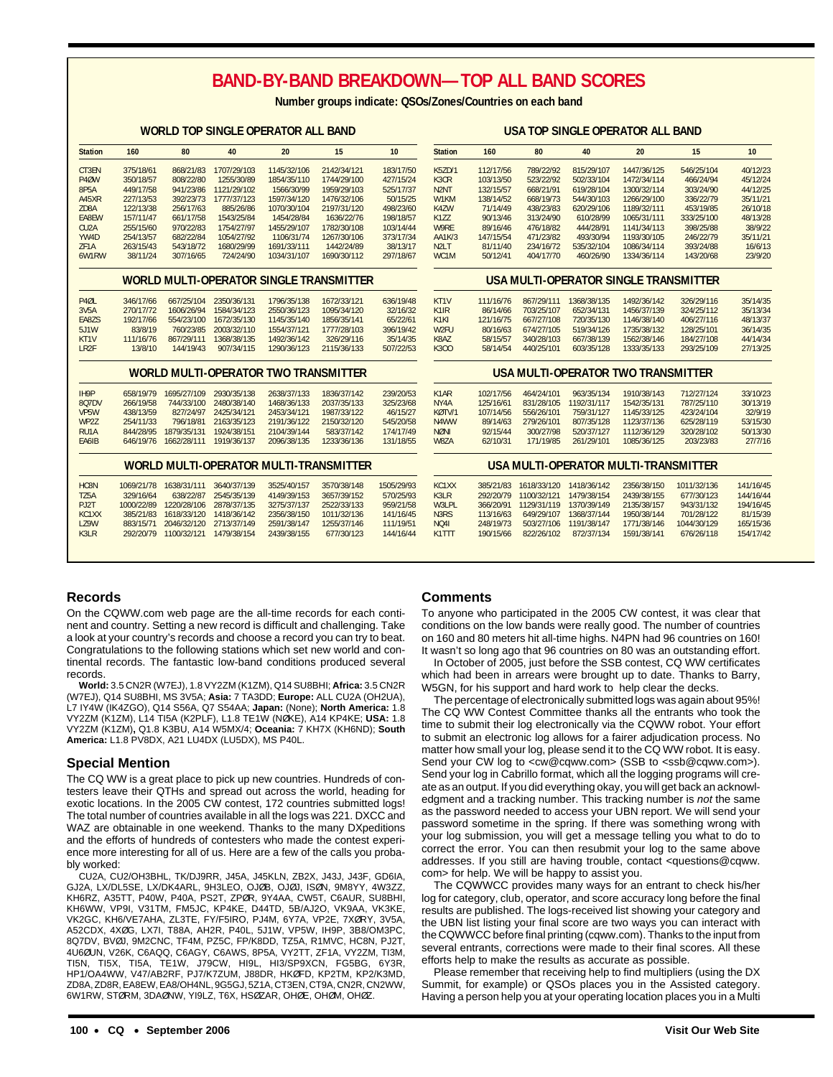## **BAND-BY-BAND BREAKDOWN—TOP ALL BAND SCORES**

**Number groups indicate: QSOs/Zones/Countries on each band**

### **WORLD TOP SINGLE OPERATOR ALL BAND**

### **USA TOP SINGLE OPERATOR ALL BAND**

| <b>Station</b>    | 160        | 80                                | 40          | 20                                          | 15                                            | 10         | <b>Station</b>                | 160       | 80          | 40          | 20                                    | 15          | 10        |
|-------------------|------------|-----------------------------------|-------------|---------------------------------------------|-----------------------------------------------|------------|-------------------------------|-----------|-------------|-------------|---------------------------------------|-------------|-----------|
| CT3EN             | 375/18/61  | 868/21/83                         | 1707/29/103 | 1145/32/106                                 | 2142/34/121                                   | 183/17/50  | <b>K5ZD/1</b>                 | 112/17/56 | 789/22/92   | 815/29/107  | 1447/36/125                           | 546/25/104  | 40/12/23  |
| P <sub>4</sub> ØW | 350/18/57  | 808/22/80                         | 1255/30/89  | 1854/35/110                                 | 1744/29/100                                   | 427/15/24  | K <sub>3</sub> C <sub>R</sub> | 103/13/50 | 523/22/92   | 502/33/104  | 1472/34/114                           | 466/24/94   | 45/12/24  |
| 8P5A              | 449/17/58  | 941/23/86                         | 1121/29/102 | 1566/30/99                                  | 1959/29/103                                   | 525/17/37  | N <sub>2</sub> N <sub>T</sub> | 132/15/57 | 668/21/91   | 619/28/104  | 1300/32/114                           | 303/24/90   | 44/12/25  |
| A45XR             | 227/13/53  | 392/23/73                         | 1777/37/123 | 1597/34/120                                 | 1476/32/106                                   | 50/15/25   | W1KM                          | 138/14/52 | 668/19/73   | 544/30/103  | 1266/29/100                           | 336/22/79   | 35/11/21  |
| ZD8A              | 122/13/38  | 256/17/63                         | 885/26/86   | 1070/30/104                                 | 2197/31/120                                   | 498/23/60  | K4ZW                          | 71/14/49  | 438/23/83   | 620/29/106  | 1189/32/111                           | 453/19/85   | 26/10/18  |
| EA8EW             | 157/11/47  | 661/17/58                         | 1543/25/84  | 1454/28/84                                  | 1636/22/76                                    | 198/18/57  | K <sub>1</sub> ZZ             | 90/13/46  | 313/24/90   | 610/28/99   | 1065/31/111                           | 333/25/100  | 48/13/28  |
| CU <sub>2</sub> A | 255/15/60  | 970/22/83                         | 1754/27/97  | 1455/29/107                                 | 1782/30/108                                   | 103/14/44  | W9RE                          | 89/16/46  | 476/18/82   | 444/28/91   | 1141/34/113                           | 398/25/88   | 38/9/22   |
| YW4D              | 254/13/57  | 682/22/84                         | 1054/27/92  | 1106/31/74                                  | 1267/30/106                                   | 373/17/34  | AA1K/3                        | 147/15/54 | 471/23/82   | 493/30/94   | 1193/30/105                           | 246/22/79   | 35/11/21  |
| ZF1A              | 263/15/43  | 543/18/72                         | 1680/29/99  | 1691/33/111                                 | 1442/24/89                                    | 38/13/17   | N <sub>2L</sub> T             | 81/11/40  | 234/16/72   | 535/32/104  | 1086/34/114                           | 393/24/88   | 16/6/13   |
| 6W1RW             | 38/11/24   | 307/16/65                         | 724/24/90   | 1034/31/107                                 | 1690/30/112                                   | 297/18/67  | WC <sub>1</sub> M             | 50/12/41  | 404/17/70   | 460/26/90   | 1334/36/114                           | 143/20/68   | 23/9/20   |
|                   |            |                                   |             |                                             | WORLD MULTI-OPERATOR SINGLE TRANSMITTER       |            |                               |           |             |             | USA MULTI-OPERATOR SINGLE TRANSMITTER |             |           |
| P4ØL              | 346/17/66  | 667/25/104                        | 2350/36/131 | 1796/35/138                                 | 1672/33/121                                   | 636/19/48  | KT <sub>1</sub> V             | 111/16/76 | 867/29/111  | 1368/38/135 | 1492/36/142                           | 326/29/116  | 35/14/35  |
| 3V5A              | 270/17/72  | 1606/26/94                        | 1584/34/123 | 2550/36/123                                 | 1095/34/120                                   | 32/16/32   | K1IR                          | 86/14/66  | 703/25/107  | 652/34/131  | 1456/37/139                           | 324/25/112  | 35/13/34  |
| EA8ZS             | 192/17/66  | 554/23/100                        | 1672/35/130 | 1145/35/140                                 | 1856/35/141                                   | 65/22/61   | K <sub>1</sub> KI             | 121/16/75 | 667/27/108  | 720/35/130  | 1146/38/140                           | 406/27/116  | 48/13/37  |
| 5J1W              | 83/8/19    | 760/23/85                         | 2003/32/110 | 1554/37/121                                 | 1777/28/103                                   | 396/19/42  | W <sub>2FU</sub>              | 80/16/63  | 674/27/105  | 519/34/126  | 1735/38/132                           | 128/25/101  | 36/14/35  |
| KT1V              | 111/16/76  | 867/29/111                        | 1368/38/135 | 1492/36/142                                 | 326/29/116                                    | 35/14/35   | K8AZ                          | 58/15/57  | 340/28/103  | 667/38/139  | 1562/38/146                           | 184/27/108  | 44/14/34  |
| LR <sub>2F</sub>  | 13/8/10    | 144/19/43                         | 907/34/115  | 1290/36/123                                 | 2115/36/133                                   | 507/22/53  | K300                          | 58/14/54  | 440/25/101  | 603/35/128  | 1333/35/133                           | 293/25/109  | 27/13/25  |
|                   |            |                                   |             | <b>WORLD MULTI-OPERATOR TWO TRANSMITTER</b> |                                               |            |                               |           |             |             | USA MULTI-OPERATOR TWO TRANSMITTER    |             |           |
| IH9P              | 658/19/79  | 1695/27/109                       | 2930/35/138 | 2638/37/133                                 | 1836/37/142                                   | 239/20/53  | K <sub>1</sub> AR             | 102/17/56 | 464/24/101  | 963/35/134  | 1910/38/143                           | 712/27/124  | 33/10/23  |
| 807DV             | 266/19/58  | 744/33/100                        | 2480/38/140 | 1468/36/133                                 | 2037/35/133                                   | 325/23/68  | NY4A                          | 125/16/61 | 831/28/105  | 1192/31/117 | 1542/35/131                           | 787/25/110  | 30/13/19  |
| VP <sub>5</sub> W | 438/13/59  | 827/24/97                         | 2425/34/121 | 2453/34/121                                 | 1987/33/122                                   | 46/15/27   | KØTV/1                        | 107/14/56 | 556/26/101  | 759/31/127  | 1145/33/125                           | 423/24/104  | 32/9/19   |
| WP2Z              | 254/11/33  | 796/18/81                         | 2163/35/123 | 2191/36/122                                 | 2150/32/120                                   | 545/20/58  | N <sub>4</sub> WW             | 89/14/63  | 279/26/101  | 807/35/128  | 1123/37/136                           | 625/28/119  | 53/15/30  |
| RU1A              | 844/28/95  | 1879/35/131                       | 1924/38/151 | 2104/39/144                                 | 583/37/142                                    | 174/17/49  | <b>NØNI</b>                   | 92/15/44  | 300/27/98   | 520/37/127  | 1112/36/129                           | 320/28/102  | 50/13/30  |
| EA6IB             |            | 646/19/76 1662/28/111 1919/36/137 |             | 2096/38/135                                 | 1233/36/136                                   | 131/18/55  | W8ZA                          | 62/10/31  | 171/19/85   | 261/29/101  | 1085/36/125                           | 203/23/83   | 27/7/16   |
|                   |            |                                   |             |                                             | <b>WORLD MULTI-OPERATOR MULTI-TRANSMITTER</b> |            |                               |           |             |             | USA MULTI-OPERATOR MULTI-TRANSMITTER  |             |           |
| HC8N              | 1069/21/78 | 1638/31/111                       | 3640/37/139 | 3525/40/157                                 | 3570/38/148                                   | 1505/29/93 | KC1XX                         | 385/21/83 | 1618/33/120 | 1418/36/142 | 2356/38/150                           | 1011/32/136 | 141/16/45 |
| TZ5A              | 329/16/64  | 638/22/87                         | 2545/35/139 | 4149/39/153                                 | 3657/39/152                                   | 570/25/93  | K3LR                          | 292/20/79 | 1100/32/121 | 1479/38/154 | 2439/38/155                           | 677/30/123  | 144/16/44 |
| PJ2T              | 1000/22/89 | 1220/28/106                       | 2878/37/135 | 3275/37/137                                 | 2522/33/133                                   | 959/21/58  | W3LPL                         | 366/20/91 | 1129/31/119 | 1370/39/149 | 2135/38/157                           | 943/31/132  | 194/16/45 |
| KC1XX             | 385/21/83  | 1618/33/120                       | 1418/36/142 | 2356/38/150                                 | 1011/32/136                                   | 141/16/45  | N <sub>3</sub> R <sub>S</sub> | 113/16/63 | 649/29/107  | 1368/37/144 | 1950/38/144                           | 701/28/122  | 81/15/39  |
| LZ9W              | 883/15/71  | 2046/32/120                       | 2713/37/149 | 2591/38/147                                 | 1255/37/146                                   | 111/19/51  | <b>NQ41</b>                   | 248/19/73 | 503/27/106  | 1191/38/147 | 1771/38/146                           | 1044/30/129 | 165/15/36 |
| K3LR              | 292/20/79  | 1100/32/121                       | 1479/38/154 | 2439/38/155                                 | 677/30/123                                    | 144/16/44  | K1TTT                         | 190/15/66 | 822/26/102  | 872/37/134  | 1591/38/141                           | 676/26/118  | 154/17/42 |
|                   |            |                                   |             |                                             |                                               |            |                               |           |             |             |                                       |             |           |

### **Records**

On the CQWW.com web page are the all-time records for each continent and country. Setting a new record is difficult and challenging. Take a look at your country's records and choose a record you can try to beat. Congratulations to the following stations which set new world and continental records. The fantastic low-band conditions produced several records.

**World:** 3.5 CN2R (W7EJ), 1.8 VY2ZM (K1ZM), Q14 SU8BHI; **Africa:** 3.5 CN2R (W7EJ), Q14 SU8BHI, MS 3V5A; **Asia:** 7 TA3DD; **Europe:** ALL CU2A (OH2UA), L7 IY4W (IK4ZGO), Q14 S56A, Q7 S54AA; **Japan:** (None); **North America:** 1.8 VY2ZM (K1ZM), L14 TI5A (K2PLF), L1.8 TE1W (NØKE), A14 KP4KE; **USA:** 1.8 VY2ZM (K1ZM)**,** Q1.8 K3BU, A14 W5MX/4; **Oceania:** 7 KH7X (KH6ND); **South America:** L1.8 PV8DX, A21 LU4DX (LU5DX), MS P40L.

### **Special Mention**

The CQ WW is a great place to pick up new countries. Hundreds of contesters leave their QTHs and spread out across the world, heading for exotic locations. In the 2005 CW contest, 172 countries submitted logs! The total number of countries available in all the logs was 221. DXCC and WAZ are obtainable in one weekend. Thanks to the many DXpeditions and the efforts of hundreds of contesters who made the contest experience more interesting for all of us. Here are a few of the calls you probably worked:

CU2A, CU2/OH3BHL, TK/DJ9RR, J45A, J45KLN, ZB2X, J43J, J43F, GD6IA, GJ2A, LX/DL5SE, LX/DK4ARL, 9H3LEO, OJØB, OJØJ, ISØN, 9M8YY, 4W3ZZ, KH6RZ, A35TT, P40W, P40A, PS2T, ZPØR, 9Y4AA, CW5T, C6AUR, SU8BHI, KH6WW, VP9I, V31TM, FM5JC, KP4KE, D44TD, 5B/AJ2O, VK9AA, VK3KE, VK2GC, KH6/VE7AHA, ZL3TE, FY/F5IRO, PJ4M, 6Y7A, VP2E, 7XØRY, 3V5A, A52CDX, 4XØG, LX7I, T88A, AH2R, P40L, 5J1W, VP5W, IH9P, 3B8/OM3PC, 8Q7DV, BVØJ, 9M2CNC, TF4M, PZ5C, FP/K8DD, TZ5A, R1MVC, HC8N, PJ2T, 4U6ØUN, V26K, C6AQQ, C6AGY, C6AWS, 8P5A, VY2TT, ZF1A, VY2ZM, TI3M, TI5N, TI5X, TI5A, TE1W, J79CW, HI9L, HI3/SP9XCN, FG5BG, 6Y3R, HP1/OA4WW, V47/AB2RF, PJ7/K7ZUM, J88DR, HKØFD, KP2TM, KP2/K3MD, ZD8A, ZD8R, EA8EW, EA8/OH4NL, 9G5GJ, 5Z1A, CT3EN, CT9A, CN2R, CN2WW, 6W1RW, STØRM, 3DAØNW, YI9LZ, T6X, HSØZAR, OHØE, OHØM, OHØZ.

### **Comments**

To anyone who participated in the 2005 CW contest, it was clear that conditions on the low bands were really good. The number of countries on 160 and 80 meters hit all-time highs. N4PN had 96 countries on 160! It wasn't so long ago that 96 countries on 80 was an outstanding effort.

In October of 2005, just before the SSB contest, CQ WW certificates which had been in arrears were brought up to date. Thanks to Barry, W5GN, for his support and hard work to help clear the decks.

The percentage of electronically submitted logs was again about 95%! The CQ WW Contest Committee thanks all the entrants who took the time to submit their log electronically via the CQWW robot. Your effort to submit an electronic log allows for a fairer adjudication process. No matter how small your log, please send it to the CQ WW robot. It is easy. Send your CW log to <cw@cqww.com> (SSB to <ssb@cqww.com>). Send your log in Cabrillo format, which all the logging programs will create as an output. If you did everything okay, you will get back an acknowledgment and a tracking number. This tracking number is not the same as the password needed to access your UBN report. We will send your password sometime in the spring. If there was something wrong with your log submission, you will get a message telling you what to do to correct the error. You can then resubmit your log to the same above addresses. If you still are having trouble, contact <questions@cqww. com> for help. We will be happy to assist you.

The CQWWCC provides many ways for an entrant to check his/her log for category, club, operator, and score accuracy long before the final results are published. The logs-received list showing your category and the UBN list listing your final score are two ways you can interact with the CQWWCC before final printing (cqww.com). Thanks to the input from several entrants, corrections were made to their final scores. All these efforts help to make the results as accurate as possible.

Please remember that receiving help to find multipliers (using the DX Summit, for example) or QSOs places you in the Assisted category. Having a person help you at your operating location places you in a Multi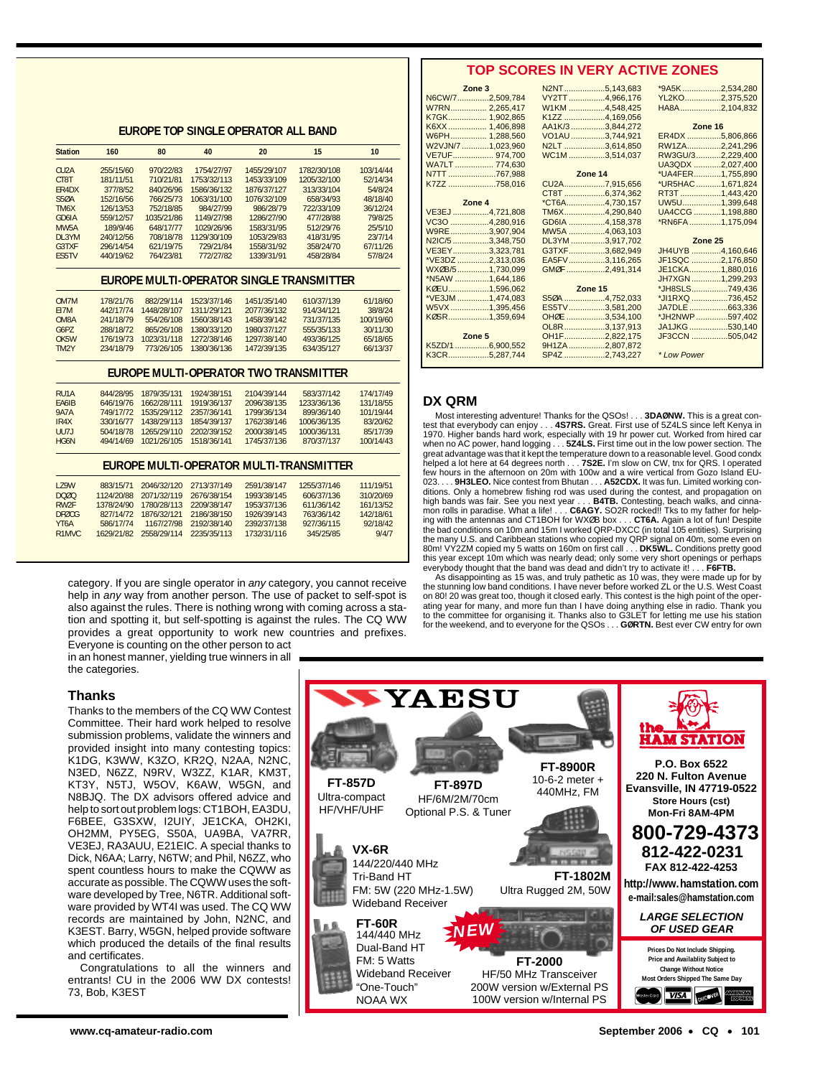### **TOP SCORES IN VERY ACTIVE ZONES**

|                                |            |             |             | EUROPE TOP SINGLE OPERATOR ALL BAND |                                                |           |
|--------------------------------|------------|-------------|-------------|-------------------------------------|------------------------------------------------|-----------|
| <b>Station</b>                 | 160        | 80          | 40          | 20                                  | 15                                             | 10        |
| CU <sub>2</sub> A              | 255/15/60  | 970/22/83   | 1754/27/97  | 1455/29/107                         | 1782/30/108                                    | 103/14/44 |
| CT8T                           | 181/11/51  | 710/21/81   | 1753/32/113 | 1453/33/109                         | 1205/32/100                                    | 52/14/34  |
| FR4DX                          | 377/8/52   | 840/26/96   | 1586/36/132 | 1876/37/127                         | 313/33/104                                     | 54/8/24   |
| <b>S50A</b>                    | 152/16/56  | 766/25/73   | 1063/31/100 | 1076/32/109                         | 658/34/93                                      | 48/18/40  |
| TM <sub>6</sub> X              | 126/13/53  | 752/18/85   | 984/27/99   | 986/28/79                           | 722/33/109                                     | 36/12/24  |
| GD6IA                          | 559/12/57  | 1035/21/86  | 1149/27/98  | 1286/27/90                          | 477/28/88                                      | 79/8/25   |
| MW <sub>5</sub> A              | 189/9/46   | 648/17/77   | 1029/26/96  | 1583/31/95                          | 512/29/76                                      | 25/5/10   |
| DI 3YM                         | 240/12/56  | 708/18/78   | 1129/30/109 | 1053/29/83                          | 418/31/95                                      | 23/7/14   |
| G3TXF                          | 296/14/54  | 621/19/75   | 729/21/84   | 1558/31/92                          | 358/24/70                                      | 67/11/26  |
| <b>FS5TV</b>                   | 440/19/62  | 764/23/81   | 772/27/82   | 1339/31/91                          | 458/28/84                                      | 57/8/24   |
|                                |            |             |             |                                     | EUROPE MULTI-OPERATOR SINGLE TRANSMITTER       |           |
| OM7M                           | 178/21/76  | 882/29/114  | 1523/37/146 | 1451/35/140                         | 610/37/139                                     | 61/18/60  |
| F17M                           | 442/17/74  | 1448/28/107 | 1311/29/121 | 2077/36/132                         | 914/34/121                                     | 38/8/24   |
| OM8A                           | 241/18/79  | 554/26/108  | 1560/38/143 | 1458/39/142                         | 731/37/135                                     | 100/19/60 |
| G6PZ                           | 288/18/72  | 865/26/108  | 1380/33/120 | 1980/37/127                         | 555/35/133                                     | 30/11/30  |
| OK <sub>5</sub> W              | 176/19/73  | 1023/31/118 | 1272/38/146 | 1297/38/140                         | 493/36/125                                     | 65/18/65  |
| TM <sub>2</sub> Y              | 234/18/79  | 773/26/105  | 1380/36/136 | 1472/39/135                         | 634/35/127                                     | 66/13/37  |
|                                |            |             |             |                                     | <b>EUROPE MULTI-OPERATOR TWO TRANSMITTER</b>   |           |
| RU <sub>1</sub> A              | 844/28/95  | 1879/35/131 | 1924/38/151 | 2104/39/144                         | 583/37/142                                     | 174/17/49 |
| FA6IB                          | 646/19/76  | 1662/28/111 | 1919/36/137 | 2096/38/135                         | 1233/36/136                                    | 131/18/55 |
| <b>9A7A</b>                    | 749/17/72  | 1535/29/112 | 2357/36/141 | 1799/36/134                         | 899/36/140                                     | 101/19/44 |
| IR4X                           | 330/16/77  | 1438/29/113 | 1854/39/137 | 1762/38/146                         | 1006/36/135                                    | 83/20/62  |
| UU7J                           | 504/18/78  | 1265/29/110 | 2202/39/152 | 2000/38/145                         | 1000/36/131                                    | 85/17/39  |
| HG6N                           | 494/14/69  | 1021/26/105 | 1518/36/141 | 1745/37/136                         | 870/37/137                                     | 100/14/43 |
|                                |            |             |             |                                     | <b>EUROPE MULTI-OPERATOR MULTI-TRANSMITTER</b> |           |
| <b>179W</b>                    | 883/15/71  | 2046/32/120 | 2713/37/149 | 2591/38/147                         | 1255/37/146                                    | 111/19/51 |
| <b>DOØQ</b>                    | 1124/20/88 | 2071/32/119 | 2676/38/154 | 1993/38/145                         | 606/37/136                                     | 310/20/69 |
| RW <sub>2F</sub>               | 1378/24/90 | 1780/28/113 | 2209/38/147 | 1953/37/136                         | 611/36/142                                     | 161/13/52 |
| <b>DFØCG</b>                   | 827/14/72  | 1876/32/121 | 2186/38/150 | 1926/39/143                         | 763/36/142                                     | 142/18/61 |
| YT <sub>6</sub> A              | 586/17/74  | 1167/27/98  | 2192/38/140 | 2392/37/138                         | 927/36/115                                     | 92/18/42  |
| R <sub>1</sub> MV <sub>C</sub> | 1629/21/82 | 2558/29/114 | 2235/35/113 | 1732/31/116                         | 345/25/85                                      | 9/4/7     |
|                                |            |             |             |                                     |                                                |           |

category. If you are single operator in any category, you cannot receive help in any way from another person. The use of packet to self-spot is also against the rules. There is nothing wrong with coming across a station and spotting it, but self-spotting is against the rules. The CQ WW provides a great opportunity to work new countries and prefixes. Everyone is counting on the other person to act

in an honest manner, yielding true winners in all the categories.

### **Thanks**

Thanks to the members of the CQ WW Contest Committee. Their hard work helped to resolve submission problems, validate the winners and provided insight into many contesting topics: K1DG, K3WW, K3ZO, KR2Q, N2AA, N2NC, N3ED, N6ZZ, N9RV, W3ZZ, K1AR, KM3T, KT3Y, N5TJ, W5OV, K6AW, W5GN, and N8BJQ. The DX advisors offered advice and help to sort out problem logs: CT1BOH, EA3DU, F6BEE, G3SXW, I2UIY, JE1CKA, OH2KI, OH2MM, PY5EG, S50A, UA9BA, VA7RR, VE3EJ, RA3AUU, E21EIC. A special thanks to Dick, N6AA; Larry, N6TW; and Phil, N6ZZ, who spent countless hours to make the CQWW as accurate as possible. The CQWW uses the software developed by Tree, N6TR. Additional software provided by WT4I was used. The CQ WW records are maintained by John, N2NC, and K3EST. Barry, W5GN, helped provide software which produced the details of the final results and certificates.

Congratulations to all the winners and entrants! CU in the 2006 WW DX contests! 73, Bob, K3EST

|  | Zone <sub>3</sub> | N2NT5,143,683   |
|--|-------------------|-----------------|
|  | N6CW/72,509,784   | VY2TT4,966,176  |
|  | W7RN 2,265,417    | W1KM 4,548,425  |
|  | K7GK 1,902,865    | K1ZZ 4,169,056  |
|  | K6XX  1,406,898   | AA1K/33,844,272 |
|  | W6PH 1,288,560    | VO1AU3,744,921  |
|  | W2VJN/7 1,023,960 | N2LT 3,614,850  |
|  | VE7UF 974,700     | WC1M 3,514,037  |
|  | WA7LT  774,630    |                 |
|  | N7TT 767,988      | Zone 14         |
|  | K7ZZ 758,016      | CU2A7,915,656   |
|  |                   | CT8T 6,374,362  |
|  | Zone 4            | *CT6A4,730,157  |
|  | VE3EJ 4,721,808   | TM6X4,290,840   |
|  | VC30 4,280,916    | GD6IA 4,158,378 |
|  | W9RE3,907,904     | MW5A 4,063,103  |
|  | N2IC/5 3,348,750  | DL3YM 3,917,702 |
|  | VE3EY3,323,781    | G3TXF3,682,949  |
|  | *VE3DZ 2,313,036  | EA5FV3,116,265  |
|  | WX0B/51,730,099   | GMØF 2,491,314  |
|  | *N5AW 1,644,186   |                 |
|  | KØEU1,596,062     | Zone 15         |
|  | *VE3JM 1,474,083  | S50A 4,752,033  |
|  | W5VX1,395,456     | ES5TV3,581,200  |
|  | KØSR1,359,694     | OHØE 3,534,100  |
|  |                   | OL8R3,137,913   |
|  | Zone 5            | OH1F2,822,175   |
|  | K5ZD/16,900,552   | 9H1ZA 2,807,872 |
|  | K3CR5,287,744     | SP4Z 2,743,227  |

| .5,143,683            | *9A5K2,534,280    |  |
|-----------------------|-------------------|--|
| .4,966,176            | YL2KO2,375,520    |  |
| .4,548,425            | HA8A2,104,832     |  |
| .4,169,056            |                   |  |
| .3,844,272            | Zone 16           |  |
| .3,744,921            | ER4DX 5,806,866   |  |
| .3,614,850            | RW1ZA2,241,296    |  |
| .3,514,037            | RW3GU/32,229,400  |  |
|                       | UA3QDX 2,027,400  |  |
| $\boldsymbol{\Delta}$ | *UA4FER1,755,890  |  |
| .7,915,656            | *UR5HAC 1,671,824 |  |
| .6,374,362            | RT3T 1,443,420    |  |
| .4,730,157            | UW5U1,399,648     |  |
| .4,290,840            | UA4CCG 1,198,880  |  |
| .4,158,378            | *RN6FA1,175,094   |  |
| .4,063,103            |                   |  |
| .3,917,702            | Zone 25           |  |
| .3,682,949            | JH4UYB 4,160,646  |  |
|                       |                   |  |
| .3,116,265            | JF1SQC 2,176,850  |  |
| .2,491,314            | JE1CKA1,880,016   |  |
|                       | JH7XGN1,299,293   |  |
| 5                     | *JH8SLS749,436    |  |
| .4,752,033            | *JI1RXQ 736,452   |  |
| .3,581,200            | JA7DLE 663,336    |  |
| .3,534,100            | *JH2NWP597,402    |  |
| .3,137,913            | JA1JKG530,140     |  |
| .2,822,175            | JF3CCN 505.042    |  |
| .2,807,872            |                   |  |
| .2,743,227            | * Low Power       |  |

### **DX QRM**

Most interesting adventure! Thanks for the QSOs! . . . **3DAØNW.** This is a great contest that everybody can enjoy . . . **4S7RS.** Great. First use of 5Z4LS since left Kenya in<br>1970. Higher bands hard work, especially with 19 hr power cut. Worked from hired car<br>when no AC power, hand logging . . . **5Z4LS.** great advantage was that it kept the temperature down to a reasonable level. Good condx<br>helped a lot here at 64 degrees north . . . **7S2E.** I'm slow on CW, tnx for QRS. I operated<br>few hours in the afternoon on 20m with 100 023. . . . 9H3LEO. Nice contest from Bhutan . . . A52CDX. It was fun. Limited working con-<br>ditions. Only a homebrew fishing rod was used during the contest, and propagation on high bands was fair. See you next year . . . **B4TB.** Contesting, beach walks, and cinna-mon rolls in paradise. What a life! . . . **C6AGY.** SO2R rocked!! Tks to my father for helping with the antennas and CT1BOH for WXØB box . . . **CT6A.** Again a lot of fun! Despite the bad conditions on 10m and 15m I worked QRP-DXCC (in total 105 entities). Surprising the many U.S. and Caribbean stations who copied my QRP signal on 40m, some even on 80m! VY2ZM copied my 5 watts on 160m on first call . . . **DK5WL.** Conditions pretty good this year except 10m which was nearly dead; only some very short openings or perhaps everybody thought that the band was dead and didn't try to activate it! . . . **F6FTB.**

As disappointing as 15 was, and truly pathetic as 10 was, they were made up for by the stunning low band conditions. I have never before worked ZL or the U.S. West Coast on 80! 20 was great too, though it closed early. This contest is the high point of the operating year for many, and more fun than I have doing anything else in radio. Thank you to the committee for organising it. Thanks also to G3LET for letting me use his station for the weekend, and to everyone for the QSOs . . . **GØRTN.** Best ever CW entry for own

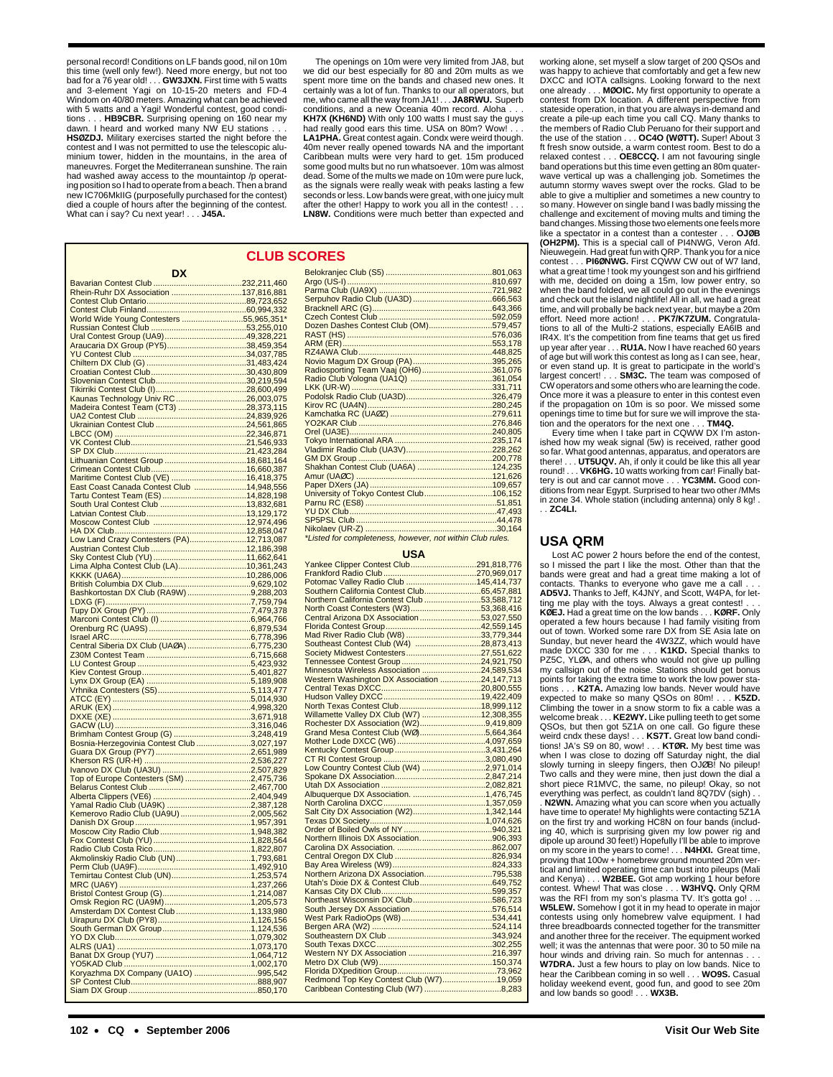personal record! Conditions on LF bands good, nil on 10m this time (well only few!). Need more energy, but not too bad for a 76 year old! . . . **GW3JXN.** First time with 5 watts and 3-element Yagi on 10-15-20 meters and FD-4 Windom on 40/80 meters. Amazing what can be achieved with 5 watts and a Yagi! Wonderful contest, good conditions . . . **HB9CBR.** Surprising opening on 160 near my dawn. I heard and worked many NW EU stations **HSØZDJ.** Military exercises started the night before the contest and I was not permitted to use the telescopic aluminium tower, hidden in the mountains, in the area of maneuvres. Forget the Mediterranean sunshine. The rain had washed away access to the mountaintop /p operating position so I had to operate from a beach. Then a brand new IC706MkIIG (purposefully purchased for the contest) died a couple of hours after the beginning of the contest. What can i say? Cu next year! . . . **J45A.**

The openings on 10m were very limited from JA8, but we did our best especially for 80 and 20m mults as we spent more time on the bands and chased new ones. It certainly was a lot of fun. Thanks to our all operators, but me, who came all the way from JA1! . . . **JA8RWU.** Superb conditions, and a new Oceania 40m record. Aloha. **KH7X (KH6ND)** With only 100 watts I must say the guys had really good ears this time. USA on 80m? Wow! . . . **LA1PHA.** Great contest again. Condx were weird though. 40m never really opened towards NA and the important Caribbean mults were very hard to get. 15m produced some good mults but no run whatsoever. 10m was almost dead. Some of the mults we made on 10m were pure luck, as the signals were really weak with peaks lasting a few seconds or less. Low bands were great, with one juicy mult after the other! Happy to work you all in the contest! . LN8W. Conditions were much better than expected and

|                                                                                                                                   | <b>CLUB SO</b> |
|-----------------------------------------------------------------------------------------------------------------------------------|----------------|
| DX                                                                                                                                |                |
|                                                                                                                                   |                |
| Rhein-Ruhr DX Association 137,816,881                                                                                             |                |
|                                                                                                                                   |                |
| World Wide Young Contesters 55,965,351*                                                                                           |                |
|                                                                                                                                   |                |
|                                                                                                                                   |                |
|                                                                                                                                   |                |
|                                                                                                                                   |                |
|                                                                                                                                   |                |
|                                                                                                                                   |                |
|                                                                                                                                   |                |
|                                                                                                                                   |                |
|                                                                                                                                   |                |
|                                                                                                                                   |                |
|                                                                                                                                   |                |
|                                                                                                                                   |                |
| Maritime Contest Club (VE) 16,418,375<br>East Coast Canada Contest Club 14,948,556                                                |                |
|                                                                                                                                   |                |
|                                                                                                                                   |                |
|                                                                                                                                   |                |
|                                                                                                                                   |                |
| Low Land Crazy Contesters (PA)12,713,087                                                                                          |                |
|                                                                                                                                   |                |
|                                                                                                                                   |                |
|                                                                                                                                   |                |
| Bashkortostan DX Club (RA9W)9,288,203                                                                                             |                |
|                                                                                                                                   |                |
|                                                                                                                                   |                |
|                                                                                                                                   |                |
|                                                                                                                                   |                |
| Central Siberia DX Club (UAØA)6,775,230                                                                                           |                |
|                                                                                                                                   |                |
|                                                                                                                                   |                |
|                                                                                                                                   |                |
|                                                                                                                                   |                |
|                                                                                                                                   |                |
|                                                                                                                                   |                |
|                                                                                                                                   |                |
|                                                                                                                                   |                |
|                                                                                                                                   |                |
| Xherson RS (UR-H)<br>Wherson RS (UR-H)<br>Vanovo DX Club (UA3U)<br>Top of Europe Contesters (SM)<br>Top of Europe Contesters (SM) |                |
|                                                                                                                                   |                |
|                                                                                                                                   |                |
|                                                                                                                                   |                |
|                                                                                                                                   |                |
|                                                                                                                                   |                |
|                                                                                                                                   |                |
|                                                                                                                                   |                |
|                                                                                                                                   |                |
|                                                                                                                                   |                |
|                                                                                                                                   |                |
|                                                                                                                                   |                |
| Amsterdam DX Contest Club1,133,980                                                                                                |                |
|                                                                                                                                   |                |
|                                                                                                                                   |                |
|                                                                                                                                   |                |
|                                                                                                                                   |                |
|                                                                                                                                   |                |
|                                                                                                                                   |                |
|                                                                                                                                   |                |

| <b>CORES</b>                                              |  |
|-----------------------------------------------------------|--|
|                                                           |  |
|                                                           |  |
|                                                           |  |
|                                                           |  |
|                                                           |  |
|                                                           |  |
| Dozen Dashes Contest Club (OM)579,457                     |  |
|                                                           |  |
|                                                           |  |
|                                                           |  |
|                                                           |  |
| Radiosporting Team Vaaj (OH6)361,076                      |  |
|                                                           |  |
|                                                           |  |
|                                                           |  |
|                                                           |  |
|                                                           |  |
|                                                           |  |
|                                                           |  |
|                                                           |  |
|                                                           |  |
|                                                           |  |
| Shakhan Contest Club (UA6A) 124,235                       |  |
|                                                           |  |
|                                                           |  |
| University of Tokyo Contest Club106,152                   |  |
|                                                           |  |
|                                                           |  |
|                                                           |  |
|                                                           |  |
| *Listed for completeness, however, not within Club rules. |  |

#### **USA**

| Yankee Clipper Contest Club291,818,776       |  |
|----------------------------------------------|--|
|                                              |  |
|                                              |  |
| Southern California Contest Club65,457,881   |  |
| Northern California Contest Club 53,588,712  |  |
| North Coast Contesters (W3)53,368,416        |  |
| Central Arizona DX Association53,027,550     |  |
|                                              |  |
| Mad River Radio Club (W8) 33,779,344         |  |
| Southeast Contest Club (W4) 28,873,413       |  |
|                                              |  |
|                                              |  |
| Minnesota Wireless Association 24,589,534    |  |
| Western Washington DX Association 24,147,713 |  |
|                                              |  |
|                                              |  |
|                                              |  |
| Willamette Valley DX Club (W7) 12,308,355    |  |
| Rochester DX Association (W2)9,419,809       |  |
| Grand Mesa Contest Club (WØ)5,664,364        |  |
|                                              |  |
|                                              |  |
|                                              |  |
|                                              |  |
|                                              |  |
|                                              |  |
|                                              |  |
|                                              |  |
|                                              |  |
|                                              |  |
|                                              |  |
|                                              |  |
|                                              |  |
|                                              |  |
|                                              |  |
|                                              |  |
|                                              |  |
|                                              |  |
|                                              |  |
|                                              |  |
|                                              |  |
|                                              |  |
|                                              |  |
|                                              |  |
|                                              |  |
|                                              |  |
|                                              |  |
| Redmond Top Key Contest Club (W7)19,059      |  |
|                                              |  |
|                                              |  |

working alone, set myself a slow target of 200 QSOs and was happy to achieve that comfortably and get a few new DXCC and IOTA callsigns. Looking forward to the next one already . . . **MØOIC.** My first opportunity to operate a contest from DX location. A different perspective from stateside operation, in that you are always in-demand and create a pile-up each time you call CQ. Many thanks to the members of Radio Club Peruano for their support and the use of the station . . . **OC4O (WØTT).** Super! About 3 ft fresh snow outside, a warm contest room. Best to do a relaxed contest . . . **OE8CCQ.** I am not favouring single<br>band operations but this time even getting an 80m quater-<br>wave vertical up was a challenging job. Sometimes the<br>autumn stormy waves swept over the rocks. Glad to be so many. However on single band I was badly missing the challenge and excitement of moving mults and timing the band changes. Missing those two elements one feels more like a spectator in a contest than a contester . . . **OJØB (OH2PM).** This is a special call of PI4NWG, Veron Afd. Nieuwegein. Had great fun with QRP. Thank you for a nice contest . . . **PI6ØNWG.** First CQWW CW out of W7 land, what a great time ! took my youngest son and his girlfriend with me, decided on doing a 15m, low power entry, so when the band folded, we all could go out in the evenings and check out the island nightlife! All in all, we had a great time, and will probally be back next year, but maybe a 20m effort. Need more action! . . . PK7/K7ZUM. Congratulations to all of the Multi-2 stations, especially EA6IB and IR4X. It's the competition from fine teams that get us fired up year after year . . . **RU1A.** Now I have reached 60 years of age but will work this contest as long as I can see, hear, or even stand up. It is great to participate in the world's largest concert! . . . **SM3C.** The team was composed of CW operators and some others who are learning the code. Once more it was a pleasure to enter in this contest even if the propagation on 10m is so poor. We missed some openings time to time but for sure we will improve the sta-<br>tion and the operators for the next one . . . **TM4Q.** tion and the operators for the next one . .

Every time when I take part in CQWW DX I'm aston-ished how my weak signal (5w) is received, rather good so far. What good antennas, apparatus, and operators are there! . . . **UT5UQV.** Ah, if only it could be like this all year<br>round! . . . **VK6HG.** 10 watts working from car! Finally bat-<br>tery is out and car cannot move . . . **YC3MM.** Good conditions from near Egypt. Surprised to hear two other /MMs in zone 34. Whole station (including antenna) only 8 kg! . . . **ZC4LI.**

### **USA QRM**

Lost AC power 2 hours before the end of the contest, so I missed the part I like the most. Other than that the bands were great and had a great time making a lot of contacts. Thanks to everyone who gave me a call . . . **AD5VJ.** Thanks to Jeff, K4JNY, and Scott, W4PA, for letting me play with the toys. Always a great contest! **KØEJ.** Had a great time on the low bands . . . **KØRF.** Only operated a few hours because I had family visiting from out of town. Worked some rare DX from SE Asia late on Sunday, but never heard the 4W3ZZ, which would have made DXCC 330 for me . . . **K1KD.** Special thanks to PZ5C, YLØA, and others who would not give up pulling my callsign out of the noise. Stations should get bonus points for taking the extra time to work the low power stations . . . **K2TA.** Amazing low bands. Never would have expected to make so many QSOs on 80m! . . . **K5ZD.** Climbing the tower in a snow storm to fix a cable was a welcome break . . . **KE2WY.** Like pulling teeth to get some QSOs, but then got 5Z1A on one call. Go figure these weird cndx these days! . . . **KS7T.** Great low band conditions! JA's S9 on 80, wow! . . . **KTØR.** My best time was when I was close to dozing off Saturday night, the dial slowly turning in sleepy fingers, then OJØB! No pileup! Two calls and they were mine, then just down the dial a short piece R1MVC, the same, no pileup! Okay, so not everything was perfect, as couldn't land 8Q7DV (sigh) . .

. **N2WN.** Amazing what you can score when you actually have time to operate! My highlights were contacting 5Z1A on the first try and working HC8N on four bands (including 40, which is surprising given my low power rig and dipole up around 30 feet!) Hopefully I'll be able to improve on my score in the years to come! . . . **N4HXI.** Great time, proving that 100w + homebrew ground mounted 20m vertical and limited operating time can bust into pileups (Mali and Kenya) . . . **W2BEE.** Got amp working 1 hour before<br>contest. Whew! That was close . . . **W3HVQ.** Only QRM<br>was the RFI from my son's plasma TV. It's gotta go! . .. **W5LEW.** Somehow I got it in my head to operate in major contests using only homebrew valve equipment. I had three breadboards connected together for the transmitter and another three for the receiver. The equipment worked well; it was the antennas that were poor. 30 to 50 mile na hour winds and driving rain. So much for antennas . **W7DRA.** Just a few hours to play on low bands. Nice to hear the Caribbean coming in so well . . . **WO9S.** Casual holiday weekend event, good fun, and good to see 20m and low bands so good! . . . **WX3B.**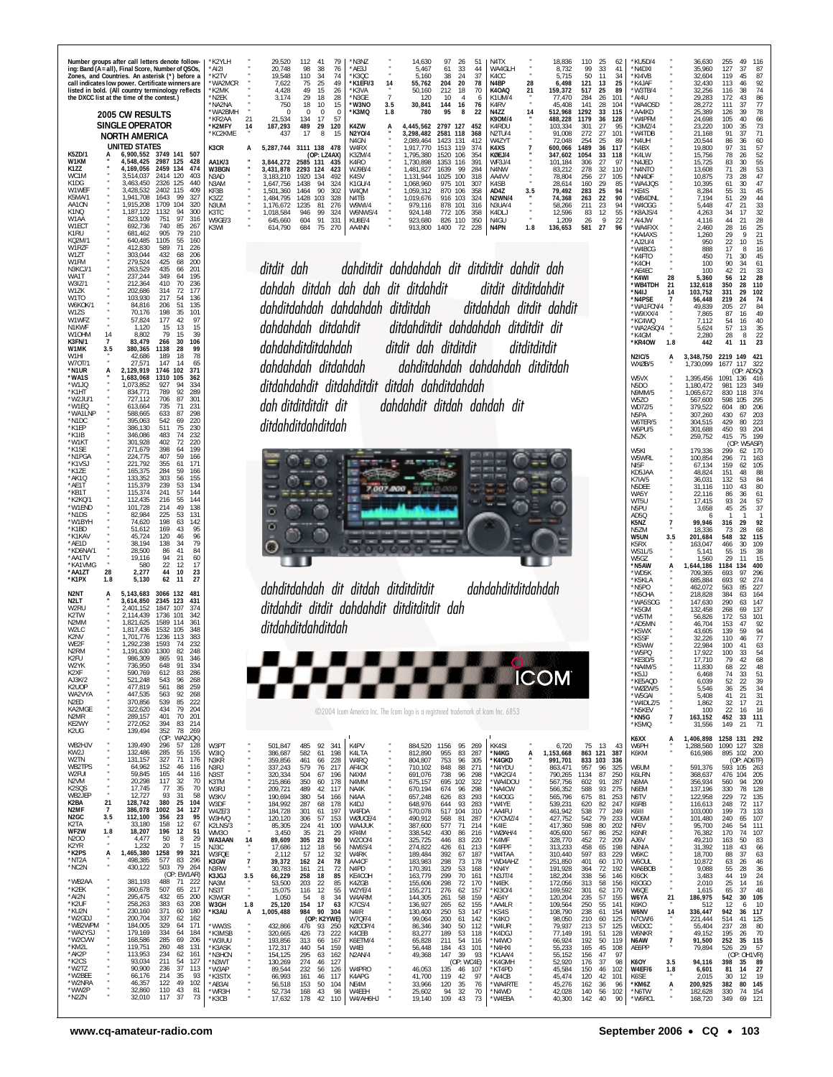| K5ZD/1<br>W1KM<br>K1ZZ<br>WC1M<br>K1DG<br>W1WEF<br>K5MA/1<br>AA1ON<br>K1NQ<br>W1AA<br>W1ECT<br>K1RU<br>KQ2M/1                                                                             |                                         | the DXCC list at the time of the contest.)<br>2005 CW RESULTS<br><b>SINGLE OPERATOR</b><br><b>NORTH AMERICA</b><br><b>UNITED STATES</b><br>4.169.056<br>3.514.037<br>3,463,450<br>3,428,532<br>1.941.708<br>1,915,208<br>1,187,122<br>823.109<br>692,736<br>681,462<br>640,485 | Number groups after call letters denote follow-<br>ing: Band (A = all), Final Score, Number of QSOs,<br>Zones, and Countries. An asterisk (*) before a<br>call indicates low power. Certificate winners are<br>listed in bold. (All country terminology reflects<br>6,900,552 3749 141 507<br>4,548,425 2987 125<br>428<br>2459 134 474<br>2414 120<br>403<br>2326<br>125<br>440<br>2402 115<br>409<br>99<br>327<br>1643<br>1709<br>104<br>320<br>1132<br>94<br>300<br>751<br>97<br>316<br>740<br>85<br>267<br>905<br>79<br>210<br>1105<br>55<br>160 | *K2YI H<br>*AI2I<br>'K2TV<br>'WA2MCR<br>*K2MK<br>*N2EK<br>*NA2NA<br>*WA2BMH<br>*KR2AA<br>*K2MFY<br>*KC2KME<br>K3CR<br>AA1K/3<br>W3BGN<br>N3AD<br>N3AM<br>KF3B<br>K3ZZ<br>N3UM<br>K3TC<br>W9GE/3<br>K3WI | 21<br>14<br>A             | 29.520<br>20,748<br>19.548<br>7,622<br>4,428<br>3,174<br>750<br>21,534<br>187,293<br>437<br>3,431,878 2293 124<br>3,183,210<br>.647.756<br>1,501,360<br>1.484.795<br>1.176.672<br>1.018.584<br>645,660<br>614,790       | 112<br>41<br>98<br>38<br>110<br>34<br>75<br>25<br>49<br>15<br>29<br>18<br>18<br>10<br>$\mathbf 0$<br>$^{\circ}$<br>134<br>17<br>489<br>29<br>17<br>8<br>5,287,744 3111 138 478<br>(OP: LZ4AX)<br>3,844,272 2585 131<br>1920 134<br>1438<br>94<br>1464<br>90<br>1428 103<br>1235<br>81<br>946<br>99<br>604<br>91<br>684<br>75 | N3N7*<br>79<br>76<br>*AE3J<br>74<br>*K30C<br>49<br>*K1EFI/3<br>26<br>*K3VA<br>28<br>*N3GE<br>15<br>*W3NO<br>$^{\circ}$<br>*K3MQ<br>57<br>K4ZW<br>120<br>N2Y0/4<br>-15<br>N4GN<br>W4RX<br>K3ZM/4<br>K4RO<br>- 435<br>WJ9B/4<br>423<br>K4SV<br>492<br>K1GU/4<br>324<br>302<br>W4QM<br>N4TB<br>328<br>276<br>W9WI/4<br>W6NWS/4<br>324<br>331<br>KU8E/4<br>AA4NN<br>270 | 14<br>$\overline{7}$<br>3.5<br>1.8<br>А | 14.630<br>5,467<br>5.160<br>55,762<br>50.160<br>120<br>30,841<br>780<br>4.445.562<br>3,298,482<br>2,089,464<br>1,917,770<br>1,795,380<br>1,730,898<br>1,481,827<br>1,131,944<br>1,068,960<br>1,059,312<br>1,019,676<br>979,116<br>924,148<br>923,680<br>913,800 | 97<br>-26<br>61<br>33<br>38<br>24<br>204<br>20<br>212<br>18<br>10<br>$\overline{4}$<br>144<br>16<br>95<br>2797 127<br>118<br>2581<br>1423<br>131<br>119<br>1513<br>1520<br>106<br>1353<br>116<br>1639<br>99<br>1025<br>100<br>975<br>101<br>870<br>106<br>916 103<br>878<br>101<br>772 105<br>826 110<br>1400<br>72 | 51<br>44<br>37<br>78<br>70<br>6<br>76<br>22<br>8<br>452<br>368<br>412<br>374<br>354<br>391<br>284<br>318<br>307<br>358<br>324<br>316<br>358<br>350<br>228 | N <sub>4</sub> T <sub>X</sub><br>WA4GLH<br>K <sub>4</sub> CC<br>N4BP<br>K4OAQ<br>K1UM/4<br>K <sub>4</sub> RV<br>N4ZZ<br>K90M/4<br>K4RDU<br>N2TU/4<br>W4ZYT<br>K4XS<br>KØEJ/4<br>WF3J/4<br>N4NW<br>AA4VV<br>K <sub>4</sub> S <sub>B</sub><br>AD4Z<br><b>N2WN/4</b><br>N3UA/4<br>K4DLJ<br>N4GU<br>N4PN | 28<br>21<br>14<br>1.8 | 18.836<br>8,732<br>5,715<br>6,498<br>159,372<br>77,470<br>45.408<br>512,968<br>488,228<br>103,334<br>91,008<br>72,048<br>600,066<br>347,602<br>101.184<br>83.212<br>78,804<br>28,614<br>79,492<br>74,368<br>58,266<br>12,596<br>1,209<br>136,653 | 110<br>99<br>50<br>121<br>517<br>284<br>141<br>1292<br>1179<br>301<br>272<br>254<br>1489<br>1054<br>306<br>278<br>256<br>160<br>283<br>263<br>211<br>83<br>26<br>581 | -25<br>62<br>33<br>41<br>11<br>-34<br>13<br>25<br>25<br>89<br>26<br>101<br>28<br>104<br>33<br>115<br>36<br>128<br>27<br>95<br>27<br>101<br>25<br>89<br>36<br>117<br>33<br>118<br>27<br>-97<br>32<br>110<br>27<br>105<br>29<br>85<br>25<br>94<br>22<br>90<br>23<br>94<br>$\frac{12}{9}$<br>55<br>22<br>27<br>96 | KU5D/4<br>*N4DXI<br>*KI4VB<br>*K4JAF<br>*W3TB/4<br>*AI4U<br>*WA4OSD<br>*AA4KD<br>*W4PFM<br>K3MZ/4<br>'W4TDB<br>*N4UH<br>*K4BX<br>K4LW<br>*N4JED<br>*N4NTO<br>*NN4DF<br>WA4JQS<br>*KE4S<br>'WB4DNL<br>*W4OGG<br>*K8AJS/4<br>*AI4JW<br>*WA4FXX<br>*KA4AXS<br>*AJ2U/4 |                                                    | 36.630<br>35,960<br>32.604<br>32,430<br>32,256<br>29,283<br>28,272<br>25,389<br>24,698<br>23,220<br>21.168<br>20,544<br>19,800<br>15,756<br>15,725<br>13,608<br>10,875<br>10,395<br>8,284<br>7.194<br>5,448<br>4,263<br>4,116<br>2,460<br>1,260<br>950 | 255<br>49<br>116<br>127<br>37<br>87<br>119<br>45<br>87<br>113<br>92<br>46<br>74<br>116<br>38<br>172<br>43<br>86<br>77<br>111<br>37<br>126<br>39<br>78<br>105<br>40<br>66<br>35<br>73<br>100<br>37<br>71<br>91<br>60<br>86<br>36<br>57<br>97<br>31<br>$\frac{52}{55}$<br>78<br>26<br>83<br>30<br>53<br>71<br>28<br>47<br>73<br>28<br>47<br>61<br>30<br>55<br>31<br>45<br>51<br>29<br>44<br>33<br>47<br>21<br>32<br>34<br>17<br>44<br>28<br>21<br>28<br>25<br>16<br>29<br>21<br>-9<br>22<br>10<br>15 |
|-------------------------------------------------------------------------------------------------------------------------------------------------------------------------------------------|-----------------------------------------|--------------------------------------------------------------------------------------------------------------------------------------------------------------------------------------------------------------------------------------------------------------------------------|------------------------------------------------------------------------------------------------------------------------------------------------------------------------------------------------------------------------------------------------------------------------------------------------------------------------------------------------------------------------------------------------------------------------------------------------------------------------------------------------------------------------------------------------------|---------------------------------------------------------------------------------------------------------------------------------------------------------------------------------------------------------|---------------------------|-------------------------------------------------------------------------------------------------------------------------------------------------------------------------------------------------------------------------|------------------------------------------------------------------------------------------------------------------------------------------------------------------------------------------------------------------------------------------------------------------------------------------------------------------------------|---------------------------------------------------------------------------------------------------------------------------------------------------------------------------------------------------------------------------------------------------------------------------------------------------------------------------------------------------------------------|-----------------------------------------|-----------------------------------------------------------------------------------------------------------------------------------------------------------------------------------------------------------------------------------------------------------------|---------------------------------------------------------------------------------------------------------------------------------------------------------------------------------------------------------------------------------------------------------------------------------------------------------------------|-----------------------------------------------------------------------------------------------------------------------------------------------------------|------------------------------------------------------------------------------------------------------------------------------------------------------------------------------------------------------------------------------------------------------------------------------------------------------|-----------------------|--------------------------------------------------------------------------------------------------------------------------------------------------------------------------------------------------------------------------------------------------|----------------------------------------------------------------------------------------------------------------------------------------------------------------------|----------------------------------------------------------------------------------------------------------------------------------------------------------------------------------------------------------------------------------------------------------------------------------------------------------------|--------------------------------------------------------------------------------------------------------------------------------------------------------------------------------------------------------------------------------------------------------------------|----------------------------------------------------|--------------------------------------------------------------------------------------------------------------------------------------------------------------------------------------------------------------------------------------------------------|----------------------------------------------------------------------------------------------------------------------------------------------------------------------------------------------------------------------------------------------------------------------------------------------------------------------------------------------------------------------------------------------------------------------------------------------------------------------------------------------------|
| W1RZF<br>W1ZT<br>W1FM<br>N3KCJ/1<br>WA1T<br>W317/1<br>W1ZK<br>W1TO<br>W6KOK/1<br><b>W17S</b><br>W1WFZ<br>N1KWF<br>W10HM<br>K3FN/1<br>W1MK<br>W1HI<br>W70T/1<br>*N1UR<br>*WA1S             | 14<br>$\overline{7}$<br>3.5             | 412.830<br>303,044<br>279,524<br>263,529<br>237,244<br>212,364<br>202,686<br>103,930<br>84,816<br>70.176<br>57,824<br>1,120<br>8,802<br>83,479<br>380,365<br>42,686<br>27,571<br>2,129,919<br>1,683,068                                                                        | 589<br>71<br>226<br>432<br>68<br>206<br>425<br>68<br>200<br>435<br>201<br>66<br>349<br>195<br>64<br>410<br>70<br>236<br>314<br>72<br>177<br>217<br>54<br>136<br>206<br>51<br>135<br>198<br>35<br>101<br>177<br>42<br>97<br>13<br>15<br>15<br>79<br>15<br>39<br>30<br>266<br>106<br>1138<br>28<br>99<br>78<br>189<br>18<br>147<br>14<br>65<br>102<br>1746<br>371<br>1310<br>105<br>362                                                                                                                                                                |                                                                                                                                                                                                         |                           | ditdit dah                                                                                                                                                                                                              | dahdahdah ditdahdit<br>dahdahditditdahdah<br>dahdahdah ditdahdah                                                                                                                                                                                                                                                             |                                                                                                                                                                                                                                                                                                                                                                     |                                         | dahditdit dahdahdah dit ditditdit dahdit dah<br>dahdah ditdah dah dah dit ditdahdit<br>dahditdahdah dahdahdah ditditdah<br>ditdahditdit dahdahdah ditditdit dit<br>ditdit dah ditditdit<br>dahditdahdah dahdahdah ditditdah                                     |                                                                                                                                                                                                                                                                                                                     |                                                                                                                                                           | ditdit ditditdahdit                                                                                                                                                                                                                                                                                  | ditditditdit          | ditdahdah ditdit dahdit                                                                                                                                                                                                                          |                                                                                                                                                                      |                                                                                                                                                                                                                                                                                                                | 'W4BCG<br>K4FTO<br>'K4OH<br>*AE4EC<br>*K4WI<br>*WB4TDH<br>*N4IJ<br>*N4PSE<br>WA1FCN/4<br>*W9IXX/4<br>*KC4WQ<br>*WA2ASQ/4<br>*K4GM<br>*KR4OW<br><b>N2IC/5</b><br>WXØB/5<br>W5VX                                                                                     | 28<br>21<br>1.8<br>A                               | 888<br>450<br>100<br>100<br>5,360<br>132,618<br>103,752<br>56,448<br>49,839<br>7,865<br>7.112<br>5.624<br>2,280<br>442<br>3,348,750<br>1,730,099<br>1,395,456                                                                                          | 17<br>8<br>16<br>71<br>30<br>45<br>90<br>34<br>61<br>42<br>33<br>21<br>56<br>12<br>28<br>350<br>28<br>110<br>331<br>29<br>102<br>219<br>24<br>74<br>27<br>84<br>205<br>87<br>16<br>49<br>40<br>54<br>16<br>57<br>13<br>35<br>$_{8}$<br>22<br>28<br>41<br>23<br>11<br>2219 149<br>$42^{\circ}$<br>1677 117 322<br>(OP: AD5Q)<br>1091 136 416                                                                                                                                                        |
| *W1JO<br>*K1HT<br>'W2JU/1<br>*W1FO<br>*WA1LNF<br>*N1DC<br>'K1EP<br>'K1IB<br>*W1KT<br>*K1SE<br>*N1PGA<br>*K1VSJ<br>*K1ZE<br>*AK10<br>AE1T<br>*KB1T<br>*K2KO/*<br>*W1END<br>*N1DS<br>*W1BYH |                                         | 1.073.852<br>834,771<br>727,112<br>613.664<br>588,665<br>395,063<br>386,130<br>346,086<br>301,928<br>271,679<br>224,775<br>221,792<br>165,375<br>133,352<br>115,379<br>115,374<br>112,435<br>101,728<br>82,984<br>74,620                                                       | 334<br>927<br>94<br>789<br>92<br>289<br>706<br>87<br>301<br>735<br>71<br>231<br>633<br>87<br>298<br>542<br>220<br>69<br>511<br>75<br>230<br>483<br>74<br>232<br>402<br>72<br>220<br>398<br>199<br>64<br>59<br>407<br>166<br>355<br>61<br>171<br>284<br>59<br>166<br>303<br>56<br>155<br>239<br>53<br>134<br>241<br>57<br>144<br>216<br>55<br>144<br>214<br>49<br>138<br>225<br>53<br>131<br>198<br>63<br>142                                                                                                                                         |                                                                                                                                                                                                         |                           | о                                                                                                                                                                                                                       | dah ditditditdit dit<br>ditdahditdahditdah                                                                                                                                                                                                                                                                                   |                                                                                                                                                                                                                                                                                                                                                                     |                                         | ditdahdahdit ditdahditdit ditdah dahditdahdah<br>dahdahdit ditdah dahdah dit                                                                                                                                                                                    |                                                                                                                                                                                                                                                                                                                     |                                                                                                                                                           |                                                                                                                                                                                                                                                                                                      |                       |                                                                                                                                                                                                                                                  |                                                                                                                                                                      |                                                                                                                                                                                                                                                                                                                | N5DO<br>N9MM/5<br>W5ZO<br>WD7Z/5<br>N5PA<br>W6TER/5<br>W6PU/5<br>N5ZK<br>W5KI<br>W5WRL<br>NI5F<br>KD5JAA<br>K7IA/5<br>N5DEE<br>WA5Y<br>WT5U<br>N5PU<br>AD5Q<br>K5NZ                                                                                                |                                                    | 1,180,472<br>1,065,672<br>567,600<br>379,522<br>307,260<br>304,515<br>301,688<br>259,752<br>179,336<br>100,854<br>67,134<br>48,824<br>36,031<br>31,116<br>22,116<br>17,415<br>3,658<br>99,946                                                          | 123<br>349<br>981<br>830<br>118<br>374<br>295<br>598<br>105<br>604<br>80<br>206<br>203<br>430<br>67<br>429<br>80<br>223<br>93<br>204<br>450<br>415<br>75<br>199<br>(OP: W5ASP)<br>299<br>62<br>170<br>296<br>71<br>163<br>159<br>62<br>105<br>151<br>88<br>48<br>132<br>53<br>84<br>80<br>43<br>110<br>61<br>86<br>36<br>93<br>24<br>57<br>37<br>45<br>25<br>92<br>316<br>29                                                                                                                       |
| *K1BD<br>*K1KAV<br>*AF1D<br>*KD6NA/1<br>*AA1TV<br>*KA1VMG<br>*AA1ZT<br>*K1PX<br>N2NT<br>N2LT<br>W2RU<br>K2TW<br>N2MM<br>W2LC<br>K2NV<br>WE2F<br>N <sub>2</sub> RM<br>K2FU                 | 28<br>1.8                               | 51,612<br>45,724<br>38,194<br>28,500<br>19,116<br>580<br>2,277<br>5,130<br>5.143.683<br>3,614,850<br>2 401 152<br>2.114.439<br>1,821,625<br>1.817.436<br>1.701.776<br>1.292.238<br>1,191,630<br>986.309                                                                        | 169<br>43<br>95<br>120<br>46<br>96<br>34<br>79<br>138<br>86<br>41<br>84<br>21<br>60<br>94<br>22<br>12<br>17<br>10<br>44<br>23<br>62<br>27<br>11<br>3066 132<br>481<br>2345 123<br>431<br>1847 107<br>374<br>1736<br>101<br>342<br>1589<br>361<br>114<br>1532<br>105<br>348<br>383<br>1236 113<br>1593<br>74<br>232<br>1300<br>82<br>248<br>865<br>91<br>346                                                                                                                                                                                          |                                                                                                                                                                                                         |                           | o                                                                                                                                                                                                                       | ditdahditdahditdah                                                                                                                                                                                                                                                                                                           |                                                                                                                                                                                                                                                                                                                                                                     |                                         | dahditdahdah dit ditdah ditditditdit<br>ditdahdit ditdit dahdahdit ditditditdit dah                                                                                                                                                                             |                                                                                                                                                                                                                                                                                                                     |                                                                                                                                                           | dahdahditditdahdah                                                                                                                                                                                                                                                                                   |                       |                                                                                                                                                                                                                                                  |                                                                                                                                                                      |                                                                                                                                                                                                                                                                                                                | N5ZM<br>W5UN<br>K5RX<br>WS1L/5<br>W5GZ<br>*N5AW<br>*WD5K<br>*K5KLA<br>N5PO<br>*N5CHA<br>*WA5SOG<br>*K5GM<br>'W5TM<br>AD5MN<br>K5WX<br>*K5SF<br>*K5WW<br>*W5PQ<br>KE3D/5                                                                                            | 3.5                                                | 18,336<br>201,684<br>163,047<br>5,141<br>1,560<br>1,644,186<br>709,365<br>685,884<br>462,072<br>218,828<br>147.630<br>132,458<br>56,826<br>46,704<br>43,605<br>32,226<br>22.984<br>17,922<br>17.710                                                    | 73<br>28<br>68<br>548<br>32<br>115<br>466<br>30<br>109<br>38<br>55<br>15<br>29<br>15<br>11<br>400<br>1184<br>134<br>693<br>97<br>296<br>274<br>693<br>92<br>227<br>563<br>85<br>384<br>63<br>164<br>147<br>290<br>63<br>268<br>69<br>137<br>172<br>101<br>53<br>153<br>47<br>92<br>139<br>94<br>5g<br>110<br>77<br>46<br>63<br>100<br>41<br>100<br>33<br>54<br>68<br>70<br>42                                                                                                                      |
| W2YK<br>K2XF<br>AJ3K/2<br>K2UOP<br>WA2VYA<br>N2ED<br>KA2MGE<br>N2MR<br>KE2WY<br>K2UG                                                                                                      |                                         | 736,950<br>590,769<br>521,248<br>477,819<br>447,535<br>370,856<br>322,620<br>289,157<br>272,052<br>139,494                                                                                                                                                                     | 648<br>91<br>334<br>612<br>286<br>83<br>543<br>96<br>268<br>561<br>88<br>259<br>563<br>92<br>268<br>539<br>222<br>85<br>79<br>434<br>204<br>401<br>70<br>201<br>394<br>83<br>214<br>352<br>78 269                                                                                                                                                                                                                                                                                                                                                    |                                                                                                                                                                                                         |                           |                                                                                                                                                                                                                         |                                                                                                                                                                                                                                                                                                                              |                                                                                                                                                                                                                                                                                                                                                                     |                                         | ©2004 Icom America Inc. The Icom logo is a registered trademark of Icom Inc. 6853                                                                                                                                                                               |                                                                                                                                                                                                                                                                                                                     |                                                                                                                                                           | F K                                                                                                                                                                                                                                                                                                  |                       | <b>ICOM</b>                                                                                                                                                                                                                                      |                                                                                                                                                                      |                                                                                                                                                                                                                                                                                                                | *NA4M/5<br>$*$ K5JJ<br>*KE5AQD<br>*WØZW/5<br>*W5GAI<br>*W4DLZ/5<br>*N5KEV<br>*KN5G<br>*K5MQ                                                                                                                                                                        | $\overline{7}$                                     | 11,830<br>6,468<br>6,039<br>5,546<br>5,408<br>1,862<br>100<br>163,152<br>31,556                                                                                                                                                                        | $\frac{22}{33}$<br>68<br>48<br>51<br>74<br>52<br>22<br>39<br>36<br>34<br>25<br>41<br>21<br>31<br>21<br>32<br>17<br>22<br>16<br>16<br>452<br>33<br>111<br>149<br>21<br>71                                                                                                                                                                                                                                                                                                                           |
| WB2HJV<br>KW2J<br>W2TN<br>WB2TPS<br>W2FUI<br>N2VM<br>K2SQS<br>WB2JEP<br>K2BA<br>N2MF<br>N <sub>2</sub> GC<br>K2TA<br>WF2W<br>N200<br>K2YR<br>*K2PS<br>*NT2A<br>*NC2N<br>*WB2AA<br>*K2EK   | 21<br>$\overline{7}$<br>3.5<br>1.8<br>A | 139,490<br>132,486<br>131,157<br>64,962<br>59,845<br>20,298<br>17,745<br>12,727<br>128,742<br>386,078<br>112,100<br>33,180<br>18,207<br>4,477<br>1,232<br>1,465,380<br>498,385<br>430,122<br>381,193<br>360,678                                                                | (OP:<br>WA2JQK)<br>296<br>57<br>128<br>285<br>55<br>155<br>327<br>71<br>176<br>152<br>46<br>116<br>165<br>44<br>116<br>117<br>32<br>70<br>77<br>35<br>70<br>93<br>31<br>58<br>380<br>25<br>104<br>1002<br>34<br>127<br>356<br>23<br>95<br>158<br>12<br>67<br>196<br>12<br>51<br>8<br>29<br>50<br>20<br>$\overline{7}$<br>15<br>1258<br>99<br>321<br>577<br>83<br>296<br>503<br>79<br>264<br>(OP: EW1AR)<br>488<br>71<br>-222<br>507<br>217<br>65                                                                                                     | W3PT<br>W3IQ<br>N3KR<br>N3RJ<br>N3ST<br>K3TM<br>W3RJ<br>W3KV<br>W3DF<br>W4ZE/3<br>W3HVQ<br>K2LNS/3<br><b>WM30</b><br>WA3AAN<br>NJ3C<br>W3FQE<br>K3GW<br>N3RW<br>K3JGJ<br>NA3M<br>NS3T                   | 14<br>7<br>3.5<br>$\cdot$ | 501,847<br>386,687<br>359,856<br>337,243<br>320,334<br>215,866<br>209,721<br>190,694<br>184,992<br>184,728<br>120,120<br>85,305<br>3,450<br>89,609<br>17,686<br>2,112<br>39,372<br>30,783<br>66,229<br>53,500<br>15,075 | 485<br>92<br>582<br>61<br>461<br>66<br>579<br>76<br>504<br>67<br>350<br>60<br>489<br>42<br>380<br>54<br>287<br>68<br>301<br>61<br>306<br>57<br>224<br>41<br>35<br>21<br>305<br>23<br>112<br>18<br>57<br>12<br>24<br>162<br>161<br>21<br>258<br>18<br>203<br>22<br>116<br>12                                                  | 341<br>K4PV<br>198<br>K4LTA<br>228<br>W4RQ<br>AF4OX<br>217<br>N4XM<br>196<br>178<br>N4MM<br>117<br>NA4K<br>N4AA<br>166<br>K4DJ<br>178<br>W4FDA<br>197<br>WØUCE/4<br>153<br>100<br>WA4JUK<br>KR4M<br>29<br>90<br>W200/4<br>NW6S/4<br>56<br>32<br>W4RK<br>78<br>AA4CF<br>72<br>N4PD<br>KE4COH<br>85<br>85<br>K4ZGB<br>55<br>W2YE/4                                    |                                         | 884,520<br>812,890<br>804,807<br>710,102<br>691,076<br>675,157<br>670,194<br>657,248<br>648,976<br>570,078<br>490,912<br>387,600<br>338,542<br>325,725<br>274,822<br>189,484<br>183,983<br>170,391<br>163,779<br>155,606<br>155,271                             | 1156<br>95<br>955<br>83<br>753<br>96<br>848<br>88<br>738<br>96<br>695<br>102<br>674<br>96<br>83<br>626<br>93<br>644<br>517<br>104<br>81<br>568<br>577<br>71<br>86<br>430<br>446<br>83<br>426<br>61<br>392<br>67<br>298<br>73<br>329<br>53<br>299<br>70<br>298<br>72<br>276<br>62                                    | 269<br>287<br>305<br>271<br>298<br>322<br>298<br>293<br>283<br>310<br>287<br>214<br>216<br>220<br>213<br>187<br>178<br>168<br>161<br>170<br>157           | KK4SI<br>*N4KG<br>*K4GKD<br>*N4YDU<br>*WK2G/4<br>*WA4DOU<br>*NA4CW<br>*K4OGG<br>*W4YE<br>*AA4FU<br>*K7CMZ/4<br>*K4IE<br>*WØAH/4<br>*K4MF<br>*K4FPF<br>*W4TAA<br>*WD4AHZ<br>*KN4Y<br>*N3JT/4<br>*N4EK<br>*KI3O/4                                                                                      | Ą                     | 6,720<br>1,153,668<br>991,701<br>863,471<br>790,265<br>567,756<br>566,352<br>565,796<br>539,231<br>461,942<br>427,752<br>417,360<br>405,600<br>328,770<br>313,233<br>310,440<br>251,850<br>191,928<br>182,204<br>172,056<br>169,592              | 75<br>- 13<br>863 121<br>833 103<br>957<br>1134<br>602<br>588<br>675<br>620<br>538<br>542<br>598<br>567<br>452<br>458<br>597<br>401<br>364<br>338<br>313<br>301      | 43<br>387<br>336<br>96<br>325<br>250<br>87<br>287<br>91<br>93<br>275<br>253<br>81<br>82<br>247<br>77<br>249<br>79<br>233<br>202<br>80<br>252<br>86<br>72<br>209<br>65<br>198<br>83<br>229<br>170<br>60<br>72<br>192<br>56<br>146<br>58<br>156<br>62<br>170                                                     | K6XX<br>W6PH<br>K6KM<br>W6UM<br>K6LRN<br>N6MA<br>N6EM<br>N6TV<br>K6RB<br>K6III<br>W06M<br>NF6V<br>K6NR<br>AJ6V<br>N6NIA<br>W6KC<br>W6OUL<br>WA6BOB<br>KI6CK<br>K60GO<br>W6QE                                                                                       | А<br>$\alpha$                                      | 1,406,898<br>1,288,560<br>616,986<br>591,376<br>368,637<br>356,934<br>137,196<br>122,958<br>116,613<br>103,000<br>101,480<br>95,700<br>76,382<br>49,210<br>31,392<br>18,700<br>10,872<br>9,088<br>3,483<br>2,010<br>1,615                              | 1258 131 292<br>1090 127<br>328<br>895 102 200<br>(OP: AD6TF)<br>593 105 263<br>476 104<br>205<br>209<br>94<br>560<br>78<br>128<br>330<br>135<br>229<br>72<br>72<br>117<br>248<br>199<br>133<br>73<br>107<br>240<br>65<br>246<br>54<br>111<br>170<br>74<br>107<br>83<br>163<br>50<br>118<br>43<br>66<br>88<br>37<br>63<br>46<br>63<br>26<br>55<br>28<br>36<br>44<br>19<br>24<br>25<br>14<br>16<br>65<br>37<br>48                                                                                   |
| *AI2N<br>*K2UF<br>*KU2N<br>*W2GDJ<br>*WB2WPM<br>*WA2YSJ<br>*W2CVW<br>*KM2L<br>*AK2P<br>*K2CS<br>*W2TZ<br>*W2BEE<br>*W2NRA<br>*WW2P<br>*N2ZN                                               |                                         | 295,475<br>258,263<br>230,160<br>200,704<br>184,005<br>179,169<br>168,586<br>119,751<br>113,953<br>93,034<br>90,900<br>66,176<br>46,357<br>32,860<br>32,010                                                                                                                    | 432<br>65<br>200<br>383<br>63<br>208<br>371<br>180<br>60<br>337<br>62<br>162<br>329<br>64<br>171<br>334<br>184<br>-64<br>285<br>69<br>206<br>260<br>48<br>131<br>234<br>62<br>161<br>211<br>54<br>127<br>236<br>37<br>113<br>214<br>93<br>35<br>122<br>49<br>102<br>110<br>43<br>81<br>117<br>37<br>73                                                                                                                                                                                                                                               | K3WGR<br>W3GH<br>*K3AU<br>*WW3S<br>*K3MSB<br>*W3IUU<br>*K3ASK<br>*N3HCN<br>*N3WT<br>*W3AP<br>*K3STX<br>*AB3AI<br>*WR3H<br>*K3CB                                                                         | 1.8<br>А                  | 1,050<br>25,120<br>1,005,488<br>432,866<br>320,665<br>193,856<br>172,317<br>154,125<br>130,269<br>89,544<br>66,993<br>56,518<br>52,734<br>17,632                                                                        | 8<br>54<br>17<br>154<br>984<br>90<br>(OP: K2YWE)<br>476 93<br>426<br>73<br>313<br>66<br>440<br>54<br>295<br>63<br>274<br>46<br>232<br>56<br>161<br>46<br>153<br>50<br>168<br>43<br>178<br>42                                                                                                                                 | 34<br>W4ARM<br>63<br>K7CS/4<br>N4IR<br>304<br>W7QF/4<br>KØCOP/4<br>250<br>222<br>K4CEB<br>K6ETM/4<br>167<br>159<br>W4EI<br>N2AN/4<br>162<br>127<br>W4PRO<br>126<br>117<br>K4APG<br>104<br>NE4M<br>98<br>W4EEH<br>110<br>W4/AH6HJ                                                                                                                                    |                                         | 144,305<br>136,927<br>130,400<br>99,064<br>86,346<br>83,277<br>65,828<br>56,448<br>49,368<br>46,053<br>41,700<br>33,966<br>25,602<br>19,140                                                                                                                     | 261<br>58<br>62<br>265<br>53<br>250<br>61<br>200<br>340<br>50<br>189<br>53<br>211<br>54<br>184<br>43<br>147<br>39<br>135<br>46<br>119<br>42<br>120<br>35<br>94<br>32<br>109<br>43                                                                                                                                   | 159<br>155<br>147<br>142<br>112<br>118<br>116<br>101<br>93<br>(OP: WC4E)<br>107<br>97<br>76<br>70<br>73                                                   | *AE4Y<br>*AA4LR<br>*KS4S<br>*K4KO<br>*W4UR<br>*K4DGJ<br>*N4WO<br>*N4HXI<br>*K1AA/4<br>*K4GMH<br>*KT4PD<br>*AI4CB<br>*WA4RTE<br>*N4WD<br>*W4EBA                                                                                                                                                       |                       | 120,204<br>109,564<br>108,790<br>98,050<br>79,937<br>77,149<br>66,924<br>55,233<br>55,152<br>52,920<br>45,584<br>45,474<br>45,276<br>42,028<br>40,300                                                                                            | 235<br>250<br>238<br>210<br>213<br>191<br>192<br>165<br>156<br>176<br>150<br>120<br>162<br>140<br>142                                                                | 57<br>155<br>141<br>55<br>61<br>154<br>60<br>125<br>57<br>125<br>51<br>128<br>50<br>119<br>45<br>108<br>47<br>97<br>37<br>98<br>46<br>102<br>42<br>101<br>36<br>96<br>56<br>102<br>40<br>90                                                                                                                    | W6YA<br>K6KO<br>W6NV<br>N7CW/6<br>W6DCC<br>W6NKR<br>N6AW<br>AE6PP<br><b>K60Y</b><br>W4EF/6<br>K6SE<br>*KM6Z<br>*N6TW<br>*W6RCL                                                                                                                                     | $^{21}$<br>14<br>$\overline{1}$<br>3.5<br>1.8<br>А | 186,975<br>512<br>336,447<br>221,444<br>55,404<br>49,152<br>91,500<br>79,894<br>94,116<br>6,601<br>2,015<br>200,925<br>182,628<br>168,720                                                                                                              | 542<br>30<br>105<br>12<br>10<br>6<br>942<br>36<br>117<br>41<br>125<br>514<br>237<br>80<br>28<br>70<br>195<br>26<br>35 115<br>252<br>57<br>526<br>29<br>(OP: OH1VR)<br>398<br>35<br>89<br>81<br>14<br>27<br>30<br>12<br>- 19<br>80<br>145<br>382<br>330<br>74<br>154<br>121<br>349<br>69                                                                                                                                                                                                            |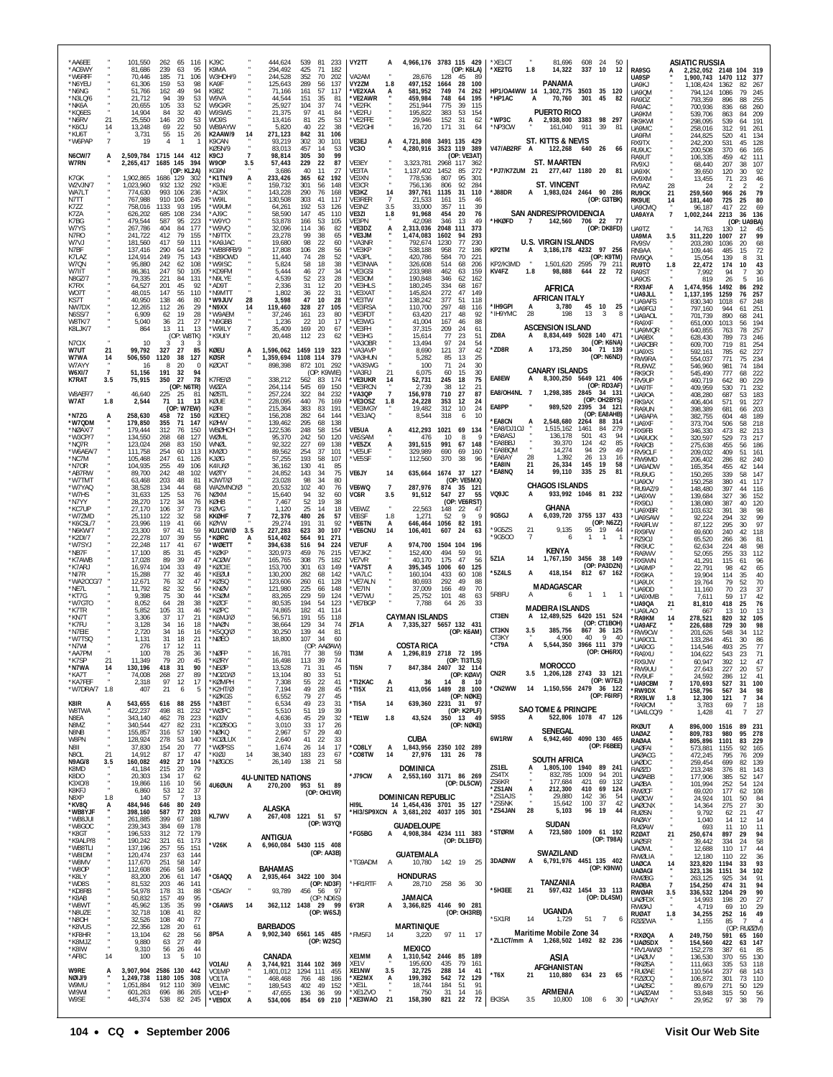| *AA6EE<br>*AC6WY                          |                       | 101,550<br>81,686                 | 262 65 116<br>239<br>63                                  | K.19C<br>95<br>K9MA                         |                        | 444,624<br>294,492                  | 539 81<br>233<br>425<br>71<br>182                                    | VY2TT                         | A                     | 4,966,176 3783 115 429                                           |                                       | (OP: K6LA)                  | *XF1CT<br>*XE2TG                    | 1.8            | 81,696<br>14,322                                       | 608 24<br>337     | 50<br>10<br>12                         | RA9SG                                         |                           | <b>ASIATIC RUSSIA</b><br>2,252,052 2148 104 319 |                      |                                                                             |
|-------------------------------------------|-----------------------|-----------------------------------|----------------------------------------------------------|---------------------------------------------|------------------------|-------------------------------------|----------------------------------------------------------------------|-------------------------------|-----------------------|------------------------------------------------------------------|---------------------------------------|-----------------------------|-------------------------------------|----------------|--------------------------------------------------------|-------------------|----------------------------------------|-----------------------------------------------|---------------------------|-------------------------------------------------|----------------------|-----------------------------------------------------------------------------|
| *W6RFF<br>*N6YEU<br>*N6NG                 |                       | 70,446<br>61,306<br>51,766        | 185<br>-71<br>159<br>53<br>162<br>49                     | 106<br>98<br>KA9F<br>94<br>K9BZ             | W3HDH/9                | 244,528<br>125,643<br>71,166        | 352<br>202<br>-70<br>289<br>56<br>137<br>57<br>161<br>117            | VA2AM<br>VY2ZM<br>*VE2XAA     | 1.8                   | 28.676<br>497,152<br>581.952                                     | 128<br>45<br>1664<br>749<br>74        | -89<br>28<br>100<br>262     | HP1/OA4WW 14                        |                | PANAMA<br>1,302,775 3503 35 120                        |                   |                                        | UA9SP<br>UA9KJ<br>UA9QM                       |                           | 1,900,743<br>1.108.424<br>794,124               | 1470<br>1362<br>1086 | 112<br>377<br>82<br>267<br>79<br>245                                        |
| *N3LQ/6<br>*NK6A<br>*KQ6ES                |                       | 21,712<br>20,655<br>14,904        | 94<br>39<br>105<br>-33<br>84<br>32                       | 53<br>W9VA<br>52<br>W9GXR<br>40<br>W9SWS    |                        | 44,544<br>25,927<br>21,375          | 151<br>35<br>81<br>104<br>37<br>74<br>97<br>41<br>84                 | *VE2AWR<br>*VE2FK<br>*VE2FU   |                       | 459,984<br>251.944<br>195,822                                    | 748<br>64<br>775<br>39<br>383<br>53   | 195<br>115<br>154           | *HP1AC                              | A              | 70,760<br><b>PUERTO RICO</b>                           | 301 45            | 82                                     | RA9DZ<br>RA9AC                                |                           | 793.359<br>700,936                              | 896<br>836           | 255<br>88<br>68<br>260                                                      |
| *N6RV<br>*K6CU                            | 21<br>14              | 25,550<br>13,248                  | 20<br>146<br>22<br>69                                    | 53<br>W09S<br>50<br>WB9AYW                  |                        | 13.416<br>5,820                     | 81<br>25<br>53<br>40<br>22<br>38                                     | *VE2FFE<br>*VE2GHI            |                       | 29,946<br>16,720                                                 | 152<br>31<br>171<br>31                | 62<br>64                    | *WP3C<br>*NP3CW                     | A              | 2,938,800 3383 98 297<br>161,040 911 39                |                   | 81                                     | UA9KM<br>RK9KWI<br>UA9MC                      |                           | 539.706<br>298,095<br>258,016                   | 863<br>539<br>312    | 84<br>209<br>191<br>64<br>91<br>261                                         |
| *KU6T<br>*W6PAP                           | $\overline{7}$        | 3,731<br>19                       | 55<br>15<br>4<br>$\overline{1}$                          | 26<br>K9CAN<br>-1<br>KØSN/9                 | K2AAW/9                | 14<br>271,123<br>93,219<br>83,013   | 842<br>31<br>106<br>302<br>30<br>101<br>457<br>14<br>53              | VE3EJ<br><b>VC30</b>          | A                     | 4,721,808<br>4,280,916                                           | 3491 135<br>3523 119                  | 429<br>389                  | V47/AB2RF                           | A              | ST. KITTS & NEVIS<br>122,268                           | 640 26            | 66                                     | <b>LIA9FM</b><br>RX9TX<br>RU9UC               |                           | 244,825<br>242,200<br>200,508                   | 520<br>531<br>370    | 41<br>134<br>45<br>128<br>165<br>66                                         |
| <b>N6CW/7</b><br>W7RN                     | A                     | 2,265,417                         | 2,509,784 1715 144 412<br>1685 145 394<br>(OP: KL2A)     | K9CJ<br>W9OP<br>KG9N                        |                        | 98,814<br>57,443<br>3,686           | 305<br>30<br>99<br>229<br>22<br>87<br>40<br>11<br>27                 | VE3EY<br>VE3TA                |                       | 3,323,781<br>1,137,402                                           | 2968<br>117<br>1452<br>85             | (OP: VE3AT)<br>-362<br>-272 |                                     |                | <b>ST. MAARTEN</b><br>*PJ7/K7ZUM 21 277,447 1180 20 81 |                   |                                        | RA9UT<br>RV9X1<br>UA9XK                       |                           | 106,335<br>68.440<br>39,650                     | 459<br>207<br>120    | 111<br>42<br>38<br>107<br>30<br>92                                          |
| K7GK<br>W2VJN/7<br>WA7LT                  |                       | 1,902,865<br>1,023,960<br>774,630 | 1686 129<br>302<br>932 132<br>292<br>993 106             | *K1TN/9<br>"K9JE<br>236<br>*AC9X            |                        | 233,426<br>159.732<br>143,228       | 365<br>62<br>192<br>301<br>56<br>148<br>290<br>76<br>168             | VE3XN<br>VE3CR<br>VE3KZ       | 14                    | 778.536<br>756,136<br>397,761                                    | 807<br>95<br>806<br>92<br>1135<br>31  | 301<br>284<br>110           | *J88DR                              |                | <b>ST. VINCENT</b><br>A 1,983,024 2464 90 286          |                   |                                        | RV9XM<br>RV9AZ<br><b>RU9CK</b>                | 28                        | 13,455<br>24<br>259,560                         | 71                   | 23<br>46<br>$\mathcal{P}$<br>2<br>79<br>26                                  |
| N7TT<br>K7ZZ                              |                       | 767.988<br>758,016                | 910 106<br>245<br>1133<br>93<br>234                      | 'W9IL<br>195<br>'W9UM<br>*AJ9C              |                        | 130,508<br>64,261<br>58.590         | 303<br>41<br>117<br>192<br>53<br>126<br>147<br>45<br>110             | VE3RER<br>VE3NZ               | -7<br>3.5             | 21.533<br>33,000<br>91.968                                       | 161<br>357<br>11<br>454<br>20         | 15<br>46<br>39<br>76        |                                     |                | SAN ANDRES/PROVIDENCIA                                 |                   | (OP: G3TBK)                            | RK9UE<br>UA9CMQ                               | 21<br>14                  | 181,440<br>96,187                               | 966<br>725<br>417    | 25<br>80<br>69<br>22                                                        |
| K7ZA<br>K7BG<br>W7YS                      |                       | 626,202<br>479,544<br>267,786     | 685 108<br>587<br>95<br>177<br>404<br>84                 | 223<br>'W9YO<br>*W9VQ                       |                        | 53,878<br>32,096                    | 166<br>53<br>105<br>114<br>36<br>82                                  | VE3ZI<br>VE3PN<br>*VE3DZ      | 1.8                   | 42,098<br>2,313,036                                              | 346<br>13<br>2048 111                 | 49<br>373                   | *HKØFD                              | $\overline{7}$ | 142,560 706 22                                         |                   | - 77<br>(OP: DK8FD)                    | UA9AYA<br>UA9TZ                               | $\overline{7}$            | 1,002,244<br>14,763                             | 2213<br>130          | 36<br>136<br>(OP: UA9BA)<br>12<br>45                                        |
| N7RO<br>W7VJ<br>N7BF                      |                       | 241.722<br>181,560<br>137.416     | 412<br>79<br>155<br>417<br>59<br>290<br>64<br>129        | 'N9TTX<br>111<br>*KA9JAC                    | WB8RFB/9               | 23,278<br>19,680<br>17,808          | 99<br>-38<br>65<br>98<br>22<br>60<br>106<br>-28<br>56                | *VE3JM<br>*VA3NR<br>'VF3KP    |                       | ,474,083<br>792,674<br>538,188                                   | 1602<br>94<br>77<br>1230<br>958<br>72 | 293<br>230<br>186           | KP2TM                               | A              | <b>U.S. VIRGIN ISLANDS</b><br>3, 186, 178 4232 97 256  |                   |                                        | UA9MA<br>RV9SV<br>RN9AA                       | 3.5                       | 311,220<br>203.280<br>109,446                   | 1007<br>1036<br>485  | 27<br>99<br>68<br>20<br>72<br>15                                            |
| K7LAZ<br>W7QN<br>W7IIT                    |                       | 124,914<br>95.880<br>86,361       | 249<br>75<br>242<br>62<br>247<br>50                      | 143<br>108<br>'W9ISC<br>105<br>*KD9FM       | *KB9OWD                | 11,440<br>5,824<br>5,444            | 74<br>28<br>52<br>58<br>18<br>38<br>46<br>27<br>34                   | *VA3PL<br>*VE3NWA<br>*VE3GSI  |                       | 420,786<br>326,608<br>233,988                                    | 584<br>514<br>68<br>462<br>63         | 70<br>221<br>206<br>159     | KP2/K3MD<br>KV4FZ                   | 1.8            | 1,501,620 2595<br>98,888                               | 644               | (OP: K9TM)<br>79 211<br>22<br>-72      | RW90A<br>RU9TO<br>RA9ST                       | 1.8                       | 15.054<br>22,472<br>7.992                       | 139<br>174<br>94     | 31<br>8<br>43<br>10<br>30                                                   |
| N8GZ/7<br>K7RX<br>WO7T                    |                       | 79.335<br>64,527<br>48,015        | 221<br>84<br>131<br>201<br>45<br>110<br>147<br>-55       | N9LYE*<br>92<br>*AD9T<br>N9MT1*             |                        | 4.539<br>2,336<br>1,802             | 23<br>28<br>52<br>31<br>12<br>20<br>36<br>-22<br>31                  | *VE3OM<br>*VE3HLS<br>*VE3XAT  |                       | 190,848<br>180,245<br>145,824                                    | 346<br>62<br>334<br>68<br>272<br>47   | 162<br>167<br>149           |                                     |                | AFRICA                                                 |                   |                                        | <b>UA90S</b><br>*RX9AF<br>*UA9JLL             | А                         | 819<br>1,474,956<br>1,137,195                   | 26<br>1492<br>1259   | 16<br>5<br>86<br>292<br>76<br>257                                           |
| KS7T<br>NW7DX                             |                       | 40,950<br>12,265                  | 138<br>46<br>112<br>26<br>19                             | 80<br>'W9JUV<br>29<br>*N9XX                 |                        | 28<br>3,598<br>119,460              | 47<br>10<br>28<br>328<br>27<br>105<br>80                             | *VE3TW<br>'VE3RSA             |                       | 138,242<br>110,700                                               | 377<br>51<br>297<br>217               | 118<br>48<br>116            | *IH9GPI<br>*IH9YMC                  | 28             | <b>AFRICAN ITALY</b><br>3,780<br>198                   | 13                | 45 10 25<br>-3<br>-8                   | 'UA9AFS<br>*UA9FGJ                            |                           | 830.340<br>797,160                              | 1018<br>944          | 67<br>-248<br>251<br>61                                                     |
| <b>N6SS/7</b><br><b>W8TK/7</b><br>K8LJK/7 |                       | 6,909<br>5,040<br>864             | 62<br>21<br>36<br>13<br>11                               | 28<br>27<br>*N9GBB<br>13<br>*W9ILY          | *W9AEM                 | 37,246<br>1,236<br>35,409           | 161<br>23<br>22<br>-10<br>17<br>169<br>20<br>67                      | *VE3FDT<br>*VE3WG<br>*VE3FH   |                       | 63,420<br>41,004<br>37,315                                       | 167<br>46<br>209<br>24                | 48<br>92<br>88<br>61        |                                     |                | <b>ASCENSION ISLAND</b>                                |                   |                                        | *UA9AOL<br>'RA9XF<br>'UA9MQR                  |                           | 701.739<br>651,000<br>640,855                   | 890<br>1013<br>763   | 68<br>241<br>194<br>56<br>257<br>78                                         |
| N7CIX<br>W7UT                             | 21                    | 10<br>99,792                      | (OP: W8TK)<br>3<br>3<br>327<br>27                        | *K9UIY<br>-3<br>85<br>KØEU                  |                        | 20,448<br>1,596,062                 | 112<br>23<br>62<br>1459 119<br>323                                   | *VE3HG<br>VA3OBR<br>*VA3AVP   |                       | 15,614<br>13,494<br>8,690                                        | 23<br>77<br>97<br>24<br>121<br>37     | 51<br>54<br>42              | ZD8A<br>*ZD8R                       |                | 8,834,449 5028 140 471<br>173,250 304 71 139           |                   | (OP: K6NA)                             | *UA9BX<br>*UA9CBR<br>'UA9XS                   |                           | 628,430<br>609,700<br>592.161                   | 789<br>719<br>785    | 73<br>246<br>81<br>254<br>227<br>62                                         |
| W7WA<br>W7AYY<br><b>W6XI/7</b>            | 14<br>$\overline{7}$  | 506,550<br>16<br>51.156           | 1120<br>38<br>20<br>191<br>32                            | <b>KØSR</b><br>127<br>KØCAT<br>0<br>94      |                        | 1,359,694<br>898,398                | 1108 114<br>379<br>872 101<br>292<br>(OP: K9WIE)                     | 'VA3HUN<br>*VA3SWG<br>'VA3R I | 21                    | 5,282<br>100<br>6,075                                            | 85<br>13<br>71<br>24<br>15<br>60      | 25<br>30<br>30              |                                     |                | <b>CANARY ISLANDS</b>                                  |                   | (OP: N6ND)                             | 'RW9RA<br>RU9W7<br>'RK9CR                     |                           | 554,037<br>546,960<br>545,490                   | 771<br>981<br>777    | 75<br>234<br>184<br>74<br>222<br>68                                         |
| <b>K7RAT</b><br>W8AEF/7                   | 3.5                   | 75,915<br>46,640                  | 350<br>27<br>(OP: N6TR)<br>225<br>25                     | 78<br>K7RE/Ø<br>W07A<br>NØSTL<br>81         |                        | 338,212<br>264,114<br>257,224       | 562<br>83<br>174<br>545<br>69<br>150<br>322<br>84<br>232             | *VE3UKR<br>'VF3RCN<br>*VA3QP  | 14<br>$\overline{7}$  | 52,731<br>2.739<br>156,978                                       | 245<br>18<br>-38<br>12<br>710<br>27   | 75<br>21<br>87              | EA8EW<br>EA8/OH4NL 7                | A              | 8,300,250 5649 121 406<br>1,298,385 2845               |                   | (OP: RD3AF)<br>34 131                  | *RV9UP<br><b>UA9TF</b><br><b>IJA90A</b>       |                           | 460,719<br>409,959                              | 642<br>530<br>687    | 229<br>80<br>71<br>232<br>53                                                |
| W7AT                                      | 1.8                   | 2,544                             | 71<br>11<br>(OP: W7EW)                                   | 13<br>KØUE<br><b>KØRI</b>                   |                        | 228,095<br>215,364                  | 440<br>169<br>-76<br>383<br>83<br>191                                | *VE3OSZ<br>*VE3MGY            | 1.8                   | 24,228<br>19,482                                                 | 353<br>12<br>312                      | 24<br>10<br>24              | EA8PP                               |                | 989,520                                                | 2395              | (OP: OH2BYS)<br>34 121<br>(OP: EA8AHB) | <b>RK9AX</b><br>'RA9UN                        |                           | 408,280<br>406,404<br>398,389                   | 571<br>681           | 183<br>91<br>227<br>66<br>203                                               |
| *N7ZG<br>*W7QDM<br>*NØAX/7                |                       | 258,630<br>179,850<br>179,444     | 458<br>72<br>150<br>355<br>71<br>147<br>312<br>76<br>150 | KØDEC<br><b>KØHW</b><br>WBØHCH              |                        | 156,208<br>139,462<br>122,536       | 282<br>64<br>144<br>295<br>68<br>138<br>248<br>58<br>154             | *VE3JAQ<br>VE5UA              |                       | 8.544<br>412,293                                                 | 318<br>1021                           | 10<br>6<br>69 134           | <b>'EA8CN</b><br>*EA8/DJ10J         |                | 2,548,680<br>1,515,162                                 | - 2264<br>1461    | 88<br>-314<br>84<br>279                | <b>UA9APA</b><br><b>UA9XF</b><br>RX9FB        |                           | 382,755<br>373,704<br>346,330                   | 604<br>506<br>473    | 48<br>189<br>218<br>58<br>82<br>213                                         |
| *W3CP/7<br>*NQ7R<br>*W6AEA/7              |                       | 134,550<br>123,024<br>111.758     | 268<br>68<br>127<br>268<br>83<br>150<br>254<br>60<br>113 | WØMI<br>WNØL<br>KMØO                        |                        | 95,370<br>92.322<br>89,562          | 242<br>50<br>120<br>227<br>69<br>138<br>254<br>37<br>101             | VA5SAM<br>*VE5ZX<br>*VE5UF    | A                     | 476<br>391,515<br>329.989                                        | 10<br>991<br>67<br>690<br>69          | 8<br>148<br>160             | *EA8ASJ<br><b>EA8BBJ</b><br>*EA8BQM |                | 136,178<br>39,370<br>14.274                            | 501<br>124<br>94  | 43<br>94<br>42<br>85<br>29<br>49       | <b>'UA9UCK</b><br>RA9CB<br>'RV9CLF            |                           | 320,597<br>275,638<br>209,032                   | 529<br>455<br>409    | 217<br>73<br>56<br>186<br>51<br>161                                         |
| *NC7M<br>*N7OR<br>*AB7RW                  |                       | 105,468<br>104,935<br>89,700      | 247<br>61<br>255<br>49<br>106<br>242<br>48               | KJØG<br>126<br>K4111/0<br>102<br>WØTY       |                        | 57,255<br>36,162<br>24,852          | 193<br>58<br>107<br>130<br>41<br>85<br>143<br>75<br>-34              | *VE5SF<br><b>VE6JY</b>        | 14                    | 112,560<br>635,664                                               | 370<br>1674 37 127                    | 38<br>96                    | *EA8AY<br>*EA8IN<br>*EA8NQ          | 28<br>21<br>14 | 1,392<br>26,334<br>99,110                              | 26<br>145<br>335  | 13<br>16<br>- 19<br>58<br>- 25<br>81   | 'RW9MD<br>'UA9ADW<br><b>RU9UG</b>             |                           | 206,402<br>165,354<br>150,265                   | 286<br>455<br>339    | 240<br>82<br>42<br>144<br>147<br>58                                         |
| *W7TMT<br>*W7YAQ<br>*W7HS                 |                       | 63.468<br>38.528<br>31.633        | 203<br>48<br>134<br>44<br>125<br>53                      | 81<br>K3WT/0<br>68<br>76<br>NØXM            | WA2MNO/Ø               | 23,028<br>20,532<br>15,640          | 98<br>80<br>-34<br>102<br>40<br>76<br>94<br>32<br>60                 | VE6WQ<br>VC6R                 | $\overline{7}$<br>3.5 | 287,976<br>91,512                                                | 874<br>547<br>27                      | (OP: VE5MX)<br>35 121<br>55 | VQ9JC                               | A              | <b>CHAGOS ISLANDS</b>                                  |                   | 933,992 1046 81 232                    | 'UA90V<br>RU9AZ/9                             |                           | 150,258<br>148,480                              | 380<br>397           | 41<br>117<br>44<br>116                                                      |
| *N7YY<br>*KC7UP                           |                       | 28,270<br>27,170                  | 172<br>34<br>106<br>37                                   | 76<br>KØHB<br>73<br>KØVG                    |                        | 7,467<br>1,120                      | 52<br>19<br>38<br>25<br>14<br>18                                     | VE6WZ                         |                       | 22,563                                                           | 148<br>-22                            | (OP: VE6RST)<br>47          | 9G5GJ                               | A              | <b>GHANA</b><br>6,039,720 3755 137 433                 |                   |                                        | *UA9XW<br>'RX9DJ<br>UA9XBR                    |                           | 139,684<br>138,080<br>103,632                   | 327<br>387<br>391    | 152<br>36<br>40<br>120<br>38<br>98                                          |
| *W7ZMD<br>*K6CSL/7<br>*N6KW/7             |                       | 25,110<br>23.996<br>23,300        | 122<br>32<br>119<br>41<br>97<br>41                       | 58<br>KKØHF<br>66<br><b>KØYW</b><br>59      | KU1CW/Ø                | 72,376<br>29.274<br>3.5<br>227,283  | 480<br>26<br>57<br>191<br>92<br>31<br>623<br>30<br>107               | VE6SF<br>*VE6TN<br>*VE6CNU    | 1.8<br>A<br>14        | 1,271<br>646,464<br>106,401                                      | 52<br>1056<br>607<br>24               | 9<br>9<br>82<br>191<br>63   | *9G5ZS                              | 21             | 9,135                                                  |                   | (OP: N6ZZ)<br>95 19<br>44              | 'UA9SAW<br>'RA9FLW<br>*RX9FW                  |                           | 92,224<br>87,122<br>69,600                      | 294<br>295<br>240    | 99<br>32<br>97<br>30<br>118<br>42                                           |
| *K2DI/7<br>*W7SYJ<br>*NB7F                |                       | 22,278<br>22,248<br>17.100        | 107<br>39<br>117<br>41<br>85<br>31                       | 55<br>*KØRC<br>67<br>*WØETT<br>45<br>*KØKP  |                        | 514,402<br>394,638<br>320,973       | 564<br>91<br>271<br>516<br>94<br>224<br>459<br>76<br>215             | <b>VE7UF</b><br>VE7JKZ        | A                     | 974,700<br>152,400                                               | 1504<br>494<br>-59                    | 104 196<br>91               | *9G500                              | $\overline{7}$ | 6<br>KENYA                                             | $\mathbf{1}$      | $\overline{1}$                         | RZ90J<br>'RK9UC<br>RA9WV                      |                           | 65,520<br>62,634<br>52,055                      | 266<br>224<br>255    | 81<br>36<br>98<br>48<br>33<br>112                                           |
| *K7AWB<br>*K7ARJ<br>*NI7R                 |                       | 17,028<br>16,974<br>15,288        | 89<br>39<br>104<br>33<br>77<br>32                        | 47<br>*ACØW<br>49<br>*KØCIE<br>46<br>*KFØUI |                        | 165,765<br>153,700<br>130,200       | 308<br>75<br>182<br>301<br>149<br>63<br>282<br>68<br>142             | VE7VR<br>*VA7ST<br>'VA7I C    |                       | 40,170<br>395,345<br>160.104                                     | 175<br>47<br>1006<br>60<br>433<br>60  | 56<br>125<br>108            | 5Z1A<br>*5Z4LS                      | 14             | 1,767,150 3456 38 149<br>418,154                       |                   | (OP: PA3DZN)<br>812 67 162             | 'RX9WN<br>UA9MP<br>'RX9KA                     |                           | 41,291<br>22.791<br>19,904                      | 115<br>98<br>114     | 61<br>96<br>65<br>42<br>35<br>40                                            |
| *WA2OCG/7<br>*NF7I<br>*KT7G               |                       | 12,671<br>11.792<br>9,398         | 76<br>32<br>32<br>82<br>75<br>30                         | 47<br>*KØSQ<br>*KNØV<br>56<br>*KSØM<br>44   |                        | 123,606<br>121.980<br>83,265        | 260<br>61<br>128<br>225<br>148<br>66<br>229<br>59<br>124             | *VE7ALN<br>*VF7IN<br>*VE7WU   |                       | 80.693<br>37.009<br>25,752                                       | 292<br>49<br>166<br>101               | 49<br>88<br>70<br>48        | 5R8FU                               | А              | <b>MADAGASCAR</b><br>6                                 |                   | $1 \quad 1$<br>$\overline{1}$          | <b>ILIA9UX</b><br>*UA9DD                      |                           | 19,764<br>11,160                                | 79<br>70             | 70<br>52<br>23<br>37                                                        |
| *W7GTO<br>*K7TR                           |                       | 8.052<br>5,852                    | 28<br>64<br>105<br>31                                    | 38<br>*KØCF<br>*KØPC<br>46                  |                        | 80.535<br>74,865                    | 194<br>54<br>123<br>182<br>41<br>114                                 | *VE7BGF                       |                       | 7,788                                                            | 64<br>-26                             | 63<br>33                    | CT3EN                               | A              | <b>MADEIRA ISLANDS</b><br>12,489,525 6420 151 524      |                   |                                        | *UA9XMB<br><b>UA9QA</b><br><b>LIA9I AO</b>    | 21                        | 7.611<br>81,810<br>667                          | 59<br>418<br>-13     | 42<br>17<br>25<br>76<br>10<br>13                                            |
| *KN7T<br>*K7FU<br>*N7EIE                  |                       | 3.306<br>3,128<br>2,720           | 17<br>37<br>34<br>16<br>34<br>16                         | 21<br>18<br>'NAØN<br>16                     | *K6MJ/Ø<br>*K500/0     | 56,571<br>38,664<br>30,250          | 191<br>55<br>118<br>129<br>34<br>74<br>139<br>44<br>81               | ZF1A                          |                       | <b>CAYMAN ISLANDS</b><br>A 7,335,327 5657 132 431                |                                       | (OP: K6AM)                  | CT3KN                               | 3.5            | 385,756                                                | 867               | (OP: CT1BOH)<br>36 125                 | *RA9KM<br>*UA9AFZ<br>'RW9CW                   | 14                        | 278,521<br>226,688<br>201,626                   | 820<br>729<br>548    | 32<br>105<br>98<br>30<br>34<br>112                                          |
| *W7TSQ<br>*N7WI<br>*AA7PM                 |                       | 1,131<br>276<br>100               | 31<br>18<br>17<br>-12<br>78<br>25                        | 21<br>NØEO*<br>11<br>*NØFP<br>36            |                        | 18,800<br>16,781                    | 107<br>34<br>60<br>(OP: AAØAW)<br>77<br>38<br>59                     | TI3M                          |                       | <b>COSTA RICA</b><br>A 1,296,819 2718 72 195                     |                                       |                             | CT3KY<br>*CT9A                      | А              | 4,900<br>5,544,350 3966 111 379                        | 40                | -9<br>40<br>(OP: OH6RX)                | <b>UA9CCL</b><br>*UA9OG<br>*RA9XU             |                           | 133,284<br>114,546<br>104,622                   | 451<br>493<br>543    | 30<br>86<br>77<br>25<br>23<br>71                                            |
| *K7SP<br>*N7WA<br>*KA7T                   | 21<br>$\overline{14}$ | 11,349<br>130,196<br>74,008       | 79<br>20<br>418<br>- 31<br>268<br>27                     | 45<br>*KØRY<br>*NEØP<br>90<br>89            | *N02D/Ø                | 16,498<br>13,528<br>13,104          | 113 39<br>74<br>71<br>-31<br>45<br>80<br>33<br>51                    | TI5N                          | $\overline{7}$        |                                                                  | 847,384 2407 32 114                   | (OP: TI3TLS)<br>(OP: KØAV)  | CN <sub>2R</sub>                    | 3.5            | <b>MOROCCO</b><br>1,206,128 2743 33 121                |                   |                                        | RX9.IW<br>*RW9UU<br>*RV9UF                    |                           | 60.947<br>27,643<br>24,592                      | 392<br>227<br>286    | 47<br>57<br>20<br>41<br>12                                                  |
| *KA7FFF<br>*W7DRA/7 1.8                   | $\alpha$              | 2,318<br>407                      | 97<br>12<br>21<br>6                                      | 17<br>5<br>*K2HT/Ø                          | *KØMPH<br><b>KØKGS</b> | 7,308<br>7,194<br>6,552             | 22<br>55<br>41<br>49<br>28<br>45<br>79<br>45<br>27                   | *TI2KAC<br>*TI5X              | A<br>21               | 36                                                               | 413,056 1489 28 100                   | 14 8 10<br>(OP: NØKE)       | *CN2WW                              | -14            | 1,150,556 2479 36 122                                  |                   | (OP: W7EJ)<br>(OP: F6IRF)              | *UA9CBM<br>*RW9DX                             | $\frac{7}{4}$             | 170,693<br>158,796                              | 527<br>567           | 31<br>100<br>98<br>34                                                       |
| K8IR<br>W8TWA                             | A                     | 543,655<br>422,237                | 616 88<br>255<br>498<br>81<br>232                        | *NØIBT<br>*WØPC                             |                        | 6,534<br>5,510                      | 49<br>23<br>31<br>19<br>39<br>51                                     | *TI5A                         | 14                    |                                                                  | 639,360 2231 31                       | 97<br>(OP: K2PLF)           | S9SS                                | A              | <b>SAO TOME &amp; PRINCIPE</b><br>522,806 1078 47 126  |                   |                                        | *RX9LW<br>*RA90M<br>*UA4LCQ/9                 | 1.8                       | 12,300<br>3,783<br>1,428                        | 121<br>69<br>41      | 34<br>$\overline{7}$<br>$\frac{18}{27}$<br>$\overline{7}$<br>$\overline{7}$ |
| N8EA<br>N8MZ<br>N8NB                      |                       | 343,140<br>340,544<br>155,857     | 462<br>78<br>223<br>231<br>427<br>82<br>316<br>57<br>190 | *KØJV<br>*NØKQ                              | *KCØSOG                | 4,636<br>3,010<br>2,967             | 45<br>29<br>32<br>33<br>17<br>26<br>57<br>29<br>40                   | *TE1W                         | 1.8                   | 43,524                                                           | 350 13 49                             | (OP: NØKE)                  | 6W1RW                               |                | <b>SENEGAL</b>                                         |                   |                                        | RKØUT<br><b>UAØAZ</b>                         | Ă.                        | 896,000<br>809,783                              | 1516<br>980          | 89<br>231<br>95<br>278                                                      |
| W8PN<br>N8II<br>N8OL                      | 21                    | 128,924<br>37,830<br>14,912       | 278<br>53<br>140<br>154<br>20<br>87<br>17                | 77<br>47<br>*KIØJ                           | *KCØLUX<br>*WØPSS      | 2,640<br>×<br>1,674<br>14<br>38,340 | 22<br>33<br>41<br>17<br>26<br>14<br>23<br>183<br>67                  | *CO8LY<br>*CO8TW              | A<br>14               | CUBA<br>1,843,956 2350 102 289<br>27,976                         | 131 26 78                             |                             |                                     | А              | 6,942,460 4090 130 465                                 |                   | (OP: F6BEE)                            | RAØAA<br><b>UAØFAI</b><br><b>UAØACG</b>       |                           | 805,896<br>573,881<br>472,245                   | 1101<br>1155<br>795  | 83<br>229<br>165<br>92<br>209<br>76                                         |
| N9AG/8<br>K8MD<br>K8DO                    | 3.5                   | 160,082<br>41,184<br>20,303       | 492<br>27<br>215<br>20<br>17<br>134                      | 104<br>*NØGOS<br>79<br>62                   |                        | 26,149<br><b>4U-UNITED NATIONS</b>  | 138<br>58<br>21                                                      | *J79CW                        | А                     | <b>DOMINICA</b><br>2,553,160 3171 86 269                         |                                       |                             | ZS1EL<br>ZS4TX                      | А              | SOUTH AFRICA<br>1,805,100 1940 89 241<br>832,785       | 1009              | 94<br>201                              | <b>UAØDC</b><br>RAØZD<br><b>UAØABB</b>        |                           | 259,454<br>213,248<br>177,906                   | 699<br>376<br>385    | 139<br>82<br>143<br>81<br>147<br>52                                         |
| K3X0/8<br>K8KFJ<br>N8XP                   | 1.8                   | 19,866<br>6,860<br>140            | 116<br>10<br>12<br>53<br>57<br>$\overline{7}$            | 56<br>4U6ØUN<br>37<br>13                    |                        | 270,200<br>A                        | 953 51 89<br>(OP: OH1VR)                                             |                               |                       | DOMINICAN REPUBLIC                                               |                                       | (OP: DL5CW)                 | ZS6KR<br>*ZS1AN<br>*ZS1AJS          | A              | 177,684<br>212,300<br>29,880                           | 421<br>410<br>142 | 69<br>132<br>69<br>124<br>36<br>54     | <b>UAØBA</b><br><b>RWØCF</b><br><b>UAØCW</b>  |                           | 101,994<br>69,020<br>24,924                     | 252<br>177<br>101    | 124<br>54<br>62<br>108<br>84<br>50                                          |
| *KV8Q<br>*WB8YJF<br>*WB8JUI               | А                     | 484,946<br>398,160                | 80<br>646<br>249<br>587<br>77<br>203<br>399<br>67        | KL7WV<br>188                                |                        | <b>ALASKA</b><br>А                  | 267,408 1221 51 57                                                   | HI9L                          |                       | 14 1,454,436 3701 35 127<br>"HI3/SP9XCN A 3,681,202 4037 105 301 |                                       |                             | *ZS5NK<br>*ZS4JAN                   | 28             | 15,642<br>5,103                                        | 100<br>96         | 37<br>42<br>44<br>19                   | <b>UAØCNX</b><br><b>RUØSN</b>                 |                           | 14,364<br>9,792                                 | 275<br>62            | 27<br>30<br>47<br>21                                                        |
| *W8GOC<br>*K8GT                           |                       | 261,885<br>239,343<br>196,533     | 384<br>69<br>178<br>312<br>72<br>179                     |                                             |                        | ANTIGUA                             | (OP: W3YQ)                                                           | *FG5BG                        | A                     | <b>GUADELOUPE</b><br>4,908,384 4234 111 383                      |                                       |                             | *STØRM                              | А              | SUDAN                                                  |                   | 723,580 1009 61 192                    | RAØAY<br><b>RUØAW</b><br><b>RZØAT</b>         | 21                        | 1,040<br>693<br>250,674                         | 14<br>11<br>897      | 12<br>14<br>10<br>11<br>29<br>94                                            |
| *K9ALP/8<br>*WB8TLI<br>*W8IDM             |                       | 190,242<br>137,196<br>120,474     | 321<br>61<br>173<br>257<br>55<br>151<br>237<br>63<br>144 | *V26K                                       |                        | А                                   | 6,960,084 5430 115 408<br>(OP: AA3B)                                 |                               |                       | GUATEMALA                                                        |                                       | (OP: DL1EFD)                |                                     |                | SWAZILAND                                              |                   | (OP: T98A)                             | <b>UAØSR</b><br><b>UAØWL</b><br>RWØLIA        | $\cdot$                   | 39,442<br>12,688<br>12,180                      | 334<br>110<br>110    | 58<br>24<br>17<br>44<br>36<br>22                                            |
| *W8MV<br>*W8OP<br>*K8LY                   |                       | 117,670<br>112,608<br>83,200      | 251<br>58<br>147<br>266<br>58<br>146<br>206<br>61        | *C6AQQ<br>147                               |                        | <b>BAHAMAS</b><br>А                 | 2,935,464 3422 100 304                                               | *TG9ADM                       | Α                     | 10,780<br><b>HONDURAS</b>                                        | 142 19                                | 25                          | 3DAØNW                              | A              | 6,791,976 4451 135 402                                 |                   | (OP: K9NW)                             | <b>UAØCA</b><br><b>UAØAGI</b><br><b>RWØBG</b> | $\frac{14}{1}$<br>$\cdot$ | 323,820<br>323,136<br>263,125                   | 1194<br>1151<br>925  | 33<br>93<br>102<br>34<br>34<br>91                                           |
| *WD8S<br>*KD8RB<br>*K8AB                  |                       | 81,532<br>54,978<br>50,832        | 203<br>46<br>178<br>31<br>157<br>49                      | 141<br>*C6AGY<br>88<br>95                   |                        | 93,789                              | (OP: ND3F)<br>456 56<br>- 97<br>(OP: ND6S)                           | *HR1RTF                       | А                     | <b>JAMAICA</b>                                                   | 28,710 258 36 30                      |                             | $*$ 5H3EE                           | 21             | TANZANIA                                               |                   | 597,432 1454 33 113<br>(OP: DL4SM)     | <b>RAØBA</b><br><b>RWØAR</b>                  | $\overline{7}$<br>3.5     | 154,250<br>336,532                              | 474<br>1204          | 94<br>31<br>$\begin{array}{c} 90 \\ 27 \end{array}$<br>29                   |
| *W8WT<br>*N8UZE<br>*N8OH                  |                       | 45,962<br>32,718                  | 135<br>35<br>41<br>108<br>108<br>40                      | *C6AWS<br>99<br>82<br>77                    |                        | 14                                  | 362,112 1438 29 99<br>(OP: W6SJ)                                     | 6Y3R                          | A                     | 3,366,825                                                        | 4146 90 281                           | (OP: OH3RB)                 | *5X1RI                              | 14             | <b>UGANDA</b><br>1.729                                 |                   | 51 7<br>-6                             | <b>UAØFDX</b><br>RWØAJ<br>RUØAT               | $\sim$<br>1.8             | 14,993<br>4,719<br>34,255                       | 198<br>69<br>252     | 20<br>29<br>10<br>49<br>16                                                  |
| *K8VUS<br>*KF8HR                          |                       | 32,526<br>22,356<br>13,104        | 20<br>128<br>62<br>28                                    | 61<br>56<br>8P5A                            |                        | <b>BARBADOS</b><br>A                | 9,902,340 6561 145 485                                               | *FM5FJ                        | 14                    | <b>MARTINIQUE</b><br>3,220                                       | 97 11 17                              |                             | *ZL1CT/mm A                         |                | Maritime Mobile Zone 34                                |                   |                                        | <b>RZØZWA</b><br>*RXØQA                       | А                         | 1,155<br>249,750                                | 85<br>(OP)<br>591    | $\overline{4}$<br>7<br>RUØZM)<br>65 160                                     |
| *K8MJZ<br>*K8IW<br>*AF8C                  | 14                    | 9,880<br>9,310<br>100             | 27<br>63<br>56<br>26<br>13<br>5                          | 49<br>44<br>10                              |                        | CANADA                              | (OP: W2SC)                                                           | XE1MM                         | A                     | <b>MEXICO</b><br>1,310,542 2446                                  |                                       | 85 189                      |                                     |                | 1,268,502 1492 82 236<br>ASIA                          |                   |                                        | *UAØSDX<br>*RV1AW/Ø<br>UAØUV*                 |                           | 154,560<br>152,278<br>136,530                   | 422<br>387<br>370    | 147<br>63<br>85<br>61<br>55<br>130                                          |
| W9RE<br>NØIJ/9                            |                       | 1,249,738                         | 3,907,904 2586 130<br>442<br>1180 105                    | VO1AU<br>VO1MP<br>308<br>VO1TA              |                        | A<br>468,468                        | 3,744,921 3144 102 369<br>1,801,012 1294 111 455<br>186<br>766<br>48 | XE1V<br>XE1NW<br>*XE2MX       | 3.5<br>A              | 195,600<br>32,725<br>199,392                                     | 435<br>288<br>14<br>542<br>72         | 79<br>161<br>-41<br>129     | $*$ T6X                             | 21             | AFGHANISTAN<br>110,880                                 | 634 23            | 65                                     | *RKØSA<br>*RUØAE<br>*RZØCQ                    |                           | 111,663<br>110,564<br>106,872                   | 335<br>237<br>301    | 118<br>53<br>68<br>143<br>110<br>-73                                        |
| W9MU<br>WI9WI<br>W9SE                     |                       | 1,051,884<br>601,263<br>445,374   | 912 110<br>369<br>696 86<br>265<br>538<br>82<br>245      | VE1MC<br>VO <sub>1</sub> HP<br>*VE9DX       |                        | 189,543<br>47,655<br>А<br>534,006   | 402<br>49<br>152<br>- 99<br>136<br>36<br>854 69 210                  | *XE1L<br>*XE1ZVO<br>*XE3WAO   | $\cdot$<br>21         | 18,744<br>750<br>158,390                                         | 184<br>51<br>-31<br>14<br>821<br>22   | 91<br>16<br>72              | EK3SA                               | 3.5            | ARMENIA<br>10,800                                      | 108               | 30<br>6                                | *UAØSC<br>*UAØZAM<br>*UAØYAY                  |                           | 89,679<br>53,848<br>29,952                      | 271<br>315<br>97     | 129<br>50<br>50<br>- 56<br>79<br>38                                         |
|                                           |                       |                                   |                                                          |                                             |                        |                                     |                                                                      |                               |                       |                                                                  |                                       |                             |                                     |                |                                                        |                   |                                        |                                               |                           |                                                 |                      |                                                                             |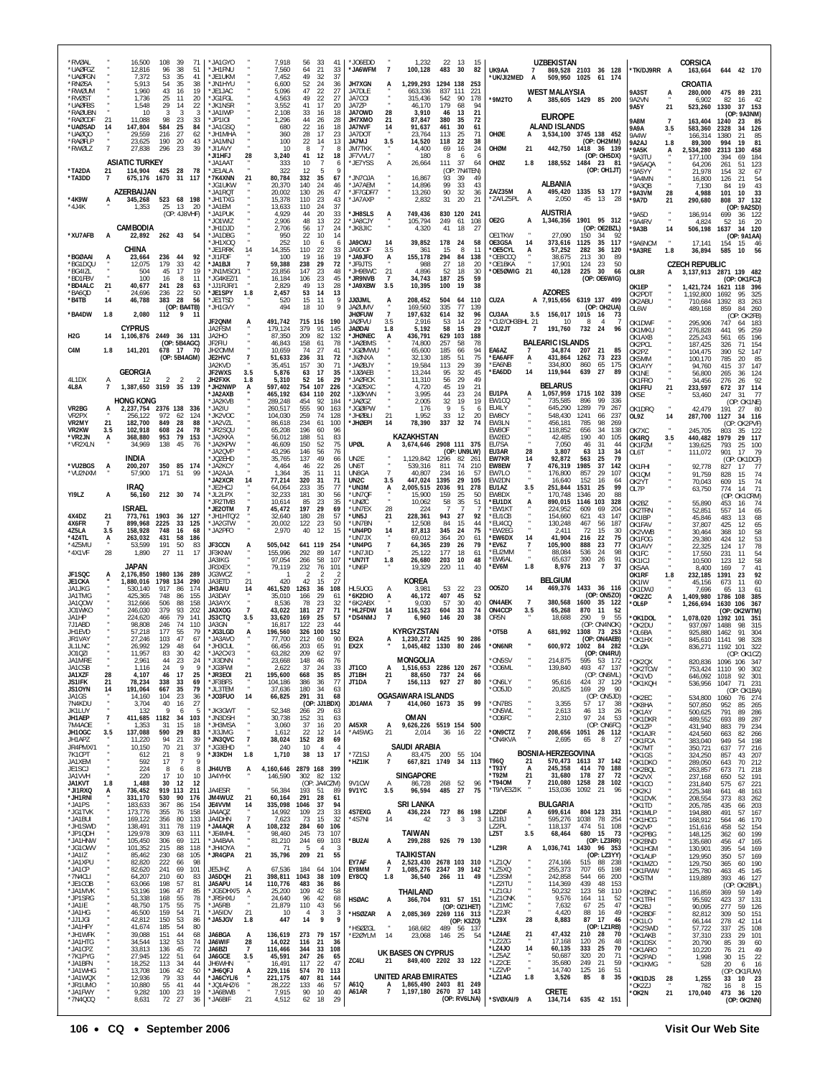| *RVØAL<br>*UAØFGZ                   |                | 16,500<br>12,816                                        | 108<br>96              | -39<br>71<br>38<br>51                      | * JA1GYO<br>*JH1FNU                  |                       | 7.918<br>7,560                    | 56<br>-33<br>64<br>21                 | 41<br>33                               | *JO6EDD<br>*JA6WFM                       | $\overline{7}$              | 1.232<br>100,128                                         | 22 13<br>483        | 30                              | -15<br>82       | UK9AA                           | $7^{\circ}$          | <b>UZBEKISTAN</b><br>869,528 2103 36 128       |                       |                                       | *TK/DJ9RR A                            |                | <b>CORSICA</b>                  | 644 42 170                                                  |
|-------------------------------------|----------------|---------------------------------------------------------|------------------------|--------------------------------------------|--------------------------------------|-----------------------|-----------------------------------|---------------------------------------|----------------------------------------|------------------------------------------|-----------------------------|----------------------------------------------------------|---------------------|---------------------------------|-----------------|---------------------------------|----------------------|------------------------------------------------|-----------------------|---------------------------------------|----------------------------------------|----------------|---------------------------------|-------------------------------------------------------------|
| *UAØFGN<br>*RNØSA                   |                | 7,372<br>5.913                                          | 53<br>54               | 35<br>41<br>35<br>38                       | *JE1UKM<br>*JN1HYU                   |                       | 7,452<br>6,600                    | 49<br>32<br>52<br>24                  | 37<br>36                               | JH7XGN                                   | A                           | 1,299,293                                                | 1294 138            | 253                             |                 | UK/JI2MED                       | A                    | 509,950 1025 61 174                            |                       |                                       |                                        |                | 163,664<br>CROATIA              |                                                             |
| *RWØUM<br>*RVØST<br>*UAØFBS         |                | 1,960<br>1,736<br>1,548                                 | 43<br>25<br>29         | 19<br>16<br>11<br>20<br>22<br>14           | *JE1JAC<br>*JG1FGL<br>*JK1NSR        |                       | 5,096<br>4,563<br>3,552           | 47<br>22<br>49<br>22<br>17<br>41      | 27<br>27<br>20                         | JA7DLE<br>JA7COI<br>JA7ZP                |                             | 663,336<br>315,436<br>46,170                             | 837<br>542<br>179   | 111<br>221<br>90<br>178<br>68   | -94             | *9M2TO                          | A                    | <b>WEST MALAYSIA</b><br>385,605 1429 85 200    |                       |                                       | 9A3ST<br>9A2VN<br>9A5Y                 | А<br>21        | 280,000<br>6,902<br>523,260     | 475<br>89 231<br>82<br>-16<br>- 42<br>1330<br>37<br>153     |
| *RAØUBN<br>*RAØCDF                  | 21             | 10<br>11,088                                            | 3<br>98                | 3<br>-3<br>-23<br>33                       | *JA1IWP<br>*JP1IOI                   |                       | 2,108<br>1,296                    | 33<br>16<br>44<br>26                  | 18<br>28                               | JA70WD<br>JH7XMO                         | 28<br>21                    | 3,910<br>87,847                                          | 46<br>380           | 13<br>35                        | 21<br>72        |                                 |                      | <b>EUROPE</b>                                  |                       |                                       | <b>9A8M</b>                            | $\overline{7}$ | 163,404                         | (OP: 9A3NM)<br>1240<br>23<br>85                             |
| *UAØSAD<br>*UAØQO<br>*RAØFI P       | 14             | 147,804<br>29,559<br>23.625                             | 584<br>216<br>190      | 25<br>84<br>27<br>62<br>20<br>43           | *JA1GSQ<br>*JH1MHA<br>* JA1MN J      |                       | 680<br>360<br>100                 | 22<br>16<br>28<br>17<br>22<br>14      | 18<br>23<br>13                         | <b>JA7NVF</b><br>JA7DOT<br><b>JA7MJ</b>  | 14<br>3.5                   | 91,637<br>23,764<br>14,520                               | 461<br>113<br>118   | 30<br>25<br>22                  | 61<br>71<br>-38 | OHØE                            | A                    | <b>ALAND ISLANDS</b><br>3,534,100 3745 138 452 |                       | (OP: OH2MM)                           | 9A9A<br>9A4W<br>9A2AJ                  | 3.5<br>1.8     | 583,360<br>166,314<br>89,300    | 2328<br>34<br>126<br>1380<br>21<br>85<br>994<br>19<br>81    |
| *RWØLZ                              | $\overline{7}$ | 27,838                                                  | 296                    | 23<br>39                                   | *JI1AVY<br>*JI1HEJ                   | 28                    | 10<br>3,240                       | 8<br>41<br>12                         | 8<br>18                                | <b>JM7TKK</b><br>JF7VVL/7                |                             | 4,400<br>180                                             | 69<br>8             | 16<br>6                         | 24<br>-6        | OHØM                            | 21                   | 442,750 1418 36 139                            |                       | (OP: OH5DX)                           | *9A5K<br>*9A3TU                        | А              | 2,534,280<br>177,100            | 2313<br>130<br>458<br>184<br>394<br>69                      |
| *TA2DA<br>*TA3DD                    | 21<br>7        | <b>ASIATIC TURKEY</b><br>114,904<br>675,176 1670 31 117 | 425                    | 28<br>78                                   | *JA1AAT<br>* JF1AI A<br>*7K4XNN      | 21                    | 333<br>322<br>80,784              | 10<br>12<br>332<br>35                 | $\overline{7}$<br>6<br>-5<br>67        | *JE7YSS<br>*JN7OJA                       | Α                           | 26,664<br>16,867                                         | 111<br>93           | 37<br>(OP: 7N4TEN)<br>39        | 64<br>49        | OHØZ                            | 1.8                  | 188,552 1484 23                                |                       | - 81<br>(OP: OH1JT)                   | *9A5AQA<br>*9A5YY<br>'9A4MN            |                | 64.206<br>21,978<br>16,800      | 123<br>261<br>51<br>154<br>32<br>67<br>126<br>21<br>54      |
|                                     |                | AZERBAIJAN                                              |                        |                                            | *JG1UKW<br>'JA1RQT                   |                       | 20,370<br>20,002                  | 140<br>-24<br>130<br>26               | 46<br>47                               | *JA7AEM<br>*JF7GDF/7                     |                             | 14,896<br>13,260                                         | 99<br>90            | 33<br>32                        | 43<br>36        | ZA/Z35M                         | А<br>$\mathsf{A}$    | <b>ALBANIA</b><br>495,420                      |                       | 1335 53 177                           | 9A3QB<br>'9A3VM                        | 28             | 7,130<br>4,988                  | 84<br>19<br>43<br>- 33<br>101<br>10                         |
| *4K9W<br>*4J4K                      |                | 345,268<br>1,353                                        | 25                     | 523 68 198<br>13<br>20<br>(OP: 4J8VHF)     | *JH1TXG<br>*JA1EM<br>*JA1PUK         |                       | 15,378<br>13,633<br>4,929         | 110<br>-23<br>110<br>24<br>44<br>-20  | 43<br>37<br>33                         | *JA7AXP<br>*JH8SLS                       | А                           | 2,832<br>749,436                                         | 31<br>830 120       | 20<br>-241                      | 21              | ZA/LZ5PL*                       |                      | 2.050<br><b>AUSTRIA</b>                        | 45 13                 | - 28                                  | *9A7D<br>'9A5D                         | 21             | 290,680<br>186,914              | 808<br>37<br>132<br>(OP: 9A2SD)<br>699<br>36<br>122         |
|                                     |                | CAMBODIA                                                |                        |                                            | 'JO1WIZ<br>*JH1DJD                   |                       | 2,906<br>2,706                    | 48<br>13<br>17<br>56                  | 22<br>24                               | *JA8CJY<br>*JK8JIC                       |                             | 105,794<br>4,320                                         | 249<br>41           | 61<br>108<br>18                 | -27             | OE2G                            | A                    | 1,346,356                                      |                       | 1901 95 312<br>(OP: OE2BZL)           | '9A4RV<br>'9А3В                        | $\cdot$<br>14  | 4,824<br>506,198                | - 20<br>52<br>-16<br>1637<br>34 120                         |
| *XU7AFB                             | A              | 22,892<br><b>CHINA</b>                                  | 262 43                 | 54                                         | *JA1DBG<br>*JH1XOQ<br>* JF1RRK       | 14                    | 950<br>252<br>14,355              | 22<br>10<br>10<br>110<br>-22          | 14<br>6<br>33                          | <b>JA9CWJ</b><br>JA9DOF                  | 14<br>3.5                   | 39,852<br>361                                            | 178<br>15           | 24<br>8                         | 58<br>-11       | OF1TKW<br>OE3GSA<br>*OE5CYL     | 14<br>A              | 27.090<br>373,616<br>57,252                    | 150<br>1125<br>282    | 34<br>92<br>35<br>117<br>36<br>120    | '9A6NCM<br>*9A3RE                      | $\cdot$<br>1.8 | 17.141<br>36,894                | (OP: 9A1AA)<br>154<br>-15<br>- 46<br>585<br>10<br>- 56      |
| *BGØAAI<br>*BG1DQU                  |                | 23.664<br>12.075                                        | 236<br>179             | 44<br>92<br>33<br>42                       | *JI1FDF<br>*JA1BJI                   |                       | 100<br>59,388                     | 19<br>238<br>29                       | 16<br>19<br>72                         | *JA9JFO<br>* JF9 JTS                     | А                           | 155,178<br>988                                           | 294<br>27           | 84<br>18                        | 138<br>-20      | OE8CCQ*<br><b>OF1BKA</b>        |                      | 38,675<br>17,901                               | 213<br>124            | 30<br>89<br>23<br>50                  |                                        |                | <b>CZECH REPUBLIC</b>           |                                                             |
| *BG4IZL<br>*BD1FBV<br>*BD4ALC       | 21             | 504<br>100<br>40,677                                    | 45<br>16<br>241        | 17<br>19<br>11<br>-8<br>28<br>63           | *JN1MSO/1<br>* JG4KF7/1<br>*JJ1RJR/1 |                       | 23,856<br>16,184<br>2,829         | 147<br>23<br>23<br>106<br>49<br>13    | 48<br>45<br>28                         | *JH9BWC<br>*JR9NVB<br>*JA9XBW            | 21<br>$\overline{7}$<br>3.5 | 4,896<br>34.743<br>10,395                                | 52<br>187<br>100    | 18<br>25<br>19                  | 30<br>59<br>38  | OE50WIG 21                      |                      | 40,128                                         | 225                   | 30<br>66<br>(OP: OE6WIG)              | OL8R<br>OK1EP                          | A              | 1,421,724                       | 3, 137, 913 2871 139 482<br>(OP: OK1FCJ)<br>1621 118 396    |
| *BA6QD<br>*B4TB                     | 14             | 24,696<br>46,788                                        | 236<br>383             | 22<br>50<br>28<br>56                       | *JE1SPY<br>*JE1TSD                   | 1.8                   | 2,457<br>520                      | 53<br>14<br>15<br>11                  | 13<br>9                                | <b>JJØJML</b>                            | Ą                           | 208,452                                                  | 504                 | 64<br>110                       |                 | CU2A                            |                      | <b>AZORES</b><br>A 7,915,656                   |                       | 6319 137 499<br>(OP: OH2UA)           | OK2PDT<br>OK2ABU                       |                | 1,192,800<br>710,684            | 1692<br>95<br>325<br>1392<br>83<br>263                      |
| *BA4DW                              | 1.8            | 2,080                                                   | 112 9                  | (OP: BA4TB)<br>11                          | *JH1GVY<br>JF2QNM                    |                       | 494<br>491,742                    | 18<br>10<br>715 116                   | 9<br>190                               | <b>JAØUMV</b><br>jhøfuw<br>JAØFVU        | $\overline{7}$<br>3.5       | 169,560<br>197,632<br>2,916                              | 335<br>614<br>53    | 77<br>139<br>32<br>14           | 96<br>22        | CU3AA<br>*CU2/OH3BHL 21         | 3.5                  | 156,017<br>10                                  | 1015<br>-8            | 16<br>- 73<br>$\mathbf{A}$            | OL6W<br>OK1DWF                         |                | 489,168<br>295,906              | 260<br>859<br>84<br>(OP: OK2FB)<br>747<br>64<br>183         |
| H <sub>2</sub> G                    | 14             | <b>CYPRUS</b><br>1,106,876 2449 36 131                  |                        |                                            | JA2FSM<br>JA2HO<br>JF2FIU            |                       | 179,124<br>87,350<br>46,843       | 379<br>91<br>209<br>82                | 145<br>132<br>78                       | JAØDAI<br><b>JHØNEC</b><br>*JAØBMS       | 1.8<br>А                    | 5,192<br>436,791<br>74.800                               | 58<br>629 103       | 15<br>188<br>58                 | 29<br>78        | *CU2JT                          | $\overline{7}$       | 191,760<br><b>BALEARIC ISLANDS</b>             | 732                   | 24<br>96                              | OK1MKU<br>OK1AXB                       |                | 276,828<br>225,243              | 259<br>441<br>95<br>196<br>561<br>65                        |
| C4M                                 | 1.8            | 141,201                                                 | 678                    | (OP: 5B4AGC)<br>17<br>-70<br>(OP: 5B4AGM)  | JH2OMM<br>JF2HVC                     | $\overline{1}$        | 10,659<br>51,633                  | 158<br>-61<br>74<br>27<br>236<br>31   | 41<br>72                               | *JGØMWU<br>AXVQIL*                       |                             | 65,600<br>32,130                                         | 257<br>185<br>185   | 66<br>51                        | 94<br>75        | EA6AZ<br>*EA6AFF                | A                    | 34,874<br>431,864                              | 207<br>1262           | 21<br>85<br>73<br>223                 | OK2PCL<br>OK2P7<br>OK5MM               |                | 187,425<br>104,475<br>100,170   | 326<br>71<br>154<br>147<br>390<br>52<br>785<br>20<br>85     |
| 4L1DX                               |                | <b>GEORGIA</b><br>12                                    | 2                      | $\overline{2}$<br>2                        | JA2KVD<br>JF2WXS<br>JH2FXK           | 3.5<br>1.8            | 35,451<br>5,876<br>5,310          | 157<br>30<br>17<br>63<br>52           | 71<br>35<br>29                         | *JAØBJY<br>*JJØAEB<br>* JAØRCK           |                             | 19,584<br>13,244                                         | 113<br>95<br>56     | 29<br>32<br>29                  | 39<br>45<br>49  | *EA6NB<br>*EA6DD                | 14                   | 334,800<br>119,944                             | 860<br>639            | 65<br>175<br>27<br>89                 | OK1AYY<br>OK1NE                        |                | 94.760<br>56,800                | 415<br>-37<br>147<br>124<br>265<br>36                       |
| 4L8A                                | $\overline{7}$ | 1,387,650 3159 35 139                                   |                        |                                            | *JH2NWP<br>*JA2AXB                   | A                     | 597,402<br>465,192                | 16<br>754 107<br>634 110              | 226<br>202                             | *JGØSXC<br>*JJØKWN                       |                             | 11,310<br>4,720<br>3,995                                 | 45<br>44            | 19<br>23                        | 21<br>24        | EU1PA                           | А                    | BELARUS<br>1.057.959                           |                       | 1715 102 339                          | OK1FRO<br>OK1FFU<br>OK5E               | 21             | 34.456<br>233,597<br>53,460     | 92<br>276<br>-26<br>672<br>37<br>114<br>77<br>247<br>-31    |
| VR2BG<br>VR2PX                      |                | <b>HONG KONG</b><br>2,237,754 2376 138<br>256.122       | 972                    | 336<br>62<br>124                           | * JA2KVB<br>*JA2IU<br>*JK2VOC        |                       | 289,248<br>260,517                | 454<br>-92<br>555<br>90<br>259<br>74  | 184<br>163<br>128                      | JAØGZ <sup>.</sup><br>*Jgøipw<br>*JHØBLI | 21                          | 2,005<br>176<br>1,952                                    | 32<br>9<br>33       | 19<br>5<br>12                   | 19<br>-6        | FW1CO<br>EU4LY<br>EW8CY         |                      | 735.585<br>645,290<br>548,430                  | 896<br>1289<br>1241   | 99<br>336<br>79<br>267<br>66<br>-237  | OK1DRQ                                 |                | 42,479                          | (OP: OK1NE)<br>191<br>27<br>- 80                            |
| VR2MY<br>VR2KW                      | 21<br>3.5      | 182,700<br>102,918                                      | 849<br>608             | 28<br>88<br>78<br>-24                      | *JA2VZL<br>*JR2SQU                   |                       | 104,030<br>86,618<br>65,208       | 234<br>61<br>196<br>60                | 100<br>96                              | *JHØEPI                                  | 14                          | 78,390                                                   | 337                 | 32                              | 20<br>74        | EW3LN<br>EW80F                  |                      | 456,181<br>118.852                             | 785<br>656            | 98<br>269<br>-34<br>138               | OL9Z<br>OK7XC                          | 14             | 287,700<br>245,705              | 1127<br>34<br>116<br>OK2PVF)<br>(OP<br>803<br>35<br>122     |
| *VR2JN<br>*VR2XLN                   | A              | 368,880<br>34,969                                       | 953<br>138             | 79<br>153<br>45<br>76                      | * JA2KKA<br>*JA2KPW<br>JA20VP        |                       | 56,012<br>46,609<br>43,296        | 188<br>51<br>150<br>52<br>146<br>56   | 83<br>75<br>76                         | UPØL                                     | A                           | KAZAKHSTAN<br>3,674,646 2908 111 375                     |                     | (OP: UN9LW)                     |                 | EW2EO<br>EU7SA<br>EU3AR         | 28                   | 42,485<br>7,050<br>3,807                       | 190<br>46<br>63       | 40<br>105<br>31<br>44<br>13<br>34     | OK4RQ<br>OK1FZM                        | 3.5            | 440,482<br>139,625              | 29<br>117<br>1979<br>793<br>25<br>100<br>17                 |
| *VU2BGS                             | A              | INDIA<br>200,207                                        |                        | 350 85 174                                 | *JQ2EHD<br>* JA2KCY                  |                       | 35,765<br>4,464                   | 137<br>49<br>22<br>46                 | 66<br>26                               | UN2E<br>UN6T                             |                             | 1,129,842<br>539,316                                     | 1296<br>811         | 82<br>$26^{\circ}$<br>74<br>210 |                 | <b>EW7KR</b><br>EW8EW           | 14<br>$\overline{7}$ | 92,872<br>476,319                              | 563<br>1985           | 79<br>25<br>37<br>142                 | OL6T<br>OK1FHI                         |                | 111,072<br>92,778               | 901<br>79<br>OK1DCF)<br>(OP)<br>827<br>77<br>17             |
| *VU2NXM                             |                | 57.900<br><b>IRAQ</b>                                   | 171                    | 51<br>-99                                  | * JA2AJA<br>*JA2XCR<br>*JE2HCJ       | 14                    | 1,364<br>77,214<br>64,064         | 35<br>11<br>320<br>-31<br>233<br>35   | 11<br>71<br>77                         | UN8GA<br>UN2C<br>*UN3M                   | $\overline{7}$<br>3.5<br>А  | 40,807<br>447,024<br>2,005,515                           | 234<br>1395<br>2036 | 16<br>29<br>105<br>91<br>278    | 57              | EW7LO<br>EW2DN<br>EU1AZ         | 3.5                  | 176,800<br>16,640<br>251,844                   | 857<br>152<br>1531    | 29<br>107<br>16<br>64<br>25<br>99     | OK1QM<br>OK2YT<br>OL7P                 |                | 91,759<br>70,043<br>63,750      | 74<br>828<br>15<br>609<br>15<br>74<br>71<br>774<br>-14      |
| YI9LZ                               | А              | 56,160                                                  |                        | 212 30 74                                  | *JL2LPX<br>*JR2TMB                   |                       | 32,233<br>10,614                  | 181<br>30<br>85<br>23                 | 56<br>35                               | *UN7QF<br>*UNØC                          |                             | 15.900<br>10,062                                         | 159<br>58           | 25<br>35                        | 50<br>51        | EW8DX<br>*EU1DX                 | А                    | 170.748<br>890,015                             | 1346<br>1146          | 20<br>88<br>103<br>328                | OK2BZ                                  |                | 55,890                          | (OP: OK1CRM)<br>74<br>453<br>16                             |
| 4X4DZ<br>4X6FR                      | 21<br>7        | ISRAEL<br>773,761<br>899,968                            | 1903<br>2225           | 36 127<br>125<br>33                        | *JE2OTM<br>*JH1HTQ/2<br>*JA2GTW      |                       | 45,472<br>32,640<br>20,002        | 197<br>29<br>180<br>28<br>122<br>23   | 69<br>57<br>50                         | *UN7EX<br>*UN5J<br>*UN7BN                | 28<br>21                    | 224<br>228,361<br>12,508                                 | -7<br>943<br>84     | $\overline{7}$<br>27<br>15      | 92<br>44        | *EW1KT<br>*EU1CB<br>*EU4CQ      |                      | 224.952<br>154.660<br>130,248                  | 609<br>621<br>467     | 69<br>204<br>43<br>147<br>56<br>187   | OK2TRN<br>OK1IBP<br>OK1FAV             |                | 52,851<br>45,846<br>37,807      | 557<br>14<br>65<br>13<br>68<br>483<br>425<br>12<br>65       |
| 4Z5LA<br>*4Z4TL                     | 3.5<br>А       | 158,928<br>263,032                                      | 748<br>431             | 16<br>68<br>58<br>186                      | *JA2PFO                              |                       | 2,970                             | 40<br>12                              | 15                                     | *UN4PD<br>*UN7JX                         | 14                          | 87,813<br>69.012                                         | 345<br>364          | 24<br>20                        | 75<br>61        | *EW2EG<br>*EW6DX                | 14                   | 2,411<br>41,904                                | 72<br>216             | 15<br>30<br>22<br>75                  | OK2VWB<br>OK1FOG                       |                | 30,464<br>29,380                | 58<br>368<br>10<br>424<br>53<br>12                          |
| *4Z5MU<br>*4X1VF                    | 28             | 53,599<br>1,890                                         | 191<br>27              | 50<br>83<br>11<br>-17                      | JF3CCN<br>JF3KNW<br>JA3IKG           | A                     | 505,042<br>155,996<br>97.054      | 641 119<br>292<br>- 89<br>266<br>-58  | 254<br>147<br>107                      | *UN4PG<br>*UN7JID<br>*UN7IT              | $\overline{7}$<br>1.8       | 64,365<br>25.122<br>26,680                               | 239<br>177<br>203   | 26<br>18<br>10                  | 79<br>61<br>48  | *EV6Z<br>*EU2MM<br>*EW6AL       | 7                    | 105,900<br>88.084<br>65,637                    | 888<br>536<br>390     | 23<br>77<br>-24<br>98<br>26<br>91     | OK1AVY<br>OK1FC<br>OK1ICJ              |                | 22,325<br>17,550<br>10,500      | 78<br>124<br>17<br>231<br>11<br>54<br>58<br>123<br>12       |
| JF1SQC                              | A              | JAPAN<br>2.176.850                                      |                        | 1980 136 289                               | JR3XEX<br>JG3WCZ                     |                       | 79,119                            | 232<br>76<br>2                        | 101<br>$\mathcal{P}$                   | *UN6P                                    |                             | 19,329                                                   | 220                 | 11                              | 40              | *EV6M                           | 1.8                  | 8,976                                          | 213                   | $\overline{7}$<br>37                  | OK5AA<br>OK1RF                         | 1.8            | 8.400<br>232,185                | 41<br>$\overline{7}$<br>169<br>1391<br>23<br>92             |
| JE1CKA<br>JA1JKG<br>JA1TMG          |                | 1,880,016<br>530.140<br>425.365                         | 1798 134<br>917<br>748 | 290<br>86<br>174<br>86<br>155              | JA3ETD<br>JH3AIU<br>JA3DAY           | 21<br>14              | 420<br>461,520<br>35,010          | 42<br>15<br>1263<br>-36<br>29<br>166  | 27<br>108<br>61                        | HL5UOG<br>*6K2DIO                        | A<br>А                      | KOREA<br>3,981<br>46,172                                 | 53<br>407           | 22<br>45                        | 23<br>52        | 005Z0                           | 14                   | <b>BELGIUM</b><br>469,376                      |                       | 1433 36 116<br>(OP: ON5ZO)            | OK <sub>1</sub> IW<br>OK1DWJ<br>*OK2ZC | А              | 45,156<br>7,696<br>1.409,980    | 673<br>60<br>-11<br>13<br>61<br>65<br>1786<br>108<br>385    |
| JA1QOW<br>JO1WKO                    |                | 312,666<br>246,030                                      | 506<br>379             | 158<br>88<br>93<br>202                     | JA3AYX<br>JA3XOG                     | $\overline{7}$        | 8.536<br>43,022                   | 23<br>78<br>181<br>27                 | 32<br>71                               | 6K2ABX<br>*HL2FDW                        | 14<br>-7                    | 9.030<br>116,523                                         | 57<br>604           | 30<br>33                        | 40<br>74        | <b>ON4AEK</b><br>ON4CCP<br>OR5N | 7<br>3.5             | 380,568<br>65,268<br>18,688                    | 1600<br>870<br>290    | 35 122<br>-11<br>- 52<br>-9<br>55     | *OL6P                                  |                | 1,266,694                       | 1630<br>106<br>367<br>(OP: OK2WTM)                          |
| JA1HP<br>7J1ABD<br>JH1EVD           |                | 224,620<br>98,808<br>57.218                             | 466<br>246<br>177      | 79<br>141<br>74<br>110<br>55<br>79         | JS3CTQ<br>JA3GN<br>*JG3LGD           | 3.5                   | 33,620<br>16,817<br>196,560       | 169<br>-25<br>122<br>23<br>326 100    | 57<br>44<br>152                        | *DS4NMJ                                  |                             | 6,960<br>KYRGYZSTAN                                      | 146                 | 20                              | 38              | OT5B                            | A                    | 681,992                                        | 1308                  | (OP: ON4NOK)<br>73 253                | *OK1DOL<br>*OK2DU<br>OL6BA             |                | 1,078,020<br>937.097<br>925,880 | 1392 101<br>351<br>1488<br>98<br>315<br>1462<br>91<br>304   |
| JR1VAY<br>JL1LNC<br>J010ZI          |                | 27,246<br>26,992<br>11,957                              | 103<br>129<br>83       | 47<br>67<br>48<br>64<br>30<br>42           | *JA3AVO<br>*JH3CUL<br>*JA2CX/3       |                       | 77,700<br>66,456<br>63,282        | 212<br>60<br>65<br>203<br>209<br>62   | 90<br>91<br>97                         | EX2A<br>EX2X                             | A                           | 1,230,272 1425<br>1,045,482 1330 80 246                  |                     | 90<br>286                       |                 | *ON6NR                          |                      | 600.972 1002 84 282                            |                       | (OP: ON4AEB)<br>(OP: ON4RU)           | *OK1HX<br>*OLØA                        |                | 845,610<br>836,271              | 98<br>328<br>1141<br>1192 101<br>322                        |
| JA1MRE<br>JA1CSB                    |                | 2,961<br>1.116                                          | 44<br>24               | 23<br>-24<br>9<br>9                        | JI3DNN<br>*JG3FWI                    |                       | 23,668<br>2,622                   | 148<br>46<br>37<br>24                 | 76<br>33                               | JT1CO                                    | A                           | MONGOLIA<br>1,516,653 2286 120 267                       |                     |                                 |                 | ON5SV<br>OO6ML*                 |                      | 139,840                                        |                       | 493 47 137                            | OK2QX<br>*OK2TCW                       |                | 820,836<br>753,424              | (OP: OK1CZ)<br><b>INAP INP</b><br>-347<br>1110<br>90<br>302 |
| JA1XZF<br>JS1IFK<br>JS10YN          | 28<br>21<br>14 | 4,107<br>78,234<br>191,064                              | 46<br>338<br>667       | 17<br>25<br>33<br>69<br>35<br>79           | *JR3E0I<br>*JF3BFS<br>*JL3TEM        | 21                    | 195,600<br>104,186<br>37,636      | 668<br>35<br>386<br>-36<br>180<br>34  | 85<br>77<br>63                         | JT1BH<br>JT1DA                           | 21<br>$\overline{7}$        | 88,650<br>156,113                                        | 737<br>927 27       | -24                             | 66<br>80        | ON6LY*<br>*005JD                |                      | 95,616<br>20,825                               | 169 29                | (OP: ON6ML)<br>424 37 129<br>90       | *OK1VD<br>*OK1KQH                      |                | 646,092<br>536,956              | 1018<br>92<br>301<br>1047<br>71 231<br>(OP: OK1BA)          |
| JA1GS<br>7N4KDU                     |                | 14.160<br>3,704                                         | 104<br>40              | 23<br>36<br>16<br>27                       | *J03FU0                              | 14                    | 66,825                            | 291<br>-31                            | 68<br>(OP: JJ1BDX)                     | JD1AMA                                   | 7                           | OGASAWARA ISLANDS<br>414,060 1673 35                     |                     |                                 | 99              | *ON7BS                          |                      | 3,355                                          | 57 17                 | (OP: ON5JD)<br>-38                    | *OK2EC<br>*ОК8НА                       |                | 534,800<br>507,850              | 1060<br>76 274<br>265<br>952<br>85                          |
| JK1LUY<br>JH1AEP<br>7M4AOE          | $\overline{7}$ | 132<br>411,685<br>1,353                                 | 9<br>1182<br>31        | -5<br>-6<br>34<br>103<br>15<br>18          | *JK3GWT<br>*JN3DSH<br>*JH3MSA        |                       | 52,348<br>30,738<br>3,060         | 266<br>-29<br>152<br>31<br>37<br>16   | 63<br>63<br>20                         | A45XR                                    | A                           | OMAN<br>9,626,226 5519 154 500                           |                     |                                 |                 | ON5WL*<br>*006FC                |                      | 2,613<br>2,310                                 | 46 13<br>97           | 26<br>24<br>53<br>(OP: ON6FC)         | *OK1AY<br>*OK1DKR<br>*OK1ZP            |                | 500,625<br>489,552<br>431,940   | 791<br>89<br>286<br>287<br>693<br>89<br>883<br>234<br>79    |
| JH10GC<br>JH1APZ                    | 3.5            | 137,088<br>11,220                                       | 590<br>94              | 29<br>83<br>21<br>39                       | *JI3JMG<br>*JN3QVC                   | $\overline{\cdot}$    | 1,612<br>38,024                   | 22<br>12<br>152<br>28                 | 14<br>69                               | *A45WG                                   | 21                          | 2,014                                                    | 36 16               |                                 | 22              | *ON9CTZ<br>*ON4KVA              | $\overline{7}$       | 208,656<br>2,695                               | 65                    | 1051 26 112<br>8<br>- 27              | *OK1AJR<br>*OK1FCA                     |                | 424,560<br>383,040              | 266<br>663<br>-82<br>949<br>198<br>54                       |
| JR4PMX/1<br>7K1CPT<br>JA1XEM        |                | 10,150<br>612<br>592                                    | 70<br>21<br>17         | 21<br>37<br>9<br>-8<br>$\overline{7}$<br>9 | *JG3EHD<br>*JI3KDH                   | 1.8                   | 240<br>1,710                      | 10<br>38<br>13                        | $\overline{4}$<br>$\overline{4}$<br>17 | *7Z1SJ<br>*HZ1IK                         | Α<br>$\overline{7}$         | SAUDI ARABIA<br>83,475 200 55 104<br>667.821 1749 34 113 |                     |                                 |                 | T96Q                            | 21                   | BOSNIA-HERZEGOVINA<br>570,473 1613 37 142      |                       |                                       | *OK7MT<br>'OK1GS<br>*OK1DKO            |                | 350,721<br>324,250<br>289,050   | 216<br>637<br>77<br>857<br>43<br>207<br>212<br>643<br>70    |
| JE1SCJ<br>JA1VVH                    |                | 224<br>220                                              | -8<br>17               | 8<br>6<br>10<br>10                         | JH4UYB<br>JA4YHX                     | А                     | 4,160,646 2879 168 399<br>146,590 | 302 82                                | 132                                    |                                          |                             | <b>SINGAPORE</b>                                         |                     |                                 |                 | *T93Y<br>*T92M                  | A<br>21              | 245,358<br>31,680                              | 414<br>178            | - 70<br>188<br>27<br>72               | *OK2BQL<br>*OK2VX                      |                | 263,857<br>237,168              | 71 218<br>673<br>650<br>52<br>191                           |
| <b>JA1KVT</b><br>*JI1RXQ<br>*JH1RNI | 1.8<br>А       | 1,488<br>736,452<br>331,170                             | 30<br>919 113<br>530   | 12<br>12<br>211<br>90<br>176               | JA4FSR<br>JM4WUZ                     | 21                    | 56,384<br>60,164                  | 193<br>-51<br>291<br>28               | (OP: JA4CZM)<br>-89<br>61              | 9V1CW<br>9V1YC                           | Α<br>3.5                    | 86,728<br>96,594                                         | 268<br>485          | 52<br>27                        | -96<br>75       | *T940M<br>*T9/VE3ZIK            | 7                    | 210,080 1258<br>153,036                        | 1092                  | 28<br>102<br>21<br>96                 | *OK1CO<br>*OK2KJ<br>*OK1DVK            |                | 231,840<br>225,348<br>208,554   | 575<br>221<br>67<br>641<br>48<br>163<br>373<br>262<br>83    |
| * JA1PS<br>*JG1TVK                  |                | 183,633<br>173,776                                      | 367<br>355             | 154<br>86<br>76<br>158                     | JF4VVM<br>JA4AQZ                     | 14<br>$\overline{7}$  | 335,098<br>14,992                 | 1046<br>-37<br>109<br>23<br>-73       | 94<br>33<br>-32                        | 4S7EXG                                   | А                           | <b>SRI LANKA</b><br>436,224                              | 727                 | 86 198                          |                 | LZ2DF                           | Ą.                   | <b>BULGARIA</b><br>699,614                     |                       | 804 123 331                           | *OK1TD<br>*OK1MLP                      |                | 205,785<br>194,880              | 435<br>203<br>-66<br>491<br>167<br>57                       |
| *JA1BUI<br>*JH1SWD<br>*JP1QDH       |                | 169,122<br>138,491<br>129,978                           | 356<br>311<br>309      | 80<br>133<br>78<br>119<br>111<br>63        | JA4DHN<br>*JA4AQR<br>*JE4MHL         | А                     | 7,623<br>108,232<br>98,460        | 15<br>284<br>60<br>245<br>73          | 106<br>107                             | *4S7NI                                   | 14                          | 42<br>TAIWAN                                             | 3                   | 3                               | -3              | LZ1BJ<br>LZ2PL<br>LZ5T          | 3.5                  | 595,276<br>118,137<br>68,464                   | 1038<br>474<br>680 15 | 78<br>-254<br>51<br>108<br>- 73       | *OK1HCG<br>*OK2VP<br>*OK2PBG           |                | 168,912<br>151,616<br>148,125   | 564<br>46<br>170<br>458<br>154<br>52<br>199<br>362<br>60    |
| <b>MAHTAL*</b><br>*JG10WV           |                | 105,450<br>101,352<br>85,462                            | 306<br>215             | 69<br>121<br>88<br>118                     | * JA4BAA<br>*JH4OYA                  | $\cdot$<br>21         | 81,210<br>-71                     | 244<br>69<br>-5                       | 103<br>$\overline{4}$<br>3             | *BU2AI                                   | A                           | 299,288<br>TAJIKISTAN                                    |                     | 926 79 130                      |                 | *LZ9R                           | А                    | 1,036,741                                      |                       | (OP: LZ3RR)<br>1430 96 353            | *OK2BND<br>*OK1HGM                     |                | 135,680<br>130,901              | 165<br>456<br>47<br>395<br>54<br>169                        |
| * JA1IZ<br>*JA1XPU<br>*JA1CP        |                | 82,820<br>82,620                                        | 230<br>222<br>241      | 68<br>105<br>66<br>-98<br>69<br>101        | *JR4GPA<br>JE5JHZ                    | A                     | 35,796<br>67,536                  | 209<br>21<br>184<br>-64               | 55<br>104                              | EY7AF<br>EY8MM                           | A<br>$\overline{7}$         | 2,523,430 2678 103 310<br>1,085,276 2347 39 142          |                     |                                 |                 | *LZ1QV<br>*LZ5XQ                |                      | 274,166<br>255,373                             | 515<br>707            | (OP: LZ3YY)<br>88 238<br>65<br>198    | *OK1AUP<br>*OK1MZO<br>*OK1FWW          |                | 129,950<br>129,750<br>125,780   | 350<br>57<br>169<br>190<br>365<br>60<br>45 145<br>463       |
| *7N4CLI<br>*JE1COB<br>*JA1MVK       |                | 64,207<br>63,066<br>53,196                              | 210<br>198<br>196      | 60<br>83<br>57<br>81<br>47<br>85           | JA5DQH<br>JA5APU<br>*JG5DHX/5 A      | 21<br>14              | 398,811<br>110,776<br>25,200      | 1043<br>38<br>483<br>-36<br>109<br>42 | 109<br>-86<br>58                       | EY8CQ                                    | 1.8                         | 36,540<br>THAILAND                                       | 266                 | 11                              | -49             | *LZ3SM<br>*LZ2ITU<br>*LZ1GU     |                      | 242,858<br>114,369<br>50,232                   | 544<br>439<br>123     | 66<br>200<br>48<br>153<br>-58<br>110  | *OK5TM<br>*OK2BNC                      |                | 119,889                         | 46 127<br>393<br>(OP)<br>OK2BPL)<br>59                      |
| *JP1SRG<br>*JA1IE                   |                | 51,338<br>48,750                                        | 168<br>175             | 78<br>55<br>55<br>75                       | *JR5HXU<br>*JA5RB                    |                       | 24,640<br>21,879                  | 96<br>42<br>110<br>43                 | 68<br>56                               | <b>HSØAC</b>                             | А                           | 366,704                                                  |                     | 931 57 151<br>(OP: OZ1HET)      |                 | *LZ1ONK<br>*LZ1MC               |                      | 9,576<br>7,632                                 | 164<br>67             | 11<br>52<br>25<br>47                  | *OK1TFH<br>*OK2BJ                      | ×              | 116,859<br>95,592<br>90,095     | 369<br>149<br>423<br>37 131<br>277<br>59<br>126             |
| * JA1HG<br>*JJ1JGI<br>*JA1HFY       |                | 46,500<br>42,812<br>41,674                              | 159<br>150<br>185      | 54<br>71<br>53<br>86<br>54<br>80           | * JA5IDV<br>*JA5JGV                  | 21<br>1.8             | 10<br>447                         | -4<br>14                              | 3<br>-3<br>9<br>9                      | *HSØZAR<br>'HSØZGL                       | A                           | 2,085,369<br>168,682                                     | 2269 116 313<br>489 | (OP: K3ZO)<br>56 137            |                 | *172.JR<br>*LZ9X                | 28                   | 4,420<br>8,883                                 | 88<br>87              | 16<br>49<br>- 17<br>46<br>(OP: LZ1RB) | *OK2BDF<br>*OK1LO<br>*OK2SWD           |                | 82,812<br>66,144<br>57,722      | 309<br>50<br>151<br>42 114<br>278<br>337<br>25<br>108       |
| *JH1WFK<br>*JA1HTG                  |                | 39,088<br>34,544                                        | 151<br>132             | 44<br>68<br>53<br>74                       | JA6BGA<br>JA6WIF                     | А<br>28               | 136,619<br>14,022                 | 273 79<br>116<br>-21                  | 157<br>36                              | E20YLM                                   | 14                          | 23,068                                                   | 146 25              |                                 | 54              | *LZ4AE<br>*I 727G               | 21                   | 47,432<br>17.168                               | 210<br>120            | 28<br>70<br>26<br>48                  | *OK1AKB<br>*OK1DSX                     |                | 37,310<br>20,790                | 101<br>233<br>29<br>85<br>39<br>60                          |
| *JA1CPZ<br>*7K1PYG<br>*JA1BFN       |                | 33,813<br>27,945<br>18,252                              | 136<br>122<br>113      | 45<br>72<br>51<br>64<br>34<br>44           | JA6BZI<br>JA6GCE<br>JH6WHN           | $\overline{7}$<br>3.5 | 116,466<br>45,591<br>16,491       | 344<br>33<br>247<br>-26<br>117<br>22  | 108<br>65<br>47                        | ZC4LI                                    | 21                          | UK BASES ON CYPRUS<br>849,400 2202 33 122                |                     |                                 |                 | *LZ4JO<br>LZ5AZ*<br>*LZ2CE      | 14                   | 60,135<br>50,687<br>35,680                     | 333<br>320<br>249     | 25<br>70<br>20<br>71<br>21<br>59      | *OK1ARO<br>*OK2PAD<br>*OK1KMG          |                | 10,220<br>1,998<br>528          | 49<br>76<br>21<br>22<br>30<br>15<br>16<br>20<br>6           |
| *JA1WHG<br>*JA1WQX                  |                | 13,708<br>12,936                                        | 106<br>79              | 42<br>50<br>33<br>44                       | *JH6QFJ<br>*JA6CYL/6                 | А                     | 229,116<br>221,175                | 70<br>574<br>407<br>81                | 113<br>144                             |                                          |                             | UNITED ARAB EMIRATES                                     |                     |                                 |                 | *LZ2VP<br>*LZ1AG                | 1.8                  | 14,740<br>3,526                                | 125<br>85             | 51<br>16<br>8<br>35                   | *OK1DJS                                | 28             | 1,255                           | (OP: OK1FUW)<br>10<br>23<br>33                              |
| *JR1UMO<br>*JA1FWY<br>*7N4QCQ       |                | 10,880<br>9,282<br>8,631                                | 55<br>100<br>72        | -41<br>44<br>19<br>23<br>27<br>36          | *JQ1AHZ/6<br>*JA6BWB<br>*JA6BIF      | 21                    | 28,222<br>7,915<br>4,512          | 133<br>46<br>90<br>10<br>62<br>18     | 57<br>40<br>29                         | A61Q<br>A61AR                            | A<br>$\overline{7}$         | 1,865,490 2403 81 249<br>1,197,180 2670 37 143           |                     | (OP: RV6LNA)                    |                 | *SVØXAI/9                       | A                    | CRETE<br>134,714                               |                       | 635 42 151                            | *OK2ZJ<br>*OK2N                        | 21             | 782<br>170,040                  | 16<br>8<br>- 15<br>473 36 120<br>(OP: OK2NN)                |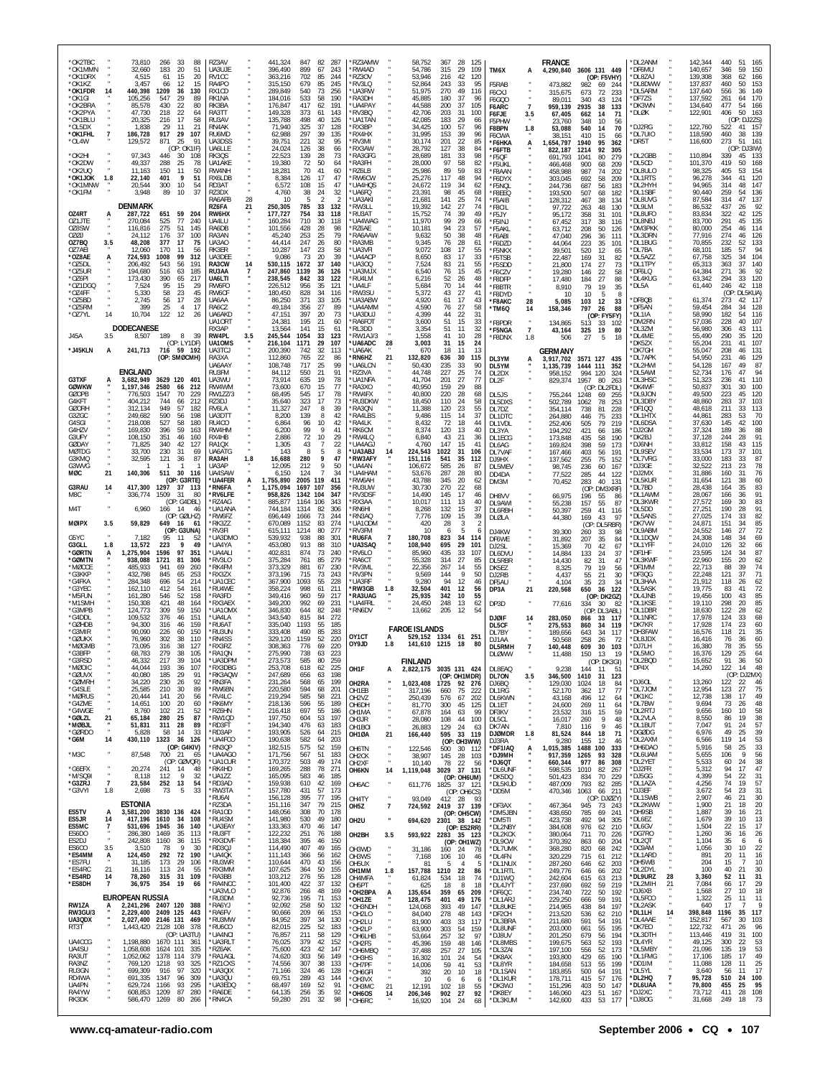| *OK2TBC                      |                       | 73,810                          | 266              | 33<br>88                          | RZ3AV                   |     | 441,324              | 847                               | 82 287                 | *RZ3AMW                        |                | 58,752                          | 367         | 28<br>125                        |                        |                           | <b>FRANCE</b>          |                                         | *DL2ANM                 |          | 142,344            | 440<br>51<br>- 165                    |
|------------------------------|-----------------------|---------------------------------|------------------|-----------------------------------|-------------------------|-----|----------------------|-----------------------------------|------------------------|--------------------------------|----------------|---------------------------------|-------------|----------------------------------|------------------------|---------------------------|------------------------|-----------------------------------------|-------------------------|----------|--------------------|---------------------------------------|
| *OK1MMN<br>*OK1DRX           |                       | 32,660<br>4,515                 | 183<br>61        | 20<br>51<br>15<br>20              | UA3UJE<br>RV1CC         |     | 396,490<br>363,216   | 899<br>67<br>702<br>85            | 243<br>244             | 'RW4AD<br>RZ30V                |                | 54,786<br>53,946                | 315<br>216  | 29<br>109<br>42<br>120           | TM6X                   | А                         | 4,290,840              | 3606 131 449                            | *DF6MU<br>*DL8ZAJ       |          | 140,657<br>139,308 | 346<br>59<br>150<br>368<br>62         |
| *OK1KZ                       |                       | 3,457                           | 66               | 12<br>15                          | RA4PO                   |     | 315,150              | 679<br>85                         | 245                    | 'RV3LQ                         |                | 52,864                          | 243         | 33<br>95                         | F5RAB                  |                           | 473,882                | (OP: F5VHY)<br>982<br>69<br>244         | *DL8DWW                 |          | 137,837            | 166<br>460<br>50<br>153               |
| *OK1FDR<br>*OK1GI            | 14                    | 440,398<br>105,256              | 1209<br>547      | 36<br>130<br>29<br>89             | RX1CD<br>RK1NA          |     | 289,849<br>184,016   | 540<br>73<br>533<br>58            | 256<br>190             | *UA3RW<br>*RA3DH               |                | 51,975<br>45,885                | 270<br>180  | 49<br>116<br>37<br>96            | F6CXJ<br>F6GQ0         |                           | 315,675<br>89,011      | 673<br>72<br>233<br>340<br>43<br>124    | *DL5ARM<br>*DF7ZS       |          | 137,640<br>137,592 | 149<br>556<br>36<br>261<br>170<br>64  |
| *OK2BRA<br>*OK2PYA           |                       | 85,578<br>47,730                | 430<br>218       | 22<br>80<br>22<br>64              | RK3BA<br>RA3TT          |     | 176,847<br>149,328   | 417<br>62<br>373<br>61            | 191<br>143             | *UA4PAY<br>'RV3BQ              |                | 44,588<br>42,706                | 200<br>203  | 37<br>105<br>31<br>100           | F6ARC<br>F6FJE         | $\overline{7}$<br>3.5     | 959,139<br>67,405      | 2935<br>38<br>133<br>662<br>14<br>71    | *DK3WN<br>*DLØK         |          | 134,640<br>122,901 | 477<br>54<br>166<br>406<br>50<br>163  |
| *OK1BLU<br>*OL5DX            |                       | 20,325<br>1,838                 | 216<br>29        | 17<br>58<br>11<br>21              | RU3AV<br>RN4AK          |     | 135,788<br>71,940    | 498<br>40<br>325<br>37            | 126<br>128             | *UA1TAN<br><b>RX3BP</b>        |                | 42,085<br>34,425                | 183<br>100  | 29<br>66<br>57<br>96             | F5PHW                  |                           | 23,760                 | 348<br>10<br>56                         | DJ2RG                   |          | 122,760            | (OP: DJ2ZS)<br>522<br>157<br>41       |
| *OK1FHL                      | $\overline{7}$        | 186,728                         | 917              | 29<br>107                         | RU6MD                   |     | 62,988               | 297<br>39                         | 135                    | 'RX4HX                         |                | 31,995                          | 153         | 39<br>96                         | F8BPN<br>F6CWA         | 1.8                       | 53,088<br>38.151       | 540<br>14<br>70<br>410<br>15<br>66      | *DL7UIO                 |          | 118,590            | 460<br>38<br>139                      |
| *OL4W                        |                       | 129,572                         | 871              | 25<br>91<br>(OP: OK1IF)           | UA3DSS<br>UA6LLE        |     | 39,751<br>24,024     | 221<br>32<br>126<br>38            | 95<br>66               | <b>RV3MI</b><br>'RX3AW         |                | 30,174<br>28,792                | 201<br>127  | 22<br>85<br>38<br>84             | *Г6НКА<br>*F6FTB       | А                         | 1.654.797<br>822,187   | 1940<br>95<br>362<br>1214<br>92<br>305  | 'DR5T                   |          | 116,600            | 273<br>51<br>161<br>(OP: DJ3IW)       |
| *OK2HI<br>*OK2DW             |                       | 97,343<br>49,337                | 446<br>288       | 30<br>108<br>25<br>78             | RK3QS<br>UA1AKE         |     | 22,523<br>19,380     | 139<br>28<br>72<br>50             | 73<br>64               | *RA3GFG<br>*RA3FH              |                | 28,689<br>28,000                | 181<br>97   | 33<br>98<br>58<br>82             | *F5QF<br>*F5UKL        |                           | 691,793<br>466,468     | 1041<br>80<br>279<br>900<br>68<br>209   | *DL2GBB<br>*DL5CD       |          | 110,894<br>101,370 | 339<br>45<br>133<br>419<br>50<br>168  |
| *OK2UQ<br>*OK1JOK            | 1.8                   | 11,163<br>22,140                | 150<br>401       | 11<br>50<br>9<br>51               | RW4NH<br>RX6LDB         |     | 18,281<br>8,384      | 70<br>41<br>126<br>17             | 60<br>47               | RZ6LB<br>*RW6CW                |                | 25,986<br>25,276                | 89<br>117   | 59<br>83<br>48<br>94             | *F8AAN                 |                           | 458,988                | 987<br>74<br>202<br>58<br>209           | *DL8ULO<br>*DL1RTS      |          | 98,325<br>96,278   | 405<br>53<br>154<br>344<br>41<br>120  |
| *OK1MNW                      |                       | 20,544                          | 300              | 10<br>54                          | RD3AT                   |     | 6,572                | 108<br>15                         | 47                     | *UA4HQS                        |                | 24,672                          | 119         | 34<br>62                         | *F6DYX<br>*F5NQL       |                           | 303,045<br>244,736     | 692<br>687<br>56<br>183                 | *DL2HYH                 |          | 94,965             | 314<br>147<br>48                      |
| *OK1FM                       |                       | 3,948                           | 89               | 37<br>10                          | RZ3DX<br>RA6AFB         | 28  | 4,760<br>10          | 38<br>24<br>5<br>2                | 32<br>2                | 'UA6FQ<br>'UA3AKI              |                | 23,391<br>21,681                | 98<br>141   | 45<br>68<br>25<br>74             | *F8EEQ<br>*F5AIB       |                           | 193,500<br>128,312     | 507<br>68<br>182<br>467<br>38<br>134    | *DL1SBF<br>*DL8UVG      |          | 90,440<br>87,584   | 259<br>136<br>54<br>137<br>314<br>47  |
| 0Z4RT                        |                       | <b>DENMARK</b><br>287,722       | 651              | 59<br>204                         | RZ6FA<br>RW6HX          | 21  | 250,305<br>177,727   | 33<br>785<br>754<br>33            | 132<br>118             | *RW3LL<br>*RU3AT               |                | 19,392<br>15,752                | 142<br>74   | 27<br>74<br>39<br>49             | *F8CIL<br>*F5JY        |                           | 97,722<br>95,172       | 48<br>263<br>130<br>358<br>31<br>101    | *DL9LM<br>*DL8UFO       |          | 86,532<br>83,834   | 437<br>26<br>92<br>125<br>322<br>42   |
| OZ1JTE<br>OZ8SW              |                       | 270,084<br>116,816              | 525<br>275       | 77<br>240<br>51<br>145            | UA4LU<br>RA6DB          |     | 160,284<br>101,556   | 710<br>30<br>428<br>28            | 118<br>98              | 'UA4WAG<br>'RZ6AE              |                | 11,970<br>10,181                | 99<br>94    | 29<br>66<br>23<br>57             | *F5INJ                 |                           | 67,452                 | 317<br>38<br>116                        | *DL8NBJ<br>*DM3PKK      |          | 83,700<br>80,000   | 291<br>45<br>135<br>254<br>46<br>114  |
| OZØJ                         |                       | 24.112                          | 176              | 37<br>100                         | RA3AN                   |     | 45,240               | 253<br>25                         | 79                     | <b>RA6AAW</b>                  |                | 9,632                           | 50          | 38<br>48                         | *F5AKL<br>*F6ABI       |                           | 63,712<br>47,040       | 208<br>50<br>126<br>296<br>36<br>111    | *DL3DRN                 |          | 77,916             | 274<br>126<br>46                      |
| OZ7BQ<br>OZ7AEI              | 3.5                   | 48,208<br>12.060                | 377<br>170       | 17<br>75<br>11<br>56              | UA3AO<br>RK3ER          |     | 44,414<br>10,287     | 247<br>26<br>147<br>23            | 80<br>58               | RA3MB<br>UA3VFI                |                | 9,345<br>9,072                  | 76<br>108   | 28<br>61<br>17<br>55             | F6DZD<br>*F5NKX        |                           | 44.064<br>39,501       | 223<br>35<br>101<br>520<br>12<br>65     | *DL1BUG<br>*DL7BA       |          | 70,855<br>68,101   | 232<br>52<br>133<br>185<br>94<br>57   |
| *OZ8AE<br>*OZ5DL             | А                     | 724,593<br>206,492              | 1008<br>543      | 99<br>312<br>56<br>191            | UA3DEE<br>RA3CW         | 14  | 9,086<br>530,115     | 73<br>20<br>1672<br>37            | 39<br>140              | <b>'UA4ACP</b><br><b>UA300</b> |                | 8,650<br>7,524                  | 83<br>83    | 17<br>33<br>21<br>55             | *F5TSB<br>*F5SDD       |                           | 22,487<br>21,800       | 169<br>31<br>82<br>174<br>27<br>73      | *DL5AZZ<br>*DL1TPY      |          | 67,758<br>65,313   | 325<br>104<br>34<br>140<br>363<br>37  |
| *oz5ur<br>*OZ6PI             |                       | 194,680<br>173,430              | 516<br>390       | 63<br>185<br>65<br>217            | RU3AA<br>UA6LTI         |     | 247,860<br>238,545   | 1139<br>36<br>842<br>33           | 126<br>122             | *UA3MJX<br>*RU4LM              |                | 6,540<br>6,216                  | 76<br>52    | 15<br>45<br>48<br>26             | *F6CZV                 |                           | 19,280<br>17,480       | $\frac{22}{27}$<br>146<br>58            | *DF6LQ<br>*DL4KUG       |          | 64,384<br>63,342   | 271<br>36<br>92<br>294<br>33<br>120   |
| *OZ1DGC                      |                       | 7,524                           | 95               | 15<br>29                          | RW6FO                   |     | 226,512              | 956<br>35                         | 121                    | *UA4LF                         |                | 5,684                           | 70          | 14<br>44                         | *F8DFP<br>F8BTR*       |                           | 8,910                  | 184<br>88<br>79<br>19<br>35             | *DL5A                   |          | 61,440             | 246<br>42<br>118                      |
| *OZ4FF<br>*OZ5BD             |                       | 5,330<br>2,745                  | 58<br>56         | 23<br>45<br>17<br>28              | RW6CF<br>UA6AA          |     | 180,450<br>86,250    | 828<br>34<br>371<br>33            | 116<br>105             | *RW3SU<br><b>UA3ABW</b>        |                | 5,372<br>4,920                  | 43<br>61    | 27<br>41<br>17<br>43             | F8DYD<br>*F8AKC        | 28                        | 10<br>5,085            | 10<br>-5<br>-8<br>12<br>103<br>-33      | DF8QB                   |          | 61,374             | : DL5KUA)<br>(OP:<br>273<br>42 117    |
| *OZ5RM<br>*OZ7YL             | 14                    | 399<br>10,704                   | 25<br>122        | $\overline{4}$<br>-17<br>12<br>26 | RA6CZ<br>UA6AKD         |     | 49.184<br>47,151     | 356<br>27<br>397<br>20            | 89<br>73               | *UA4AMM<br>UA3DUJ              |                | 4,590<br>4,399                  | 76<br>44    | 27<br>58<br>22<br>31             | 'TM6Q                  | 14                        | 158,346                | 797<br>26<br>88<br>(OP: FY5FY)          | *DF5AN<br>*DL1IA        |          | 59,454<br>58,990   | 128<br>284<br>34<br>182<br>116<br>54  |
|                              |                       | <b>DODECANESE</b>               |                  |                                   | UA10RT<br>RX3AP         |     | 24,381<br>13,564     | 195<br>21<br>141<br>15            | 60<br>61               | 'RA6FOT<br>RL3DD               |                | 3,600<br>3,354                  | 51<br>51    | 15<br>33<br>32<br>11             | F8PDR                  | $\cdot$<br>$\overline{7}$ | 134,865                | 513<br>33<br>102<br>19<br>-80           | 'DM2RN<br>DL3ZM         |          | 57,036<br>56,980   | 228<br>40<br>-107<br>306<br>43<br>111 |
| J45A                         | 3.5                   | 8,507                           | 189              | 8<br>- 39                         | RW4PL                   | 3.5 | 245,544              | 1054<br>33                        | 123<br>107             | *RW1AJ/3                       |                | 1,558                           | 41          | 10<br>28                         | *F5NGA<br>'F8DNX       | 1.8                       | 43,164<br>506          | 325<br>27<br>-5<br>18                   | *DL4ME                  |          | 55,490             | 290<br>35<br>120<br>41                |
| *J45KLN                      | А                     | 241,713                         | 716              | (OP: LY1DF)<br>59 192             | UA10MS<br>UA3TCJ        |     | 216,104<br>200,390   | 1171<br>29<br>742<br>32           | 113                    | <b>UA6ADC</b><br>'UA6AK        | 28             | 3,003<br>670                    | 31<br>18    | 15<br>24<br>13<br>11             |                        |                           | GERMANY                |                                         | `DK5ZX<br>'DK7GH        |          | 55,204<br>55,047   | 231<br>107<br>208<br>131<br>46        |
|                              |                       |                                 |                  | (OP: SMØCMH)                      | RA3XA<br>UA6AAY         |     | 112,860<br>108,748   | 765<br>22<br>25<br>717            | 86<br>99               | RN6HZ<br>'UA6LCN               | 21             | 132,820<br>50,430               | 636<br>235  | 30<br>115<br>33<br>90            | DL3YM<br>DL5YM         |                           | 3,917,702<br>1,135,739 | 3571 127 435<br>1444 111<br>352         | DL7APK<br>*DL2HWI       |          | 54,950<br>54,128   | 231<br>129<br>46<br>167<br>49<br>87   |
| G3TXF                        |                       | <b>ENGLAND</b><br>3,682,949     | 3629 120         | 401                               | RU3FM<br>UA3WU          |     | 84,112<br>73,914     | 550<br>21<br>635<br>19            | 91<br>78               | 'RZ3VA<br><b>'UA1NFA</b>       |                | 44,748<br>41,704                | 227<br>201  | 25<br>74<br>27<br>77             | DL2DX<br>DL2F          |                           | 958,152<br>829,374     | 994<br>120<br>324<br>1957<br>80<br>263  | *DL5AWI<br>*DL3HSC      |          | 52,734<br>51,323   | 176<br>94<br>47<br>236<br>110<br>41   |
| <b>GØWKW</b><br><b>GØOPB</b> |                       | 1,197,346<br>776,503            | 2580             | 66<br>212<br>70<br>229            | RW4WM                   |     | 73,600<br>68,495     | 670<br>15<br>17                   | 77<br>78               | <b>RA3XO</b><br>*RW4FX         |                | 40,950<br>40,800                | 159         | 29<br>88<br>28                   |                        |                           |                        | (OP: DL2FDL)                            | *DK4WF                  |          | 50.837<br>49,500   | 301<br>30<br>100<br>223<br>45<br>120  |
| G4KFT                        |                       | 404,212                         | 1547<br>744      | 66<br>212                         | <b>RW1ZZ/3</b><br>RZ3DJ |     | 35,640               | 545<br>323<br>17                  | 73                     | 'RU3DKW                        |                | 18,450                          | 220<br>110  | 68<br>24<br>58                   | DL5JS<br>DL5DXS        |                           | 755,244<br>502,789     | 1248<br>69<br>-255<br>1062<br>78<br>253 | *DL9JON<br>*DL3DBY      |          | 48,860             | 103<br>283<br>37                      |
| <b>GØORH</b><br>G3ZGC        |                       | 312,134<br>249,682              | 949<br>590       | 57<br>182<br>198<br>56            | RV6LA<br>UA3DTT         |     | 11,327<br>8,200      | 247<br>8<br>139<br>8              | 39<br>42               | RA3QN<br>'RA4LBS               |                | 11,388<br>9,486                 | 120<br>115  | 55<br>23<br>37<br>14             | DL7DZ<br>DL1DTC        |                           | 354,114<br>264,880     | 738<br>81<br>228<br>446<br>75<br>233    | *DF1QQ<br>*DL1HTX       |          | 48,618<br>44,861   | 211<br>33<br>113<br>70<br>283<br>53   |
| G4SGI<br>G4HZV               |                       | 218,008<br>169,830              | 527<br>396       | 58<br>180<br>59<br>163            | RU4CO<br>RW4HM          |     | 6,864<br>6,200       | 96<br>10<br>$\mathsf{Q}$<br>99    | 42<br>41               | 'RA4LK<br>'RK6CM               |                | 8,432<br>8,374                  | 72<br>120   | 18<br>44<br>13<br>40             | DL1VDL<br>DL3YA        |                           | 252,406<br>194,292     | 505<br>79<br>219<br>421<br>66<br>186    | <b>DL6DSA</b><br>*DJ2GM |          | 37,630<br>37,324   | 145<br>42<br>100<br>88<br>189<br>36   |
| G3UFY<br>GØDAY               |                       | 108,150<br>71,825               | 351<br>340       | 46<br>160<br>42<br>127            | RX4HB<br>RA1QX          |     | 2,886<br>1,305       | 72<br>10<br>43<br>7               | 29<br>22               | RW4LQ<br>`UA4AGJ               |                | 6,840<br>4,760                  | 43<br>147   | 21<br>36<br>15<br>41             | DL1ECG                 |                           | 173,848                | 58<br>190<br>435                        | *DK2BJ<br>*DJ6NH        |          | 37,128<br>33,812   | 244<br>28<br>91<br>158<br>115<br>43   |
| <b>MØTDG</b>                 |                       | 33.700                          | 230              | 31<br>69                          | <b>UA6ATG</b>           |     | 143                  | 8<br>5                            | -8                     | <b>UA3ABJ</b>                  | 14             | 224,543                         | 1022        | 31<br>106                        | DL6AG<br>DL7VAF        |                           | 169,824<br>167,466     | 398<br>59<br>173<br>403<br>56<br>191    | *DL9SEV                 |          | 33,534             | 173<br>101<br>37                      |
| G3KMQ<br>G3WVG               |                       | 32,595                          | 121              | 36<br>87<br>-1                    | RA3AH<br>UA3AP          | 1.8 | 16,688<br>12,095     | 280<br>9<br>9<br>212              | 47<br>50               | <b>'RW3AFY</b><br>*UA4AN       |                | 151,116<br>106,672              | 541<br>585  | 35<br>112<br>26<br>87            | DJ9HX<br>DL5MEV        |                           | 137,562<br>98,745      | 255<br>75<br>152<br>236<br>60<br>167    | *DL7VRG<br>*DJ3GE       |          | 33,000<br>32,522   | 183<br>33<br>87<br>213<br>78<br>23    |
| MØC                          | 21                    | 140,306                         | 511              | 30 116<br>(OP: G3RTE)             | UA4SAW<br>*UA4FER       | А   | 6,150<br>1,755,890   | 124<br>$\overline{7}$<br>2005 119 | 34<br>411              | *UA4HAM<br><b>RW6AH</b>        |                | 53,676<br>43,788                | 287<br>345  | 28<br>80<br>20<br>62             | DD4DA<br>DM3M          |                           | 77,522<br>70,452       | 285<br>44<br>122<br>283<br>40<br>131    | *DJ2MX<br>*DL5KUR       |          | 31,886<br>31,654   | 160<br>31<br>76<br>121<br>60<br>38    |
| G3RAU<br>M8C                 | 14                    | 417,300<br>336,774              | 1297<br>1509     | 37<br>- 113<br>-31<br>-80         | *RN6FA<br>*RV6LFE       |     | 1,175,094<br>958,826 | 1697<br>107<br>1342 104           | 356<br>347             | *RU3UW<br>'RV3DSF              |                | 30,730<br>14.490                | 270<br>145  | 22<br>68<br>17<br>46             | DH8VV                  |                           | 66,975                 | (OP: DM3XRF)<br>196<br>55<br>-86        | *DL7BD<br>*DL1AWM       |          | 28,438<br>28,067   | 164<br>35<br>83<br>91<br>166<br>36    |
|                              |                       |                                 |                  | (OP: G4DBL)<br>46                 | *RZ4AG                  |     | 885,877              | 106<br>1164<br>1314               | 343<br>306             | 'RX3AA                         |                | 10,017                          | 111         | 13<br>40                         | DL9AWI                 |                           | 55,238                 | 157<br>55<br>-87                        | *DL3KWR                 |          | 27,572             | 169<br>30<br>83<br>91<br>190<br>28    |
| M4T                          |                       | 6,960                           | 166 14           | (OP: GØLHZ)                       | *UA1ANA<br>*RW6FZ       |     | 744,184<br>696,449   | 82<br>1666<br>73                  | 244                    | 'RN6HI<br>RN3AQ                |                | 8,268<br>7,776                  | 132<br>109  | 15<br>37<br>15<br>39             | DL6RBH<br>DLØLA        |                           | 50,397<br>44,380       | 41<br>259<br>116<br>43<br>169<br>-97    | *DL5DD<br>*DL5ANS       |          | 27,251<br>27,025   | 174<br>82<br>33                       |
| <b>MØIPX</b>                 | 3.5                   | 59,829                          | 649              | 16<br>61<br>(OP: G3UNA)           | *RK3ZZ<br>*RV3FI        |     | 670,089<br>615,111   | 1152<br>83<br>1214<br>80          | 274<br>277             | *UA1ODM<br>*RV3FM              |                | 420<br>10                       | 28<br>6     | $\overline{2}$<br>3<br>5<br>6    | DJ4KW                  |                           | 39,300                 | (OP: DL5RBR)<br>260<br>33<br>98         | *DK7VW<br>*DL9ABM       |          | 24,871<br>24,552   | 85<br>151<br>34<br>72<br>146<br>27    |
| G5YC<br>G3GLL                | 1.8                   | 7,182<br>13,572                 | 95<br>223        | 11<br>-52<br>9<br>49              | *UA3DMO<br>*UA4YA       |     | 539,932<br>453,080   | 938<br>88<br>913<br>88            | 30 <sup>°</sup><br>310 | 'RU6FA<br><b>UA3SAQ</b>        |                | 180,708<br>108,940              | 823<br>695  | 34<br>114<br>29<br>101           | DF6WE<br>DJ2SL         |                           | 31,892<br>15,369       | 35<br>207<br>84<br>42<br>70<br>67       | *DL1DQW<br>*DL1YFF      |          | 24,308<br>24,010   | 69<br>148<br>34<br>66<br>126<br>32    |
| *GØRTN<br>*GØMTN             | A                     | 1,275,904<br>938,088            | 1596<br>1721     | 97<br>351<br>81<br>306            | *UA4ALI<br>*RV3LO       |     | 402,831<br>375,284   | 874<br>73<br>761<br>85            | 240<br>279             | 'RV6LO<br>RA6CT                |                | 85,960<br>55,328                | 435<br>314  | 33<br>107<br>27<br>85            | DL6DVU                 |                           | 14,884                 | 24<br>133<br>37                         | *DF1HF<br>*DL3KWF       |          | 23,595<br>22,960   | 87<br>34<br>124<br>155<br>62<br>20    |
| *MØCCE<br>*G3KKF             |                       | 485,933                         | 941              | 260<br>69                         | *RK4FM                  |     | 373,329              | 881<br>67<br>715                  | 230                    | 'RV3ML<br><b>RV3PN</b>         |                | 22,356<br>9.569                 | 267         | 14<br>55<br>9                    | DL5RBR<br>DK5EZ        |                           | 14,430<br>8,325        | 82<br>31<br>47<br>79<br>19<br>56        | *DF1MM                  |          | 22,713             | 88<br>39<br>74<br>37                  |
| *G4FKA                       |                       | 432,798<br>284,348              | 845<br>696       | 65<br>253<br>54<br>214            | *RX3ZX<br>*UA1CEC       |     | 373,196<br>367,900   | 73<br>1093<br>55                  | 243<br>228             | *UA3RF                         |                | 9,280                           | 144<br>94   | 50<br>12<br>46                   | DJ2RB<br>DE5AU         |                           | 4,437<br>4.104         | 55<br>21<br>30<br>35<br>23<br>-34       | *DF3QG<br>*DL3HAA       |          | 22,248<br>21,912   | 71<br>121<br>118<br>26<br>62          |
| *G3YEC<br>*M5FUN             |                       | 162,110<br>161,280              | 412<br>546       | 54<br>161<br>52<br>158            | *RU4WE<br>*RA3FD        |     | 358,224<br>349,416   | 998<br>61<br>960<br>59            | 211<br>217             | *RW3GB<br>*RA3UAG              | 1.8            | 32,504<br>25,935                | 401<br>342  | 12<br>56<br>55<br>10             | DP3A                   | 21                        | 220,568                | 36<br>650<br>122<br>(OP: DK2GZ)         | *DL5ASK<br>*DL4JNB      |          | 19,775<br>19,456   | 72<br>83<br>41<br>100<br>43<br>85     |
| *M1SMH<br>*G3MPB             |                       | 150,308<br>124,773              | 421<br>309       | 48<br>164<br>59<br>150            | *RX3AEX<br>*UA10MX      |     | 349,200<br>346,830   | 992<br>69<br>644<br>82            | 231<br>248             | 'UA4FRI<br>'RN6DV              |                | 24,450<br>13,662                | 248<br>205  | 13<br>62<br>12<br>54             | DP3D                   |                           | 77,616                 | 334<br>30<br>(OP: DL3ABL)               | *DL1KSE<br>*DL1DBR      |          | 19,110<br>18,630   | 85<br>298<br>20<br>122<br>28<br>62    |
| *G4DDL<br>*GØHDB             |                       | 109,532<br>94,300               | 376<br>316       | 46<br>151<br>46<br>159            | *UA4LA<br>*RU6AT        |     | 343,540<br>335,040   | 815<br>84<br>1193<br>55           | 272<br>185             |                                |                |                                 |             |                                  | <b>DJØIF</b>           | 14                        | 283,050                | 33<br>117<br>866<br>34<br>119           | *DL1NRC<br>*DK7KR       |          | 17,978<br>17,928   | 68<br>124<br>33<br>174<br>23<br>60    |
| *G3MIR<br>*GØUKX             |                       | 90.090<br>76,960                | 226<br>302       | 150<br>60<br>38<br>110            | *RU3UN<br>*RN4SS        |     | 333,408<br>329,120   | 490<br>85<br>1159<br>52           | 283<br>220             | OY1CT                          | A              | <b>FAROE ISLANDS</b><br>529,152 | 1334        | 61<br>251                        | DL5CF<br>DL7BY         |                           | 275,553<br>189,656     | 860<br>643<br>34<br>117                 | *DH3FAW<br>`DL8JDX      |          | 16,576<br>16,416   | 35<br>118<br>21<br>60<br>76<br>36     |
| *MØGMB                       |                       | 73.095                          | 316              | 38<br>127                         | *RX3RZ                  |     | 308,363              | 776<br>69                         | 220                    | OY9JD                          | 1.8            | 141,610 1215                    |             | 18<br>80                         | DJ1AA<br>DL5RMH        | 7                         | 50.568<br>140,448      | 258<br>26<br>72<br>609<br>30<br>103     | *DJ7LH                  |          | 16,380             | 55<br>78<br>35                        |
| *G3BFP<br>*G3RSD             |                       | 68,783<br>46,332                | 279<br>217       | 38<br>105<br>39<br>104            | *RA1QN<br>*UA3DPM       |     | 275,990<br>273,573   | 738<br>63<br>585<br>80            | 223<br>259             |                                |                | <b>FINLAND</b>                  |             |                                  | <b>DLØWW</b>           |                           | 11,488                 | 150<br>13<br>19<br>(OP: DK3GI)          | *DL5MO<br>*DL2BQD       |          | 16,376<br>15,652   | 129<br>25<br>64<br>91<br>36<br>50     |
| *MØOIC<br>*GØUVX             |                       | 44,044<br>40,080                | 193<br>185       | 107<br>36<br>29<br>91             | *RX3DBG<br>*RK3AQW      |     | 253,708<br>247,689   | 618<br>62<br>656<br>63            | 225<br>198             | OH1F                           | A              | 2,822,175                       |             | 3035 131 424<br>(OP: OH1MDR)     | DL8EAQ<br>DL70N        | 3.5                       | 9,238<br>346,500       | 144<br>11<br>51<br>1410<br>31<br>123    | *DP4X                   |          | 14,260             | 122 14<br>48<br>(OP: DJ2MX)           |
| *GØMRH<br>*G4SLE             |                       | 34,220<br>25,585                | 230<br>210       | 26<br>92<br>30<br>89              | *RN3FA<br>*RW6BN        |     | 231,264<br>220,580   | 568<br>65<br>594<br>68            | 199<br>201             | OH2RA<br>OH1EB                 |                | 1,023,408<br>317,196            | 1725<br>660 | 92 276<br>75<br>222              | DJ6BQ<br>DL1RG         |                           | 129,030<br>52.170      | 1024<br>18<br>-84<br>362<br>17<br>77    | *DJ6OL<br>*DL7JOM       |          | 13,260<br>12,954   | 122<br>-22<br>-46<br>123<br>27<br>75  |
| *MØRUS<br>*G4ZME             |                       | 20,444<br>14,651                | 141<br>100       | 20<br>56<br>20<br>60              | *RV4LC<br>*RK6MY        |     | 219,294<br>218,136   | 585<br>58<br>596<br>55            | 221<br>189             | OH <sub>2</sub> V <sub>Z</sub> |                | 250,439                         | 576         | 67<br>202                        | DL6KWN                 |                           | 43,168                 | 12<br>496<br>64                         | *DK1KC<br>*DL7BW        |          | 12,738<br>9,694    | 138<br>49<br>17<br>73<br>48<br>26     |
| *G4WGE                       |                       | 8,760                           | 102              | 21<br>52                          | *RZ6HN                  |     | 216,418              | 697<br>55                         | 186                    | OH6DH<br>OH1MA                 |                | 81,770<br>67,878                | 300<br>164  | 45<br>125<br>63<br>99            | DL1ET<br>DF3KV         |                           | 24,600<br>23,532       | 269<br>11<br>64<br>316<br>15<br>59      | *DL2RTJ                 |          | 9,656              | 160<br>58<br>10                       |
| *GØLZL<br>*MØBJL             | 21                    | 65,184<br>51,831                | 280<br>311       | 25<br>87<br>89<br>- 28            | *RW1QD<br>*RD3FT        |     | 197,750<br>194,340   | 604<br>53<br>476<br>63            | 197<br>183             | OH3JR<br>OH <sub>1</sub> BOI   | ٠              | 28,080<br>26,883                | 108<br>129  | 100<br>44<br>24<br>-63           | DL5CL<br>DK7AN         |                           | 16,017<br>7,810        | 9<br>48<br>260<br>116<br>9<br>46        | *DL2VLA<br>*DL1BUT      |          | 8,550<br>7,047     | 86<br>19<br>38<br>57<br>91<br>-24     |
| *GØRDO<br>*G6M               | 14                    | 5,828<br>430,110                | 58<br>1323       | 14<br>33<br>36<br>126             | *RD3AP<br>*UA4FCO       |     | 193,905<br>190,638   | 526<br>64<br>582<br>64            | 215<br>203             | OH1ØA                          | 21             | 166,440                         | 595         | 33 119<br>(OP: OH3WW)            | <b>DJØMDR</b><br>DJ3RA | 1.8                       | 81,524<br>9,280        | 844<br>18<br>71<br>155<br>12<br>46      | *DGØDG<br>*DL2AXM       |          | 6,976<br>6,566     | 49<br>39<br>25<br>53<br>119<br>14     |
| $*$ M3C                      |                       | 87,548                          | 700 21           | (OP: G4KIV)<br>65                 | *RN3QP<br>*UA4AGO       |     | 182,515<br>171,756   | 575<br>52<br>567<br>51            | 159<br>183             | OH6TN<br>OH <sub>2</sub> CK    | ٠              | 122,546<br>38,907               | 500<br>145  | 30<br>112<br>28<br>103           | *DF1IAQ<br>*DJ9MH      | А                         | 1,015,385<br>917,359   | 1488<br>100<br>333<br>1265<br>93<br>328 | *DH6DA0<br>*DL6UAM      |          | 5,916<br>5,655     | 33<br>58<br>25<br>56<br>106<br>-9     |
| *G6EFX                       |                       | 20,274                          | 241              | (OP: GØVQR)<br>14<br>48           | *UA1CUR<br>*RK4HD       |     | 170,372<br>169,265   | 503<br>49<br>288<br>78            | 174<br>271             | OH2XF                          | ٠              | 10.140                          | 78          | 22<br>-56<br>37 131              | *DJ6QT<br>*DL6UNF      |                           | 660,344<br>598,535     | 977<br>86<br>308<br>1010<br>82<br>267   | *DL2YET<br>*DJ2FR       |          | 5,533<br>5,312     | 38<br>60<br>24<br>47<br>94<br>17      |
| *M/SQ9I                      |                       | 8,118                           | 112              | 9<br>32                           | *UA1ZZ                  |     | 165,095              | 583<br>46                         | 185                    | OH6KN                          | 14             | 1,119,048                       | 3029        | (OP: OH6UM)                      | *DK5DQ                 |                           | 501,423                | 834<br>70<br>229                        | *DJ5GG                  |          | 4,399              | 31<br>54<br>22                        |
| *G3ZRJ<br>*G3VYI             | $\overline{7}$<br>1.8 | 23,584<br>2,698                 | 252<br>73        | 13<br>54<br>5<br>33               | *RD3AD<br>*RW3TA        |     | 159,938<br>157,780   | 610<br>42<br>431<br>57            | 169<br>173             | OH6AC                          |                | 611,776                         |             | 1825 37 121<br>(OP: OH6CS)       | *DL5KUD<br>*DD5M       |                           | 487,009<br>470,346     | 793<br>285<br>82<br>1063<br>211<br>66   | *DL1AZA<br>*DJ3FF       |          | 4,256<br>3,672     | 74<br>19<br>57<br>31<br>54<br>23      |
|                              |                       | <b>ESTONIA</b>                  |                  |                                   | *RU6AI<br>*RZ3DA        |     | 156,128<br>151,116   | 395<br>77<br>347<br>79            | 195<br>215             | OH4TY<br>OH5Z                  | $\overline{7}$ | 93,049<br>724,592 2419 37 139   |             | 412 28 93                        | *DF3AX                 |                           | 467,364                | (OP: DJØZY)<br>945<br>73<br>-243        | *DL1SWB<br>*DL2KWW      |          | 2,907<br>1,900     | 46<br>21<br>30<br>20<br>21<br>18      |
| ES5TV<br>ES5JR               | A<br>14               | 3,581,200<br>417,196 1610       |                  | 3830 136 424<br>108<br>- 34       | *RA1OD<br>*RU4SM        |     | 148,056<br>141,980   | 308<br>70<br>530<br>49            | 178<br>180             | OH <sub>2</sub> U              | ×              | 694,620                         |             | (OP: OH5CW)<br>2301 38 142       | *DM5JBN<br>*DM5TI      |                           | 438,650<br>423,738     | 785<br>69<br>241<br>492<br>94<br>305    | *DH9SB<br>*DL6EZ        |          | 1,887<br>1,679     | 39<br>21<br>16<br>39<br>13<br>10      |
| ES5MC<br>ES6DO               | 7                     | 531,696 1945                    | 1469             | 36<br>140<br>35                   | *UA3EAY<br>*RU3FT       |     | 133,363<br>122,232   | 470<br>46<br>251                  | 147                    |                                |                |                                 |             | (OP: ES2RR)                      | *DL2NBY                |                           | 384,608                | 976<br>62<br>210                        | *DL6GV<br>*DG7RO        |          | 1,504              | 22<br>15<br>17<br>26                  |
| ES2DJ                        |                       | 286,380<br>242,808              | 1160             | 113<br>36<br>115                  | *RX3DVF                 |     | 118,384              | 76<br>395<br>46                   | 188<br>150             | OH2BH                          | 3.5            | 593,922 2283 35 123             |             | (OP: OH1WZ)                      | *DL2KCK<br>*DL9CW      |                           | 380,064<br>370,392     | 711<br>70<br>226<br>863<br>60<br>204    | *DL2QT                  |          | 1,260<br>1,104     | 36<br>16<br>35<br>6<br>6              |
| ES6CO<br>*ES4MM              | 3.5<br>А              | 3,510<br>124,450                | 78<br>292        | -9<br>-30<br>72<br>190            | *RD3QJ<br>*UA4QK        |     | 114,490<br>111,143   | 407<br>49<br>366<br>56            | 165<br>162             | OH3WD<br>OH3WS                 | $\cdot$        | 31,186<br>7,168                 | 160<br>106  | 24<br>-78<br>10<br>46            | *DL7UMK<br>*DL4FN      |                           | 368,280<br>320,229     | 820<br>68<br>242<br>715<br>61<br>212    | *DC9AM<br>*DL1ARD       |          | 1,056<br>891       | 30<br>22<br>10<br>20<br>11<br>16      |
| *ES7FU<br>*ES4RC             | 21                    | 31,185<br>16,116                | 173<br>113       | 29<br>106<br>24<br>55             | *RU3WR<br>*RX3MM        |     | 110,644<br>107,625   | 470<br>43<br>364<br>50            | 156<br>155             | OH5UX<br>OH1MM                 | 1.8            | 81<br>157,788                   | -5<br>1210  | -5<br>$\overline{4}$<br>22<br>86 | *DL1NUX<br>*DL1RTL     |                           | 287,260<br>249,776     | 646<br>62<br>203<br>646<br>66<br>202    | *DH5WB<br>*DL2DYL       |          | 204<br>100         | 10<br>15<br>-7<br>40<br>21<br>30      |
| *ES4RD<br>*ES8DH             | 14<br>$\overline{7}$  | 78,260<br>36,975                | 315<br>354       | 109<br>31<br>19<br>66             | *RA3BB<br>*RA4NCC       |     | 103,212<br>101,400   | 276<br>55<br>422<br>37            | 128<br>132             | OH4MFA<br>OH5PT                |                | 61,824<br>625                   | 534<br>18   | 18<br>74<br>8<br>18              | *DJ1WQ<br>*DL4JYT      |                           | 242,604<br>237,690     | 615<br>63<br>213<br>692<br>59<br>219    | *DL9URZ<br>*DL2MIH      | 28<br>21 | 3,360<br>7,084     | 52<br>31<br>11<br>29<br>66<br>17      |
|                              |                       | <b>EUROPEAN RUSSIA</b>          |                  |                                   | *UA3VLO<br>*RU3DM       |     | 92,876               | 266<br>48<br>195<br>71            | 169                    | *OH2BPA                        | А              | 135,654                         | 359         | 209<br>65                        | *DF6QC                 |                           | 234,740                | 50<br>722<br>192                        | *DJ6XB                  | $\alpha$ | 1,568              | 27<br>10<br>18<br>25                  |
| RW1ZA                        |                       | 2,241,296 2407 120 388          |                  |                                   | *RA6YJ                  |     | 92,736<br>92,092     | 258<br>50                         | 153<br>132             | *OH1ZE<br>*OH3NDH              |                | 128,475<br>124,068              | 401<br>393  | 49<br>176<br>49<br>147           | *DL1ARJ<br>*DL8UKE     |                           | 229,250<br>214,965     | 666<br>59<br>191<br>84<br>197<br>438    | *DL5FCO<br>*DL2ASK      |          | 1,322<br>640       | 11<br>11<br>17<br><b>Q</b>            |
| <b>RW3GU/3</b><br>UA3QDX     |                       | 2,229,400 2409 125<br>2,027,400 | 2146 131         | 443<br>469                        | *RA6FV<br>*RU3MW        |     | 90,666<br>84,952     | 209<br>66<br>397<br>34            | 153<br>130             | *OH2LO<br>*OH2LU               |                | 84,040<br>81,900                | 278<br>403  | 48<br>143<br>33<br>117           | *DF2CH<br>*DL3BRA      |                           | 213,520<br>211,680     | 62<br>210<br>536<br>591<br>54<br>191    | *DL1LH<br>*DL4AAE       | 14       | 398,848<br>152,817 | 1196<br>35<br>117<br>567<br>30<br>103 |
| RT3T                         |                       | 1,443,420                       |                  | 2128 108 378<br>(OP: UA3TU)       | *RU6CO<br>*UA4NCI       |     | 82,015<br>76,857     | 225<br>52<br>211<br>58            | 183<br>129             | OH2LP<br>*OH6LHB               |                | 63,900<br>53,664                | 303<br>257  | 54<br>159<br>32<br>97            | *DL8UNF<br>'DJ8UV      |                           | 203,000<br>201,250     | 661<br>55<br>195<br>679<br>56<br>194    | *DK7EO<br>*DL3DTH       |          | 122,732<br>113,446 | 471<br>96<br>-26<br>419<br>100<br>31  |
| UA4CCG<br>UA4SU              |                       | 1,198,880<br>1,058,608          | 1624 101         | 1670 111 361<br>335               | *UA3RLT<br>*RZ6AK       |     | 76,025<br>75,600     | 379<br>42<br>423<br>42            | 152<br>147             | *OH2FS<br>*OH6MBQ              |                | 45,396                          | 159         | 48<br>146<br>105                 | *DL8MBS<br>*DL3ZAI     |                           | 199,675<br>197,100     | 563<br>52<br>193<br>556<br>52<br>173    | *DL4YR<br>*DL5MBY       |          | 49,125<br>21,096   | 53<br>300<br>-22<br>53<br>135<br>19   |
| RA3UT<br>RA3NZ               |                       | 1,052,062<br>769,120            | 1378 114<br>1218 | 379<br>93<br>325                  | *RA1AGL<br>*RZ1CXS      |     | 74,620<br>74,556     | 303<br>56<br>307<br>38            | 149<br>133             | OH3HS                          |                | 37,488<br>16,302                | 257<br>101  | 27<br>24<br>54                   | *DK8AX                 |                           | 193,800                | 429<br>65<br>190                        | *DL1FMG<br>*DD1IM       |          | 17,106<br>11,088   | 49<br>185<br>17<br>128<br>11<br>25    |
| RU3GN                        |                       | 699,309                         | 916              | 97<br>320                         | *UA3QIX                 |     | 71,166               | 324<br>46                         | 128                    | *OH7PF<br>*OH6GFI              |                | 14,006<br>392                   | 59<br>20    | 41<br>53<br>10<br>18             | *DL8YR<br>*DL1SAN      |                           | 184,658<br>183,855     | 199<br>513<br>55<br>500<br>64<br>191    | *DL5YL                  |          | 3,640              | 17<br>56<br>11                        |
| RD4WA<br>UA4PN               |                       | 691,335<br>629,724              | 1347<br>1166     | 96<br>309<br>93<br>295            | *UA3QU<br>*UA3EDQ       |     | 69,751<br>68,497     | 289<br>43<br>169<br>52            | 144<br>91              | *OH3VX<br>*OH3MC               | 21             | 10<br>12,191                    | 6<br>102    | 6<br>6<br>18<br>55               | *DL1KUR<br>*DK3WJ      |                           | 178,711<br>151,296     | 415<br>57<br>176<br>403<br>50<br>147    | 'DL2HQ<br>*DL6UAA       |          | 95,728<br>79,800   | 510<br>24<br>100<br>95<br>455<br>25   |
| RA4YW<br>RK3DK               |                       | 608,853 1209<br>586,470 1269    |                  | 87<br>280<br>80<br>266            | *RA6DE<br>*RN4CA        |     | 64,135<br>59,280     | 256<br>35<br>291<br>32            | 92<br>98               | *OH6OS<br>*OH6RC               | 14             | 206,346<br>16,920               | 902<br>104  | 92<br>27<br>68<br>24             | *DK8EY<br>*DL3KUM      |                           | 146,060<br>142,600     | 423<br>51<br>167<br>53<br>433<br>177    | *DJ2XC<br>*DJ8OG        |          | 73,712<br>31,668   | 108<br>411<br>28<br>249<br>18<br>73   |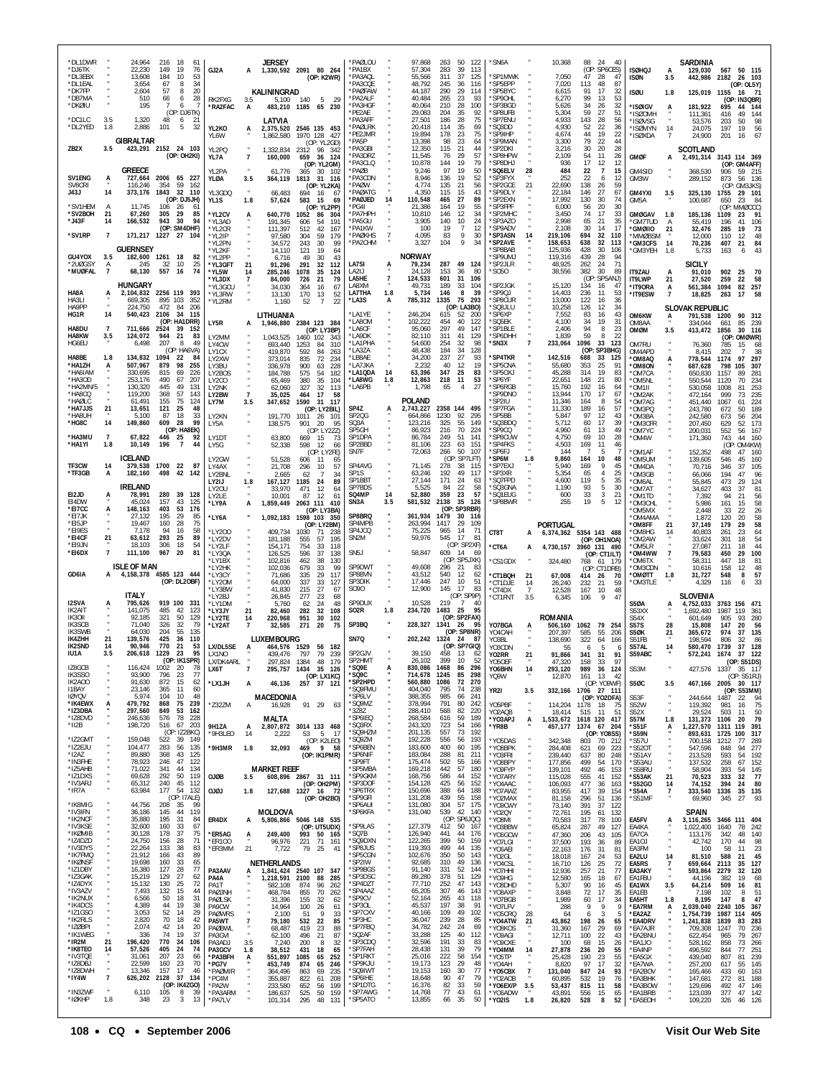| *DL1DWR<br>*DJ6TK<br>*DL3EBX<br>*DI 1FAI<br>*DK7FP<br>*DB7MA |                                 | 24,964<br>22,230<br>13,608<br>3,654<br>2,604<br>510 | 216<br>-18<br>61<br>149<br>19<br>76<br>184<br>10<br>53<br>34<br>67<br>8<br>57<br>20<br>8<br>28<br>66<br>6 | GJ2A<br>RK2FXG                          | JERSEY<br>KALININGRAD<br>3.5<br>5,100                   | 1,330,592 2091 80 264<br>(OP: K2WR)<br>140<br>$-5$<br>29                               | *PAØLOU<br>*PA1BX<br>*PA3AQL<br>*PA3COE<br>*PAØFAW<br>*PA2ALF |                              | 97,868<br>57,304<br>55,566<br>48,792<br>44,187<br>40.484 | 50 122<br>263<br>39<br>283<br>311<br>37<br>245<br>36<br>290<br>29<br>265<br>23 | 113<br>125<br>116<br>114<br>93 | *SN6A<br>'SP1MWK<br>'SP5EPP<br>*SP5BYC<br>*SP90HL   |                      | 10,368<br>7,050<br>7,020<br>6,615<br>6,270      | 88 24<br>47<br>113<br>91<br>99 | 40<br>(OP: SP6CES)<br>28<br>47<br>48<br>87<br>17<br>32<br>53<br>13 | <b>ISØHQJ</b><br><b>ISØN</b><br><b>ISØU</b>     | А<br>3.5<br>1.8           | SARDINIA<br>129,030<br>442,986<br>125,019               | 567 50 115<br>2182 26 103<br>1155<br>(OP: IN3QBR)    | (OP: OL5Y)<br>16 71               |
|--------------------------------------------------------------|---------------------------------|-----------------------------------------------------|-----------------------------------------------------------------------------------------------------------|-----------------------------------------|---------------------------------------------------------|----------------------------------------------------------------------------------------|---------------------------------------------------------------|------------------------------|----------------------------------------------------------|--------------------------------------------------------------------------------|--------------------------------|-----------------------------------------------------|----------------------|-------------------------------------------------|--------------------------------|--------------------------------------------------------------------|-------------------------------------------------|---------------------------|---------------------------------------------------------|------------------------------------------------------|-----------------------------------|
| *DKØIU<br>*DC1LC<br>*DL2YED                                  | 3.5<br>1.8                      | 195<br>1,320<br>2,886                               | 6<br>-7<br>(OP: DJ6TK)<br>48<br>6<br>-21<br>101<br>32<br>5                                                | *RA2FAC<br>YL2KO                        | А<br>LATVIA<br>2,375,520<br>A                           | 483,210 1185 65 230<br>2546 135 453                                                    | *PA3HGF<br>*PE2AE<br>*PA3AFF<br>*PAØLRK                       |                              | 40,064<br>29.083<br>27,501<br>20,418                     | 210<br>28<br>204<br>-35<br>186<br>28<br>35<br>114                              | 100<br>92<br>75<br>69          | *SP3BGD<br>*SP8UFB<br>*SP7ENU<br>*SQ3DD             |                      | 5,626<br>5.304<br>4,933<br>4,930                | 34<br>59<br>143<br>52          | 32<br>26<br>27<br>51<br>28<br>56<br>22<br>36                       | *ISØIGV<br>*ISØOMH<br>*ISØVSG<br>*ISØMYN        | A<br>14                   | 181,922<br>111,361<br>53,576<br>24,075                  | 44<br>695<br>49<br>416<br>203<br>50<br>197<br>19     | 144<br>144<br>98<br>56            |
| ZB2X                                                         | 3.5                             | <b>GIBRALTAR</b>                                    | 423,291 2152 24 103<br>(OP: OH2KI)                                                                        | YL6W<br>YL2PQ<br>YL7A                   | 1,862,580<br>$\overline{7}$<br>160,000                  | 1970 128 427<br>(OP: YL2GD)<br>1,332,834 2312 96 342<br>659<br>36 124                  | *PE2JMR<br>*PA5P<br>*PA3GBI<br>*PA3DRZ<br>*PA3CLQ             |                              | 19,894<br>13,398<br>12,350<br>11,545<br>10,878           | 178<br>23<br>98<br>23<br>115<br>21<br>29<br>76<br>144<br>19                    | 75<br>64<br>44<br>57<br>79     | *SP9IHP<br>*SP9MAN<br>'SP2DKI<br>*SP8HPW<br>*SP8DHJ |                      | 4,674<br>3,300<br>3,216<br>2,109<br>936         | 44<br>79<br>30<br>54<br>17     | 19<br>22<br>22<br>44<br>20<br>28<br>11<br>26<br>12<br>12           | *ISØXDA<br><b>GMØF</b>                          | 7<br>A                    | 24,900<br><b>SCOTLAND</b><br>2,491,314 3143 114 369     | 201<br>16<br>(OP: GM4AFF)                            | 67                                |
| SV1ENG<br>SV8CRI<br>J43J                                     | А<br>14                         | GREECE<br>116,246                                   | 727,664 2006 65 227<br>354<br>59<br>162<br>373,176 1843 32 110                                            | YL2PA<br>YLØA<br>YL3GDQ                 | 61,776<br>3.5<br>66,483                                 | (OP: YL2GM)<br>365<br>30 102<br>364,119 1813 31 116<br>(OP: YL2KA)<br>694<br>16<br>-67 | *PAØB<br>*PA3CDN<br>*PAØW<br><b>PAGATG</b>                    |                              | 9,246<br>8,946<br>4,774<br>4.350                         | 97<br>19<br>136<br>19<br>135<br>21<br>115<br>15                                | 50<br>52<br>56<br>43           | *SQ6ELV<br>*SP3FYX<br>*SP2GCE<br>*SP9DLY            | 28<br>21             | 484<br>252<br>22,690<br>22,184                  | 22<br>22<br>138<br>146         | $\overline{7}$<br>15<br>6<br>12<br>26<br>59<br>27<br>67            | GM4SID<br>GM3W<br>GM4YXI                        | 3.5                       | 368,530<br>289,152<br>325,130                           | 906<br>873<br>(OP: GM3JKS)<br>1755                   | 59 215<br>56 136<br>29 101        |
| *SV1HEM<br>*SV2BOH<br>$*$ J43F                               | A<br>21                         | 11.745<br>67,260<br>166,532                         | (OP: DJ5JH)<br>106<br>-26<br>-61<br>305<br>29<br>85<br>943<br>30<br>94                                    | YL1S<br>*YL2CV                          | 1.8<br>57,624<br>640,770<br>A                           | 583<br>- 15<br>-69<br>(OP: YL2PP)<br>1052<br>86<br>-304                                | *PAØJED<br>PG41<br>*PA7HPH<br>*PA5GU                          | 14                           | 110,548<br>21,386<br>10,810<br>3.905                     | 465<br>27<br>19<br>164<br>146<br>12<br>140<br>10                               | 89<br>55<br>34<br>24           | *SP2EXN<br>*SP3FPF<br>*SP2MHC<br>*SP3AZO            |                      | 17,992<br>6,000<br>3,450<br>2,998               | 130<br>56<br>74<br>65          | 30<br>74<br>20<br>30<br>17<br>33<br>21<br>35                       | GM5A<br><b>GMØGAV</b>                           | 1.8                       | 100,687<br>185,136                                      | 23<br>650<br>(OP: MMØCCC)<br>1109<br>23              | 84<br>91                          |
| *SV1RP                                                       | 14<br>$\overline{7}$            |                                                     | (OP: SM4DHF)<br>171,217 1227 27<br>104                                                                    | *YL3AD<br>*YL2CR<br>*YL2IP<br>*YL2PN    | 191,345<br>111,397<br>97,580<br>34,572                  | 606<br>54<br>191<br>512<br>42<br>167<br>59<br>304<br>179<br>99<br>243<br>30            | *PA1KW<br>*PAØKHS<br>*PA2CHM                                  | $\overline{7}$               | 100<br>4,095<br>3,327                                    | 19<br>7<br>83<br>9<br>9<br>104                                                 | 12<br>30<br>34                 | *SP9ADV<br>*SP3ASN<br><b>SP2AVE</b>                 | 14                   | 2,108<br>219,106<br>158,653                     | 30<br>694<br>638               | 17<br>14<br>32<br>110<br>32<br>113                                 | *GM7TUD<br>*GMØIIO<br>'MMØBSM<br><b>"GM3CFS</b> | A<br>21<br>14             | 55,419<br>32,476<br>12,000<br>70,236                    | 196<br>41<br>285<br>19<br>110<br>12<br>407<br>21     | 106<br>73<br>48<br>84             |
| GU4YOX<br>*2UØGSY<br>*MUØFAL                                 | 3.5<br>Α<br>$\overline{7}$      | <b>GUERNSEY</b><br>182,600 1261<br>245<br>68,130    | 18<br>82<br>32<br>25<br>10<br>557<br>16<br>74                                                             | 'YL2KF<br>*YL2PP<br>*YL3GFT<br>*YL5W    | 14,110<br>6,716<br>21<br>91,296<br>14<br>285,246        | 19<br>121<br>64<br>49<br>30<br>43<br>291<br>32<br>112<br>1078<br>35<br>124             | <b>LA7SI</b><br>LA2IJ                                         | А                            | <b>NORWAY</b><br>79,234<br>24,128                        | 287<br>153<br>36                                                               | 49 124<br>80                   | 'SP8BAB<br>'SP9UMJ<br>*SP2JLR<br>'S050              |                      | 125,936<br>119,316<br>48,925<br>38,556          | 428<br>439<br>262<br>382       | 30<br>106<br>28<br>94<br>71<br>24<br>30<br>89<br>SP5ANJ)           | *GM3YEH<br>IT9ZAU                               | 1.8<br>А                  | 5,733<br>SICILY<br>91,010                               | 163<br>902<br>- 25                                   | 43<br>6<br>- 70                   |
| HA8A<br><b>HA3LI</b>                                         |                                 | <b>HUNGARY</b><br>669.305                           | 2,104,832 2256 119 393<br>895 103<br>352                                                                  | 'YL3DX<br>*YL3GCL<br>*YL3RW<br>*YL2RM   | 84,000<br>34,030<br>13,130<br>1,160                     | 726<br>21<br>79<br>364<br>16<br>67<br>170<br>13<br>52<br>52<br>$\overline{7}$<br>22    | LA5HE<br>LA8XM<br>LA7THA<br>*LA3S                             | $\boldsymbol{7}$<br>1.8<br>А | 124,533<br>49,731<br>5,734<br>785,312                    | 601<br>31<br>189<br>33<br>146<br>8<br>1335<br>75                               | 106<br>104<br>39<br>293        | 'SP2JGK<br>'SP9QJ<br>*SP8CUR                        |                      | 15,120<br>14,403<br>13,000                      | (OP)<br>134<br>236<br>122      | 16<br>47<br>11<br>53<br>16<br>36                                   | IT9LWP<br>*IT9ORA<br>*IT9ESW                    | 21<br>А<br>$\overline{7}$ | 27,520<br>561,384<br>18,825                             | 259<br>22<br>1094<br>82<br>263<br>17                 | 58<br>257<br>58                   |
| HA9PP<br>HG1R<br>HA8DU                                       | 14<br>$\overline{7}$            | 224.750<br>540,423 2106<br>711.666 2524             | 472<br>84<br>206<br>34<br>115<br>(OP: HA1DRR)<br>39<br>152                                                | LY5R                                    | LITHUANIA                                               | 1,946,880 2384 123 384<br>(OP: LY3BP)                                                  | *LA1YE<br>*LA80M<br>*I A6CF                                   |                              | 246,204<br>102,222<br>95,060                             | (OP: LA3BO)<br>615<br>-52<br>454<br>40<br>297<br>49                            | -200<br>122<br>147             | 'SQ8JLU<br><b>SP6XP</b><br>'SQ5EK<br>'SP1BLE        |                      | 10,258<br>7,552<br>4,100<br>2,406               | 126<br>83<br>34<br>94          | 12<br>34<br>43<br>16<br>19<br>31<br>$^{\rm 8}$<br>23               | OM6KW<br>OM8AA<br>OMØM                          | А<br>3.5                  | <b>SLOVAK REPUBLIC</b><br>791,538<br>334.044<br>413,472 | 1200<br>90<br>661<br>1856<br>30                      | 312<br>239<br>85<br>116           |
| HA8KW<br>HG6EU<br>HA8BE                                      | 3.5<br>1.8                      | 124,072<br>6,498<br>134,832                         | 944<br>21<br>83<br>207<br>49<br>8<br>(OP: HA6VA)<br>1094<br>-22<br>84                                     | LY2MM<br>LY4CW<br>LY1CX<br>LY2XW        | 1,043,525<br>693,440<br>419,870<br>373,014              | 1460 102<br>-343<br>1253<br>84<br>310<br>592<br>84<br>263<br>835<br>72<br>234          | *LA9DK<br>*LA1PHA<br>*LA3ZA<br>*LB8AE                         |                              | 82,110<br>54,600<br>48,438<br>34,200                     | 311<br>41<br>254<br>32<br>184<br>34<br>27<br>237                               | 129<br>98<br>128<br>93         | *SP6DHH<br>*SN3X<br><b>SP4TKR</b>                   | $\overline{7}$       | 1,839<br>233,064<br>142,516                     | 59<br>1096<br>688              | 8<br>22<br>33<br>123<br>(OP: SP3BHG)<br>33<br>125                  | OM7RU<br>OM4APD<br>OM8AQ*                       | $\ddot{A}$                | 76,360<br>8,415<br>778,544                              | OP:<br>785<br>15<br>202<br>-7<br>97<br>1174          | OMØWR)<br>68<br>38<br>297         |
| *HA1ZH<br>*HA6IAM<br>*HA3OD<br>*HA2MN/5                      | А                               | 507,967<br>330,695<br>253,176<br>130,320            | 879<br>98<br>255<br>815<br>69<br>226<br>490<br>67<br>207<br>131<br>445<br>49                              | LY3BU<br>LY2BOS<br>LY2CO<br>LY2NK       | 336,978<br>184,788<br>65,469<br>62,060                  | 228<br>900<br>63<br>575<br>54<br>182<br>35<br>380<br>104<br>32<br>327<br>113           | *LA7JKA<br>*LA1QDA<br>*LA8WG<br>*LA6PB                        | 14<br>1.8                    | 2,232<br>63,396<br>12,863<br>1,798                       | 40<br>12<br>25<br>347<br>218<br>11<br>65<br>$\overline{4}$                     | 19<br>83<br>53<br>27           | 'SP5CNA<br>*SP50XJ<br>*SP6YF<br>*SP6RGB             |                      | 55,680<br>45,288<br>22,651<br>15,760            | 353<br>314<br>148<br>192       | 25<br>91<br>19<br>83<br>21<br>80<br>16<br>64                       | *OM8ON<br>*OM7CA<br>*OM5NL<br>*OM1II            |                           | 687,628<br>650,830<br>550,544<br>530,058                | 798<br>105<br>1157<br>89<br>1120<br>70<br>1008<br>81 | 307<br>281<br>234<br>253          |
| *HA8CQ<br>*HAØLC<br>*HA7JJS<br>*HA8UH                        | 21                              | 119,200<br>61,491<br>13,651<br>5,100                | 57<br>368<br>143<br>155<br>75<br>124<br>121<br>25<br>48<br>87<br>18<br>33                                 | LY2BW<br>LY7M<br>LY2KN                  | $\overline{7}$<br>35,025<br>3.5<br>191.770              | 17<br>464<br>58<br>347,652 1590<br>31 117<br>(OP: LY2BIL)<br>1011<br>26 101            | SP4Z<br>SP2QG                                                 | A                            | POLAND<br>2,743,227<br>664,866                           | 2358 144 495<br>1230<br>92                                                     | 295                            | 'SP9DNO<br>'SP2IU<br>*SP7FGA<br>'SP5BB              |                      | 13,944<br>11,346<br>11,330<br>5,847             | 170<br>164<br>189<br>97        | 17<br>67<br>8<br>54<br>16<br>57<br>12<br>43                        | *OM2AK<br>*OM7AG<br>*OM3PQ<br>*OM3BA            |                           | 472,164<br>451.440<br>243,780<br>242,580                | 999<br>73<br>1067<br>61<br>672<br>50<br>673<br>56    | 235<br>224<br>189<br>204          |
| *HG8C<br>*HA3MU<br>*HA1YI                                    | 14<br>$\overline{7}$<br>1.8     | 149,860<br>67,822<br>10,149                         | 609<br>- 28<br>99<br>(OP: HA8EK)<br>446<br>25<br>92<br>196<br>$\overline{7}$<br>44                        | LY5A<br>LY1DT<br>LY5G                   | 138,575<br>63,800<br>52,338                             | 901<br>20<br>95<br>(OP: LY2ZZ)<br>669<br>15<br>73<br>598<br>12<br>66                   | SQ3A<br>SP5GH<br>SP1DPA<br>SP2BBD                             |                              | 123,216<br>86,923<br>86,784<br>81,106                    | 325<br>55<br>216<br>70<br>249<br>-51<br>223<br>63                              | 149<br>224<br>141<br>151       | 'SQ3BDQ<br>'SP9CQ<br>*SP8CUW<br>*SP4FKS             |                      | 5,712<br>4,960<br>4,750<br>4,503                | 60<br>61<br>69<br>169          | 39<br>17<br>13<br>49<br>10<br>28<br>11<br>46                       | *OM3CFR<br>*OM7YC<br>*OM4W                      |                           | 207,450<br>200,031<br>171,360                           | 629<br>52<br>552<br>56<br>743<br>44<br>(OP           | 173<br>167<br>160<br>: OM4KW)     |
| TF3CW<br>*TF3GB                                              | 14<br>А                         | <b>ICELAND</b><br>379,538 1700<br>182,160           | 22<br>- 87<br>498<br>42 142                                                                               | LY2GW<br>LY4AX<br>LY2BNL                | 51,528<br>21,708<br>2,665                               | (OP: LY2FE)<br>606<br>-11<br>65<br>296<br>10<br>57<br>62<br>$\overline{7}$<br>-34      | SN7F<br>SP4AVG<br>SP1S                                        |                              | 72,063<br>71,145<br>63,246                               | 266<br>50<br>(OP: SP7LFT)<br>278<br>38<br>192<br>49                            | 107<br>-115<br>117             | *SP6FJ<br>*SP6M<br>'SP7EXJ<br>*SP3XR                |                      | 144<br>9,860<br>5,940<br>5,354                  | 7<br>164<br>169<br>65          | 5<br>-7<br>10<br>48<br>9<br>45<br>4<br>25                          | *OM1AF<br>*OM5UM<br>*OM4DA<br>*OM3GB            |                           | 152,352<br>139,605<br>70,716<br>66,066                  | 498<br>47<br>546<br>45<br>37<br>346<br>194<br>47     | 160<br>160<br>105<br>96           |
| EI2JD<br>EI4DW                                               | A                               | <b>IRELAND</b><br>78,991<br>45,024                  | 280<br>39<br>128<br>157<br>43<br>125                                                                      | LY2IJ<br>LY2OU<br>LY2LE                 | 167,127<br>1.8<br>33,970<br>10,001<br>A                 | 1185<br>24<br>89<br>471<br>12<br>64<br>87<br>12<br>61                                  | SP1BBT<br>SP7BDS<br>SQ4MP<br>SN3A                             | 14<br>3.5                    | 27,144<br>5,525<br>52,880<br>581,532                     | 171<br>-24<br>84<br>22<br>359<br>23<br>35<br>2138                              | 63<br>58<br>57<br>126          | 'SQ7FPD<br>'SQ3GNA<br>'SQ1EUG<br>*SP8BWR            |                      | 4,600<br>1,190<br>600<br>255                    | 119<br>93<br>33<br>19          | 5<br>35<br>5<br>30<br>3<br>21<br>5<br>12                           | *OM6AL<br>*OM7AT<br>*OM1TD                      |                           | 55,845<br>34,627<br>7,392                               | 473<br>29<br>403<br>37<br>94<br>21                   | 124<br>81<br>56<br>58             |
| *EI7CC<br>*FI7.JK<br>*EI5JP                                  | А                               | 148.163<br>27.132<br>19.467                         | 403<br>53<br>176<br>195<br>29<br>85<br>75<br>160<br>28                                                    | *LY9A<br>*LY6A                          | 1,859,449                                               | 2063 111<br>410<br>(OP: LY3BA)<br>1,092,183 1598 103 350<br>(OP: LY2BM)                | SP8BRQ<br>SP4MPB                                              |                              | 361,934<br>263,994                                       | (OP: SP3RBR)<br>1479<br>-30<br>1417<br>29                                      | 116<br>109                     |                                                     |                      | <b>PORTUGAL</b>                                 |                                |                                                                    | *OM3CHL<br>'OM5MX<br>*OM4AMA<br>'OM8FF          | 21                        | 5,986<br>2.448<br>1,872<br>37,149                       | 161<br>15<br>33<br>22<br>120<br>20<br>179<br>29      | 26<br>58<br>58                    |
| *EI9ES<br>*EI4CF<br>*EI9JN<br>*EI6DX                         | 21<br>$\overline{\mathfrak{z}}$ | 7.178<br>63,612<br>18,103<br>111,100                | 94<br>58<br>16<br>293<br>25<br>89<br>18<br>306<br>54<br>967<br>20<br>81                                   | *LY200<br>*LY2DV<br>*LY2LF<br>*LY3QA    | 409,734<br>181,188<br>154,171<br>126,525                | 1030<br>71<br>238<br>57<br>555<br>195<br>754<br>33<br>118<br>596<br>37<br>138          | SP4JCQ<br>SN2M<br>SN <sub>5</sub> J                           |                              | 75,225<br>59,976<br>58,847                               | 965<br>14<br>545<br>17<br>(OP: SP2XF)<br>609<br>- 14                           | - 71<br>-81<br>69              | CT8T<br>*CT6A                                       | A<br>A               | 6,374,362 5354 143 488<br>4,730,157             | 3960 131 490                   | (OP: OH1NOA)<br>(OP: CT1ILT)                                       | *OM8HG<br>*OM2AW<br>*OM5LR<br>*OM4WW            | 14<br>$\overline{7}$      | 40,803<br>33.624<br>27,087<br>79,583                    | 261<br>23<br>301<br>18<br>211<br>18<br>450<br>29     | 64<br>54<br>44<br>100             |
| GD6IA                                                        | А                               | <b>ISLE OF MAN</b>                                  | 4,158,378 4585 123 444<br>(OP: DL2OBF)                                                                    | *LY1BX<br>*LY2HK<br>*LY3CY<br>*LY2OM    | 102,816<br>102,036<br>71,686<br>64,000                  | 462<br>38<br>130<br>679<br>33<br>99<br>335<br>29<br>117<br>33<br>337<br>127            | SP9DWT<br>SP8BVN<br>SP3DIK                                    |                              | 49,608<br>43,512<br>17,446                               | (OP: SP5JXK)<br>296<br>21<br>540<br>-12<br>247<br>10                           | 83<br>62<br>51                 | *CS1GDX<br><b>*CT1BQH</b><br>*CT1DJE                | 21<br>14             | 324,480<br>67,008<br>26,240                     | 414<br>232                     | 768 61 179<br>(OP: CT1DRB)<br>26<br>70<br>21<br>59                 | *OM6TX<br>*OM3CDN<br>*OMØTT<br>'OM3TLE          | 1.8                       | 58,311<br>10,616<br>31,727<br>4,329                     | 447<br>18<br>158<br>12<br>548<br>116                 | 81<br>48<br>57<br>8<br>33<br>6    |
| I2SVA<br><b>IK2AIT</b>                                       |                                 | ITALY<br>795,626<br>141,075                         | 919 100 331<br>485<br>42<br>123                                                                           | *LY3BW<br>*LY2BJ<br>*LY1DM<br>*LY3JY    | 41,830<br>26,845<br>5,760<br>21<br>82,460               | 27<br>215<br>67<br>277<br>23<br>68<br>62<br>24<br>48<br>282<br>32<br>108               | S090<br>SP9DUX<br>SO2R                                        | 1.8                          | 12,900<br>10,528<br>234,720                              | 145<br>17<br>(OP: SP9P)<br>219<br>7<br>1483 25                                 | 83<br>40<br>95                 | *CT4DX<br>*CT1FNT                                   | 7<br>3.5             | 12,528<br>6,345                                 | 167<br>106                     | 48<br>10<br>9<br>47                                                | <b>S50A</b><br>S53XX                            | А                         | <b>SLOVENIA</b><br>4,752,033<br>1,692,480               | 3763 156 471<br>1987<br>119                          | -361                              |
| IK30II<br><b>IK3SCB</b><br><b>IK3SWB</b><br><b>IK4ZHH</b>    | 21                              | 92,185<br>71.040<br>64.030<br>139,576               | 321<br>50<br>129<br>79<br>326<br>32<br>204<br>55<br>135<br>425<br>36<br>110                               | *LY2TE<br>*LY2AT                        | 220,968<br>14<br>$\overline{7}$<br>32,585<br>LUXEMBOURG | 951<br>30<br>102<br>271<br>20<br>75                                                    | SP3BQ<br>SN7Q                                                 |                              | 202,242 1324                                             | (OP: SP2FAX)<br>228,327 1341 26<br>(OP: SP8NR)<br>- 24                         | 95<br>-87                      | YO7BGA<br>YO4CAH<br>Y03BL                           |                      | <b>ROMANIA</b><br>506,160<br>207.397<br>138,690 | 1062<br>585<br>322             | 79<br>254<br>55<br>206<br>64<br>166                                | S54X<br><b>S57S</b><br><b>S50K</b><br>S51FB     | 28<br>21                  | 601,649<br>15,808<br>365,672<br>198,594                 | 93<br>905<br>147<br>20<br>974<br>37<br>806<br>32     | 280<br>56<br>135<br>86            |
| <b>IK2SND</b><br>IU1A<br>IZ8GCB                              | 14<br>3.5                       | 90,946<br>206,618 1229<br>116,424 1002              | 770<br>21<br>53<br>23<br>95<br>(OP: IK1SPR)<br>20<br>78                                                   | LX/DL5SE<br>LX1NO<br>I Y/DKAARI<br>LX6T | A<br>439,476<br>297824<br>$\overline{7}$                | 464,576 1529 56<br>182<br>797<br>79<br>239<br>1384<br>48<br>179<br>295,757 1434 35 126 | SP2GJV<br>SP2HMT<br>*SQ9E                                     | A                            | 39,150<br>26.102<br>830,086 1468                         | (OP: SP7GIQ)<br>458<br>-13<br>399<br>10<br>86                                  | 62<br>52<br>296                | YO3CDN<br>Y02RR<br><b>VO5OFF</b><br>YO6BHN          | 21<br>14             | 55<br>91,866<br>370<br>293,120                  | 6<br>341<br>158<br>989         | -5<br>-6<br>31<br>91<br>33<br>O <sub>7</sub><br>36 124             | S57AL<br>S59ABC<br>S53M                         | 14                        | 580,470<br>572,241                                      | 1739<br>37<br>1674<br>37<br>427,576 1337 35 117      | 128<br>122                        |
| IK3SSO<br>IK2AOO<br>I1BAY<br><b>IQYQV</b>                    |                                 | 93,900<br>91,630<br>23,146<br>5,974                 | 23<br>77<br>796<br>872<br>62<br>15<br>365<br>11<br>60<br>104<br>10<br>48                                  | *LX1JH                                  | A<br>46,136<br>MACEDONIA                                | (OP: LX1KC)<br>257 37 121                                                              | *SQ9C<br>*SP2HPD<br>*SQ9FMU<br>*SP6LV                         |                              | 714,678<br>560,880<br>404,040<br>388,355                 | 1245<br>85<br>1086<br>72<br>795<br>74<br>985<br>66                             | 298<br>270<br>238<br>241       | YQ9W<br>YR2I                                        | 3.5                  | 12,870<br>332,166 1706 27 111                   | 161 13                         | -42<br>(OP: YO9WF)<br>(OP: YO2DFA)                                 | S5ØC<br>S53F                                    | 3.5                       | 244,644                                                 | 467,166 2005 30 117<br>1487<br>22                    | (OP: S51RJ)<br>(OP: S53MM)<br>94  |
| *IK4EWX<br>*IZ3DBA<br>*IZ8DVD<br>*II2B                       | А                               | 479,792<br>297,560<br>246,636<br>198,720            | 868<br>75<br>239<br>849<br>53<br>162<br>576 78 228<br>516 67 203                                          | *Z32ZM                                  | Α<br>16,928<br><b>MALTA</b>                             | 91 29<br>63                                                                            | *SQ9MZ<br>*3Z8Z<br>*SP6IEQ<br>*SQ3RX                          |                              | 378,994<br>288,410<br>268,584<br>243,320                 | 791<br>80<br>568<br>82<br>616<br>59<br>723<br>54                               | 242<br>220<br>189<br>166       | Y05PBF<br>YO2AQB<br>*Y03APJ                         | А                    | 114,204<br>18,414<br>1,533,672                  | 1178<br>515<br>1618 120        | 18<br>-75<br>11<br>51<br>417                                       | <b>S52W</b><br><b>S52X</b><br><b>S57M</b>       | $\bullet$<br>1.8          | 119,392<br>29,524<br>131,373                            | 981<br>16<br>503<br>11<br>1106<br>- 20<br>1311 119   | 75<br>50<br>79<br>391             |
| *IZ2GMT<br>*IZ2EJU<br>*I2AZ                                  |                                 | 159,048<br>104,477<br>89,880                        | (OP: IZ2BKC)<br>522<br>39 149<br>283<br>56<br>135<br>368<br>43<br>125                                     | 9H1ZA<br>*9H3LEO<br>*9H3MR              | 2,807,872<br>A<br>14<br>2,222<br>1.8<br>32,093          | 3014 133 468<br>53<br>5<br>- 17<br>(OP: K2LEO)<br>469 9 58                             | *SQ9HZM<br>*SQ9ZM<br>*SP6BEN<br>*SP6NIF                       |                              | 201,135<br>192,228<br>183,600<br>183,084                 | 557<br>73<br>556<br>56<br>400<br>60<br>288<br>81                               | -192<br>193<br>195<br>211      | *YR8B<br>'Y05DAS<br>*Y08BPK                         |                      | 457,177<br>342,348<br>284,408                   | 1374 67 204<br>803<br>621      | (OP: YO8SS)<br>70 212<br>69<br>223                                 | *S51F<br>*S59N<br>*S57U<br>*S520T               | A                         | 1,227,570<br>893,631<br>700,158<br>547,596              | 1725 100<br>1212<br>77<br>848<br>94                  | 317<br>289<br>277                 |
| *IN3FHE<br>*IZ5AHB<br>*IZ1DXS                                |                                 | 78,923<br>71,022<br>69,628                          | 246<br>47<br>122<br>341<br>44<br>134<br>119<br>292<br>50                                                  | <b>OJØB</b>                             | <b>MARKET REEF</b><br>3.5                               | (OP: IK1PMR)<br>608,896 2867 31 111                                                    | *SP9FT<br>*SP5MBA<br>*SP9GKM                                  |                              | 175,474<br>169,218<br>168,756                            | 502<br>55<br>442<br>57<br>586<br>44                                            | 166<br>180<br>152              | *Y03FRI<br>*Y08BPY<br>*Y09FYP<br>*Y07ARY            |                      | 239,440<br>177,856<br>139,101<br>115,028        | 637<br>499<br>492<br>555       | 248<br>80<br>170<br>54<br>46<br>153<br>41<br>152                   | *S51AY<br>*S53AU<br>*S58RU<br>*S53AK            | 21                        | 213,528<br>137,532<br>58,904<br>70,523                  | 593<br>54<br>258<br>67<br>393<br>54<br>333<br>32     | 192<br>152<br>145<br>77           |
| *IV3ARJ<br>*IR7A<br>*IK8MIG                                  |                                 | 65,312<br>63,984<br>44,756                          | 240<br>45<br>112<br>132<br>177<br>-54<br>(OP: 17ALE)<br>208<br>35<br>-99                                  | <b>COLO</b>                             | 127,688<br>1.8                                          | (OP: OH2PM)<br>1327 16 72<br>(OP: OH2BO)                                               | *SP3DOF<br>*SP6TRX<br>*SP9GFI<br>*SP6AUI                      |                              | 154,128<br>150,696<br>131,208<br>131,080                 | 425<br>56<br>388<br>64<br>439<br>55<br>57<br>304                               | 152<br>188<br>158<br>175       | *YO4AAC<br>*Y07AWZ<br>*YO2MAX<br>*Y09CWY            |                      | 106,093<br>83,955<br>81,158<br>73,140           | 477<br>417<br>296<br>391       | 36<br>163<br>39<br>154<br>51<br>136<br>37<br>122                   | *S52GO<br>*S54A<br>*S51MF                       | 14<br>7                   | 74,152<br>333,540<br>69,960                             | 394<br>24<br>1336<br>35<br>27<br>345                 | 80<br>135<br>93                   |
| *IV3IFN<br>*IK2NCF<br>*IV3KSE<br>*IKØMIB                     |                                 | 36,186<br>35,880<br>32,600<br>30,128                | 145<br>44<br>119<br>195<br>31<br>84<br>160<br>33<br>67<br>178<br>37<br>75                                 | ER4DX<br>*ER5AG                         | <b>MOLDOVA</b><br>A<br>249.400<br>A                     | 5,806,866 5046 148 535<br>(OP: UT5UDX)<br>993 50 165                                   | *SP6KFA<br>*SP9LAS<br>*SQ7B                                   |                              | 131,040<br>127,379<br>126,940                            | 42<br>539<br>(OP: SP6JQC)<br>412<br>50<br>441<br>44                            | 140<br>167<br>176              | *Y02QY<br>*Y08MI<br>*Y03BBW<br>*Y06GCW              |                      | 72,761<br>70,583<br>65,824<br>47,360            | 195<br>317<br>287<br>206       | 61<br>132<br>78<br>100<br>49<br>127<br>43<br>105                   | EA5FV<br>EA4KA<br>EA7CA                         | Ą                         | <b>SPAIN</b><br>3,116,265<br>1,022,400<br>113,176       | 3466 111 404<br>1640<br>78<br>342<br>48              | 242<br>140                        |
| *IZ4DZD<br>*IV3DYS<br>*IK7FMQ<br>*IKØNSF                     |                                 | 24,750<br>22,264<br>21,912<br>19,698                | 71<br>156<br>28<br>133<br>38<br>83<br>43<br>166<br>-89<br>160<br>33<br>65                                 | *ER100<br>*ER3MM                        | 96,976<br>21<br>7,722<br>NETHERLANDS                    | 221<br>71<br>161<br>79<br>25<br>41                                                     | *SQ9DXN<br>*SP8JUS<br>*SP5CGN<br>*SP2IW                       |                              | 122,265<br>119,393<br>102,676<br>92,685                  | 399<br>50<br>499<br>44<br>350<br>50<br>310<br>49                               | 159<br>135<br>143<br>136       | *YO7LGI<br>*Y06AEI<br>*Y02GL<br>*Y04CSL             |                      | 37,500<br>22,163<br>18,018<br>16,710            | 193<br>176<br>167<br>126       | 36<br>89<br>31<br>81<br>24<br>53<br>72<br>25                       | EA1OJ<br>EA3FM<br>EA2LU<br>EA5RS                | $\bullet$<br>14<br>7      | 42,742<br>100<br>81,510<br>659,664                      | 170<br>44<br>11<br>58<br>588<br>21<br>2113<br>35     | 98<br>23<br>45<br>127             |
| *IZ1DBY<br>*IZ3GAK<br>*IZ4DYX<br>*IV3AZV                     |                                 | 16,380<br>15,219<br>15,132<br>7,493                 | 77<br>127<br>28<br>129<br>27<br>62<br>72<br>130<br>25<br>132<br>15<br>44                                  | PA3AAV<br>PA4A<br>PA1T<br>PAØJNH        | А<br>1,218,591<br>582,108<br>468,784                    | 1,841,424 2540 107<br>347<br>2100<br>88<br>285<br>874<br>96<br>262<br>855<br>70<br>262 | *SP9BGS<br>*SP3DSC<br>*SP4DZT<br>'SP4AAZ                      |                              | 91,140<br>89,280<br>77,710<br>65,205                     | 331<br>52<br>378<br>51<br>252<br>47<br>307<br>46                               | 144<br>129<br>143<br>143       | *YO7HHI<br>*YO9HG<br>*Y08DHD<br>*Y08AXP             |                      | 12,936<br>12,580<br>5,307<br>3,848              | 257<br>165<br>90<br>72         | 21<br>77<br>18<br>67<br>16<br>45<br>35<br>17                       | EA3AKY<br>EA1FBU<br>EA1WX<br>EA1EB              | 3.5                       | 593,864<br>44,196<br>64,214<br>7,198                    | 2279<br>32<br>382<br>19<br>509<br>16<br>102          | 120<br>68<br>81<br>51<br>8        |
| *IK2NUX<br>*IK4DCS<br>*IZ1GSO<br>*IK2RLS                     |                                 | 6,566<br>4,389<br>3,053<br>2,820                    | 18<br>31<br>50<br>44<br>19<br>38<br>29<br>52<br>-14<br>70<br>18<br>42                                     | PAØLSK<br>PA9CW<br><b>PAØWRS</b>        | 31,396<br>14,964<br>2,100<br>79,180                     | 155<br>32<br>62<br>100<br>26<br>61<br>51<br>9<br>33<br>532<br>85                       | *SP9CV<br>*SP3OL<br>*SP7CXV<br>*SP3HC                         |                              | 52,164<br>45,537<br>40,166<br>36,047                     | 265<br>43<br>38<br>197<br>109<br>49<br>239<br>28                               | 118<br>91<br>102<br>85         | *YO7BGB<br>*YO7LFV<br>*Y05CRQ<br>*YO4ATW            | 28                   | 1,989<br>288<br>64<br>43,862                    | 60<br>-9<br>6                  | 34<br>17<br>-9<br>- G<br>3<br>5<br>65                              | EA5HT<br>*EA7RM<br>*EA2AZ<br>*EA4DRV            | 1.8<br>А                  | 8,195<br>2,039,040<br>1,754,739                         | 147<br>2240 105<br>1987<br>114<br>83                 | 47<br>8<br>367<br>405<br>283      |
| *IZØBPI<br>*IK1WEG<br>*IR2M<br>*IK8TEO                       | 21                              | 2,074<br>336<br>196,420<br>57,526                   | 20<br>42<br>-14<br>74<br>19<br>37<br>770<br>34<br>106<br>405<br>24<br>74                                  | PA5WT<br>PAØBWL<br>PA3GVI<br>PA3ADJ     | $\overline{7}$<br>68,487<br>62,100<br>3.5<br>7,240      | 22<br>419<br>23<br>88<br>496<br>21<br>87<br>200<br>-8<br>32                            | *SP7FBQ<br>*SQ2AF<br>*SP3CDQ<br>*SP7FAH                       |                              | 34,782<br>33,288<br>32,596<br>28,438                     | 242<br>24<br>125<br>40<br>191<br>33<br>131<br>39                               | 69<br>112<br>83<br>79          | *Y08KOS<br>*YO9AGI<br>*YO9CXE                       | 21                   | 31,360<br>12,711<br>100                         | 198<br>167<br>100<br>68        | 26<br>29<br>69<br>22<br>43<br>15<br>26                             | *EA7AJR<br>*EA2BNU<br>*EA1JO                    |                           | 1,241,838<br>709,308<br>622,454<br>528,162              | 1839<br>1247<br>70<br>79<br>965<br>858<br>73         | 236<br>267<br>266                 |
| *IV3TQE<br>*IZ8DBJ<br>*IZ8DWH                                | 14<br>$\blacksquare$            | 31,061<br>22,599<br>13,346                          | 207<br>23<br>66<br>160<br>-23<br>70<br>157<br>17<br>46                                                    | PA3GCV<br>*PA3BFH<br>*PG7V<br>*PAØMIR   | 1.8<br>38,512<br>А<br>551,897<br>453,749<br>364,496     | 431<br>18<br>65<br>1085<br>65<br>252<br>874<br>65<br>246<br>863<br>69<br>235           | *SP1RKT<br>*SP9KJU<br>*SQ9IWT<br>*SP6IHE                      |                              | 25,016<br>19,173<br>19,153                               | 222<br>58<br>123<br>29<br>160<br>30<br>47                                      | 154<br>48<br>77<br>79          | *YO4MM<br>*Y05TP<br>*YO4AH<br>*Y05CBX               | 14<br>$\overline{1}$ | 27,878<br>25,428<br>8,820<br>131,040            | 236<br>190<br>97<br>847        | 20<br>55<br>23<br>55<br>17<br>32<br>93<br>24                       | *EA4NP<br>*EA5GX<br>*EA7WA<br>*EA2BOV           |                           | 496,592<br>439,040<br>257,200<br>165,466                | 844<br>77<br>807<br>81<br>617<br>55<br>433<br>60     | 251<br>239<br>145<br>163          |
| *IY4W<br>*IN3ZWF<br>*IØKHP                                   | $\overline{\phantom{a}}$<br>1.8 | 6,110<br>348                                        | 626,202 2128 37 134<br>(OP: IK4ZGO)<br>105<br>8<br>39<br>13<br>23<br>3                                    | *PC4M<br>*PA2W<br>*PA3ARM<br>*PA7LV     | 355,887<br>233,580<br>186,637<br>101,314                | 822<br>61<br>208<br>199<br>652<br>56<br>525<br>50<br>159<br>295<br>48<br>131           | *SP1DTG<br>*SP7AWG<br>*SP5ATO                                 |                              | 18,648<br>16,376<br>14,768<br>13,855                     | 90<br>82<br>33<br>77<br>43<br>66<br>35                                         | 59<br>61<br>50                 | *Y02AOB<br>*YO6EX/P<br>*Y06ADW<br>*Y02IS            | 3.5<br>1.8           | 60,895<br>53,437<br>43,891<br>26,820            | 532<br>815<br>556<br>528       | 19<br>76<br>58<br>11<br>15<br>65<br>52<br>8                        | *EA3BHK<br>*EA3BOW<br>*EA1BRB<br>*EA5EOH        |                           | 147,681<br>129,696<br>123,039<br>109,220                | 272<br>81<br>492<br>377<br>326                       | 188<br>47 146<br>47 142<br>46 126 |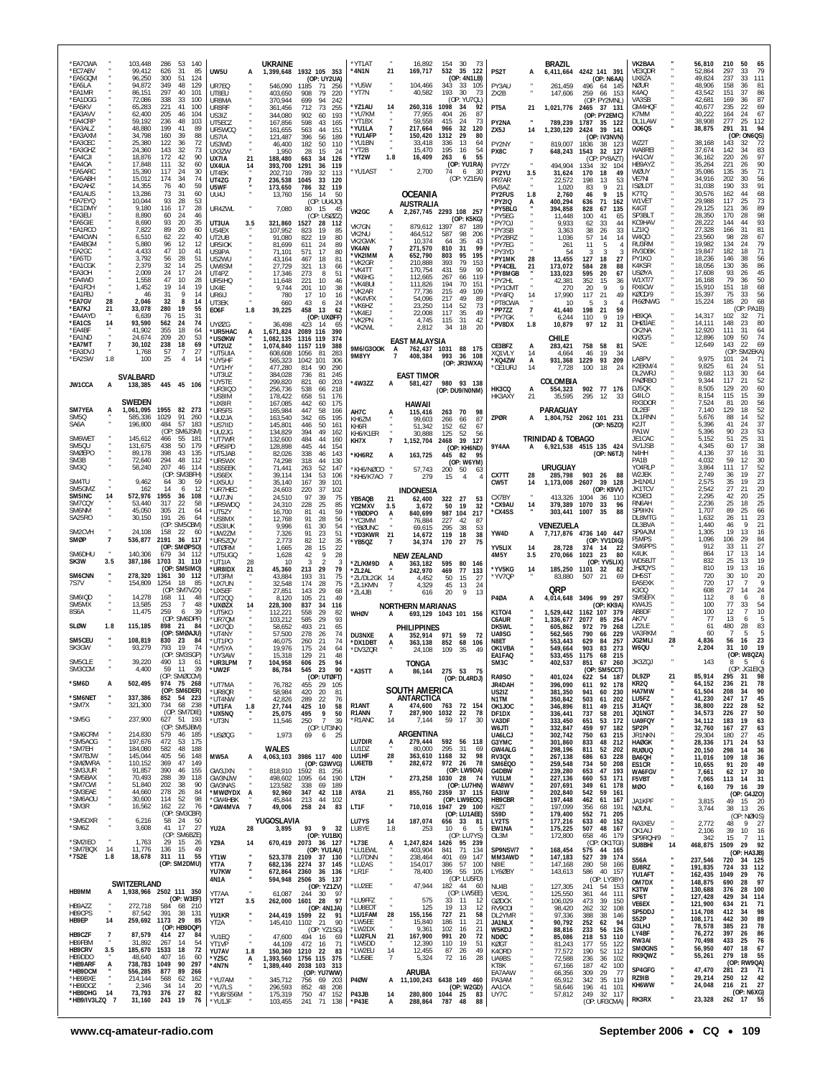| *EA7CWA                          |                  | 103,448                            | 286<br>53<br>140                                            |                                    |                   | <b>UKRAINE</b>                      |                                                              | *YT1AT                             |                      | 16,892                        | 154<br>30<br>-73                                                 |                              |                | BRAZIL                                         |                   |                                               | VK2BAA                                 |    | 56,810                        | 210<br>50<br>65                                                        |
|----------------------------------|------------------|------------------------------------|-------------------------------------------------------------|------------------------------------|-------------------|-------------------------------------|--------------------------------------------------------------|------------------------------------|----------------------|-------------------------------|------------------------------------------------------------------|------------------------------|----------------|------------------------------------------------|-------------------|-----------------------------------------------|----------------------------------------|----|-------------------------------|------------------------------------------------------------------------|
| *EC7ABV<br>*EA5GQM<br>*EA5LA     |                  | 99,412<br>96,250<br>94,872         | 626<br>31<br>85<br>300<br>51<br>124<br>349<br>48<br>129     | UW5U<br>UR7EQ                      | A                 | 546,090 1185                        | 1,399,648 1932 105 353<br>(OP: UY2UA)<br>71<br>- 256         | *4N1N<br>*YU5W                     | 21                   | 169,717<br>104,466            | 532<br>35<br>122<br>(OP: 4N1LB)<br>343<br>- 33<br>105            | PS2T<br>PY3AU                | A              | 6,411,664 4242 141 391<br>261,459              |                   | (OP: N6AA)<br>496 64 145                      | VE3QDR<br>UX8ZA<br>NØUR                |    | 52,864<br>49,824<br>48,906    | 79<br>297<br>33<br>111<br>237<br>33<br>158<br>36<br>81                 |
| *EA1MR<br>*EA1DGG                |                  | 86,151<br>72,086                   | 297<br>40<br>101<br>338<br>33<br>100                        | UT8EU<br>UR8MA                     |                   | 403,650<br>370,944                  | 908<br>79<br>220<br>699<br>94<br>242                         | *YT7N                              |                      | 40,582                        | 193<br>30<br>73<br>(OP: YU7QL)                                   | ZX2B                         |                | 147,606                                        | 259               | 66 153<br>(OP: PY2MNL)                        | K4AO<br>VA3SB                          |    | 43.542<br>42,681              | 151<br>37<br>86<br>169<br>36<br>87                                     |
| *EA5KV<br>*EA3AVV                |                  | 65,283<br>62,400                   | 41<br>100<br>221<br>205<br>46<br>104                        | UR8RF<br>US317                     |                   | 361,456<br>344,080                  | 712<br>73<br>255<br>902<br>60<br>193                         | *YZ1AU<br>*YU7KM                   | 14                   | 260,316<br>77,955             | 1098<br>-34<br>92<br>404<br>26<br>87                             | PT5A                         | 21             | 1,021,776                                      | 2465              | 37 131<br>(OP: PY2EMC)                        | GM4HQF<br>K7MM                         |    | 40,677<br>40,222              | 22<br>69<br>235<br>24<br>67<br>164                                     |
| *EA4CRP<br>*EA3ALZ               |                  | 59.192<br>48,880                   | 48<br>103<br>236<br>199<br>41<br>89                         | UT5ECZ<br>UR5WCQ                   |                   | 167,856<br>161,655                  | 598<br>43<br>165<br>563<br>44<br>151                         | *YT1BX<br>*YU1LA                   |                      | 59,558<br>217,664             | 415<br>73<br>-24<br>966<br>32<br>120                             | PY2NA<br>ZX5J                | 14             | 789,239<br>1,230,120                           | 1787<br>2424      | 35 122<br>39 141                              | DL1LAW<br>006QS                        |    | 38,908<br>38,875              | 277<br>112<br>25<br>291<br>31<br>94                                    |
| *EA3AXM<br>*EA3CEC               |                  | 34.798<br>25,380                   | 160<br>-39<br>88<br>122<br>36<br>72                         | US7IA<br>US3WD                     |                   | 121,487<br>46,400                   | 396<br>56<br>189<br>50<br>182<br>110                         | *YU1AFP<br>*YU1BN                  |                      | 150,420<br>33,418             | 1312<br>- 29<br>-80<br>13<br>336<br>64                           | PY2NY                        |                | 819,007                                        | 1836              | (OP: IV3NVN)<br>38 123                        | WZ2T                                   |    | 38,168                        | (OP: ON6QS)<br>143<br>72<br>32<br>83                                   |
| *EA3GHZ<br>*EA4CJI<br>*EA4OA     |                  | 24,360<br>18,876<br>17,848         | 143<br>32<br>73<br>172<br>42<br>90<br>60<br>111<br>32       | UX3ZW<br>UX7IA<br>UX4UA            | 21<br>14          | 1,950<br>188,480<br>393,700         | 28<br>15<br>24<br>663<br>34<br>126<br>36<br>1291<br>119      | *YT2B<br>*YT2W                     | 1.8                  | 15,470<br>16,409              | 195<br>16<br>-54<br>263<br>6<br>55<br>(OP: YU1RA)                | PX8C<br>PY7ZY                | $\overline{7}$ | 648,243<br>494,904                             | 1543<br>1334      | 32 127<br>(OP: PY8AZT)<br>32 104              | WA8REI<br>HA1CW<br>HB9AYZ              |    | 37,674<br>36,162<br>35,264    | 142<br>34<br>220<br>26<br>97<br>90<br>221<br>26                        |
| *EA5ARC<br>*EA5ABH               |                  | 15,390<br>15,012                   | 117<br>24<br>30<br>74<br>174<br>-34                         | UT4EK<br>UT4ZG                     | $\overline{7}$    | 202.710<br>236,538                  | 789<br>32<br>113<br>1045<br>33<br>120                        | *YU1AST                            |                      | 2,700                         | 74<br>6<br>30<br>(OP: YZ1EA)                                     | PY2YU<br>PR7AR               | 3.5            | 31,624<br>22,572                               | 170<br>198        | 18<br>-49<br>13<br>53                         | WØUY<br>VE7NI                          |    | 35,086<br>34,916              | 71<br>135<br>35<br>30<br>56<br>202                                     |
| *EA2AHZ<br>*EA1AUS               |                  | 14,355<br>13,286                   | 59<br>76<br>40<br>60<br>73<br>31                            | U5WF<br>UU4J                       |                   | 173,650<br>13,760                   | 32 119<br>786<br>156<br>14<br>50                             |                                    |                      | <b>OCEANIA</b>                |                                                                  | PV8AZ<br><b>PY2FUS</b>       | 1.8            | 1,020<br>2,760                                 | 83<br>46          | 9<br>21<br>9<br>15                            | <b>ISØLDT</b><br>K7TQ                  |    | 31,038<br>30,576              | 33<br>91<br>190<br>68<br>162<br>44                                     |
| *EA7EYQ<br>*EC1DMY<br>*EA3EU     |                  | 10,044<br>9.180<br>8.890           | 93<br>-28<br>53<br>28<br>116<br>-17<br>60<br>- 24           | UR4ZWL                             |                   | 7,080                               | (OP: UU4J0)<br>80<br>- 15<br>45                              | VK2GC                              | A                    | AUSTRALIA                     | 2,267,745 2293 108 257                                           | *PY2IQ<br>*PY5BLG            | А              | 400,294<br>394,858                             | 636<br>828        | 71<br>162<br>67<br>135                        | W1VET<br>K4GT<br>SP3BLT                |    | 29,988<br>29,125<br>28,350    | 117<br>73<br>25<br>89<br>121<br>36<br>170<br>28                        |
| *EA5GIE<br>*EA1RCO               |                  | 8,690<br>7.822                     | 46<br>93<br>20<br>35<br>89<br>60<br>-20                     | UT3UA<br>US4EX                     | 3.5               | 321,860<br>107,952                  | (OP: USØZZ)<br>1527<br>28<br>112<br>19<br>823<br>85          | VK7GN                              |                      | 879,612                       | (OP: K5KG)<br>1397<br>87<br>189                                  | *PY5EG<br>*PY70J<br>*PY3SB   |                | 11,448<br>9,933<br>3,363                       | 100<br>62<br>38   | 41<br>65<br>33<br>44<br>26<br>33              | KC9HAV<br>LZ1IQ                        |    | 28,222<br>27,328              | 98<br>93<br>144<br>44<br>81<br>31<br>166                               |
| *EA4CWN<br>*EA4BGM               |                  | 6.510<br>5,880                     | 62<br>22<br>40<br>96<br>-12<br>12                           | UT2UB<br>UR5IOK                    |                   | 91,080<br>81,699                    | 822<br>19<br>80<br>611<br>24<br>89                           | VK2NU<br>VK2GWK                    |                      | 464,512<br>10,374             | 587<br>98<br>-206<br>35<br>64<br>43                              | *PY2BRZ<br>*PY7EG            |                | 1,036<br>261                                   | 57<br>11          | 14<br>14<br>5                                 | W4Q0<br>RU3RM                          |    | 23,560<br>19.982              | 98<br>28<br>67<br>79<br>24<br>134                                      |
| *EA2GC<br>*EA5TD                 |                  | 4,433<br>3,792                     | 47<br>10<br>41<br>56<br>-28<br>51                           | US9PA<br>US2WU                     |                   | 71,101<br>43,164                    | 571<br>17<br>80<br>467<br>18<br>81                           | VK4AN<br>*VK2IMM<br>*VK2GR         | A                    | 271,570<br>652,790<br>210,888 | 810<br>-99<br>-31<br>803<br>95<br>195<br>79<br>153<br>393        | *PY3YD<br>*PY1MK             | 28             | 54<br>13,455                                   | 3<br>127          | 3<br>-3<br>18<br>27                           | RV3DBK<br>PY1KO                        |    | 19,847<br>18,236              | 71<br>182<br>18<br>146<br>56<br>38                                     |
| *EA1CGK<br>*EA3OH<br>*EA4WD      |                  | 2,379<br>2.009<br>1,558            | 32<br>25<br>-14<br>24<br>24<br>17<br>47<br>10<br>28         | UW8SM<br>UT4PZ                     |                   | 27.729<br>17,346                    | 321<br>13<br>66<br>273<br>51<br>-8                           | *VK4TT<br>*VK6HG                   |                      | 170,754<br>112,665            | 431<br>59<br>90<br>267<br>66<br>119                              | *PY4CEL<br>*PY8MGB           | 21             | 173,072<br>133,023                             | 584<br>595        | 28<br>88<br>20<br>67                          | K4KSR<br><b>USØYA</b><br>W1XT/7        |    | 18,056<br>17,608<br>16,168    | 86<br>130<br>36<br>45<br>93<br>26<br>79<br>50<br>36                    |
| *EA1FCH<br>*EA1FBJ               |                  | 1,452<br>46                        | 19<br>19<br>14<br>31<br>9<br>14                             | UR5IHQ<br>UX4E<br>UR6IJ            |                   | 11,648<br>9,744<br>780              | 221<br>10<br>46<br>201<br>10<br>38<br>10<br>17<br>16         | *VK4BUI<br>*VK2AR                  |                      | 111,826<br>77,736             | 194<br>70<br>151<br>215<br>49<br>109                             | *PY2HL<br>*PY1CMT<br>*PY4FQ  | 14             | 42,381<br>270<br>17,990                        | 352<br>20<br>117  | 15<br>36<br>9<br>9<br>21<br>49                | RX6CW<br>KØCD/9                        |    | 15,910<br>15,397              | 68<br>151<br>18<br>56<br>75<br>33                                      |
| *EA7GV<br>*EA7KJ                 | 28<br>21         | 2,046<br>33,078                    | 32<br>-8<br>14<br>280<br>19<br>55                           | UT3EK<br>E06F                      | 1.8               | 660<br>39,225                       | 43<br>6<br>24<br>458<br>13<br>62                             | *VK4VFX<br>*VK6HZ<br>*VK4FJ        |                      | 54,096<br>23,250<br>22,008    | 217<br>49<br>89<br>114<br>52<br>73<br>117<br>35<br>49            | *PT8CWA<br>*PP7ZZ            | $\overline{7}$ | 10<br>41,440                                   | 5<br>198          | 3<br>21<br>59                                 | PI6ØNWG                                |    | 15,224                        | 68<br>185<br>20<br>(OP: PA1B)                                          |
| *EA4AYD<br>*EA1CS                | 14               | 6.639<br>93,590                    | 76<br>15<br>31<br>24<br>74<br>562                           | UYØZG                              |                   | 36,498                              | (OP: UXØFF)<br>423<br>-14<br>65                              | *VK2PN<br>*VK2WL                   |                      | 4,745<br>2,812                | 115<br>31<br>42<br>20<br>34<br>18                                | *PY7GK<br>*PV8DX             | 1.8            | 6,244<br>10,879                                | 110<br>97         | 9<br>19<br>12<br>31                           | HB9QA<br>DHØJAE                        |    | 14,317<br>14.111              | 102<br>32<br>71<br>148<br>80<br>23                                     |
| *EA4BF<br>*EA1ND<br>*EA7MT       | $\boldsymbol{7}$ | 41,902<br>24.674<br>30,102         | 355<br>64<br>18<br>209<br>20<br>53<br>238<br>18<br>69       | *UR5HAC<br>*usøkw<br>*UT2UZ        | А                 | 1.671.824<br>1.082.135<br>1,074,840 | 2089 116<br>390<br>1316 119<br>374<br>1157 119<br>388        |                                    |                      | <b>EAST MALAYSIA</b>          |                                                                  | CE3BFZ                       | A              | CHILE<br>283,421                               | 758               | 58<br>-81                                     | OK2NA<br>KIØG/5<br>SA2E                |    | 12,920<br>12,896<br>12,649    | 111<br>31<br>64<br>74<br>109<br>50<br>69<br>143<br>22                  |
| *EA3DVJ<br>*EA2SW                | 1.8              | 1,768<br>100                       | 57<br>27<br>-7<br>25<br>14<br>$\overline{4}$                | *UT5UIA<br>*UY5HF                  |                   | 608,608<br>565,323                  | 1056<br>283<br>-81<br>1042 101<br>-306                       | 9M6/G3OOK<br><b>9M8YY</b>          | A<br>7               | 762,437 1031<br>408,384       | 88 175<br>993<br>36 108                                          | XQ1VLY<br>*XQ4ZW             | 14<br>A        | 4,664<br>931,368                               | 46<br>1229        | 19<br>34<br>93<br>209                         | LA8PV                                  |    | 9,975                         | (OP)<br>SM2EKA)<br>101<br>71<br>24                                     |
|                                  |                  | <b>SVALBARD</b>                    |                                                             | *UY1HY<br>*UT3UZ                   |                   | 477,280<br>384,028                  | 814<br>90<br>290<br>736<br>81<br>-245                        |                                    |                      | <b>EAST TIMOR</b>             | (OP: JR3WXA)                                                     | *CE1URJ                      | 14             | 7,728                                          | 100               | 18<br>24                                      | K2EKM/4<br>DL2WRJ                      |    | 9,825<br>9,682                | 51<br>61<br>24<br>113<br>30<br>64                                      |
| JW1CCA                           | A                | 138,385                            | 445 45 106                                                  | *UY5TE<br>UR3IQO*                  |                   | 299,820<br>256,736                  | 821<br>60<br>203<br>538<br>66<br>218                         | *4W3ZZ                             | A                    | 581,427                       | 980 93 138<br>(OP: DU9/NONM)                                     | HK3CQ                        | A              | COLOMBIA<br>554,323                            |                   | 902 77 176                                    | PAØRBO<br>DJ5QK<br>G4ILO               |    | 9,344<br>8,505<br>8,154       | 52<br>117<br>21<br>60<br>129<br>20<br>39<br>115<br>15                  |
| <b>SM7YEA</b>                    | А                | <b>SWEDEN</b><br>1,061,095         | 1955<br>82 273                                              | *US8IM<br>'UX8IR<br>*UR5FS         |                   | 178,422<br>167,085<br>165,984       | 658<br>51<br>176<br>175<br>442<br>60<br>447<br>58<br>166     | AH7C                               |                      | HAWAII<br>115,416             | 263<br>70<br>98                                                  | HK3AXY                       | 21             | 35,595<br>PARAGUAY                             | 295               | 12<br>-33                                     | RX3DOR<br>DL2EF                        |    | 7,524<br>7.140                | 56<br>81<br>20<br>52<br>129<br>18                                      |
| <b>SM50</b><br>SA6A              |                  | 585.336<br>196,800                 | 1029<br>91 260<br>484<br>57 183                             | *UU2JA<br>*US7IID                  |                   | 163,540<br>145,801                  | 342<br>65<br>195<br>50<br>446<br>161                         | KH67M<br>KH6FI                     | A                    | 99,603<br>51,342              | 266<br>87<br>66<br>152<br>62<br>67                               | ZPØR                         | Α              | 1,804,752 2062 101 231                         |                   | (OP: N5ZO)                                    | DL1RNN<br>K2JT                         |    | 5,676<br>5,396                | 52<br>88<br>14<br>37<br>41<br>24                                       |
| SM6WET<br>SM50U                  |                  | 145,612                            | (OP: SM6JSM)<br>55<br>181<br>466<br>438<br>50<br>179        | *UU2JG<br>*UT7WR                   |                   | 134,829<br>132,600                  | 394<br>49<br>162<br>484<br>44<br>160                         | KH6/K1ER<br>KH7X                   | $\overline{7}$       | 30,888<br>1,152,704           | 125<br>52<br>56<br>39<br>2468<br>127                             |                              |                | <b>TRINIDAD &amp; TOBAGO</b>                   |                   |                                               | PA <sub>1</sub> W<br>JE1CAC            |    | 5.396<br>5,152<br>4.345       | 90<br>23<br>53<br>31<br>51<br>25<br>17                                 |
| <b>SMØEPO</b><br>SM3B            |                  | 131,675<br>89,178<br>72,640        | 398<br>43<br>135<br>294<br>48<br>112                        | UR5IPD<br>UT5JAB*<br>*UR5WX        |                   | 128,898<br>82,026<br>74,298         | 445<br>44<br>154<br>338<br>46<br>143<br>318<br>44<br>130     | *KH6RZ                             | A                    | 163,725                       | (OP: KH6ND)<br>445 82<br>95                                      | 9Y4AA                        |                | 6,921,538 4515 135 424                         |                   | (OP: N6TJ)                                    | SV1JSB<br>N4HH<br>PA <sub>1</sub> B    |    | 4,136<br>4.032                | 38<br>60<br>37<br>31<br>16<br>59<br>12                                 |
| SM3Q                             |                  | 58,240                             | 207<br>46<br>114<br>SM3BFH)<br>(OP:                         | *US5EEK<br>*US6EX                  |                   | 71,441<br>39,114                    | 52<br>147<br>263<br>53<br>134<br>106                         | *KH6/NØCO<br>*KH6/K7AO 7           |                      | 57,743<br>279                 | (OP: W6YM)<br>200<br>50<br>-63<br>15<br>$\overline{4}$           | CX7TT                        | 28             | URUGUAY<br>285,798                             | 903               | 26<br>88                                      | Y04RLP<br>W2JEK                        |    | 3,864<br>2,749                | $\begin{array}{c} 30 \\ 52 \end{array}$<br>111<br>17<br>27<br>19<br>36 |
| SM4TU<br>SM5GMZ                  |                  | 9,462<br>162                       | 30<br>59<br>64<br>12<br>14<br>6                             | *UX5UU<br>*UR7HEC                  |                   | 35,140<br>24,603                    | 39<br>167<br>101<br>220<br>37<br>102                         |                                    |                      | <b>INDONESIA</b>              |                                                                  | CW <sub>5</sub> T            | 14             | 1,173,008                                      | 2607              | 39<br>128<br>(OP: K9VV)                       | JH1NXU<br><b>JK1TCV</b>                |    | 2,575<br>2,542                | $\substack{23 \\ 20}$<br>35<br>19<br>27<br>21                          |
| SM5INC<br>SM7CQY<br><b>SM6NM</b> | 14               | 572,976<br>53,440<br>45,050        | 1955<br>36<br>108<br>317<br>22<br>58<br>305<br>21<br>64     | *UU7JN<br>*UR5WDQ                  |                   | 24,510<br>24,310                    | 97<br>39<br>75<br>228<br>25<br>85                            | YB5AQB<br>YC2MXV                   | 21<br>3.5            | 62,400<br>3,672               | 322<br>27<br>53<br>50<br>19<br>32                                | CX7BY<br>*CX9AU              | 14             | 413,326<br>379,389                             | 1004<br>1070      | 36<br>110<br>33<br>96                         | KC9ECI<br>RN6AH<br>SP9IKN              |    | 2,295<br>2,236<br>1,707       | $\frac{25}{25}$<br>42<br>20<br>25<br>18<br>66<br>89<br>25              |
| SA25RO                           |                  | 30,150                             | 191<br>26<br>64<br>(OP: SM5CBM)                             | *UT5ZY<br>*US8MX<br>*US3IUK        |                   | 16,700<br>12,768<br>9,996           | 41<br>59<br>81<br>91<br>28<br>56<br>61<br>30<br>54           | *YBØDPO<br>*YC3MM<br>*YBØUNC       | A                    | 840,699<br>76.884<br>69,615   | 987 104<br>217<br>227<br>42<br>87<br>295<br>-38<br>53            | *CX4SS                       |                | 303,441<br>VENEZUELA                           | 1007              | 35<br>88                                      | DL8MTG<br>DL3BVA                       |    | 1,632<br>1.440                | 23<br>26<br>11<br>46<br>9<br>21                                        |
| SM2CVH<br>SMØP                   | $\overline{7}$   | 24,108<br>536,877                  | 158<br>22<br>60<br>2191<br>36<br>117                        | *UW27M<br>UR5ZQV                   |                   | 7,326<br>2,773                      | 91<br>23<br>51<br>82<br>12<br>35                             | *YD3KWR<br>*YB5QZ                  | 21<br>7              | 14.672<br>34,374              | 119<br>18<br>38<br>170<br>75<br>-27                              | YW4D                         | A              | 7,717,876 4736 140 447                         |                   | (OP: YV1DIG)                                  | SP9AJM<br>F5MPS                        |    | 1,305<br>1,096                | 19<br>13<br>16<br>29<br>$\frac{84}{27}$<br>106                         |
| SM6DHU<br>SK3W                   | 3.5              | 140,306<br>387,186                 | (OP: SMØPSO)<br>679<br>-34<br>-112<br>1703<br>31<br>110     | <b>*UTØRM</b><br>*UT5UGQ<br>*UT1IA | 28                | 1,665<br>1,628<br>10                | 28<br>22<br>15<br>42<br>9<br>28<br>3<br>$\mathcal{P}$<br>3   |                                    |                      | <b>NEW ZEALAND</b>            |                                                                  | YV5LIX<br>4M5Y               | 14<br>3.5      | 28.728<br>270,066                              | 374<br>1023       | 14<br>-22<br>23<br>80                         | SM6PPS<br>K41JK<br>WD5BJT              |    | 912<br>864<br>832             | 33<br>11<br>17<br>14<br>13<br>19<br>25<br>13                           |
| <b>SM6CNN</b>                    |                  | 278,320                            | (OP: SM5IMO)<br>1361<br>30 112                              | *UR8IDX<br>*UT3FM                  | 21                | 45,360<br>43,884                    | 213<br>29<br>79<br>31<br>193<br>75                           | *ZL/KM9D<br>*ZL2AL<br>*ZL/DL2GK 14 | А                    | 363,182<br>242,970<br>4,452   | 595<br>80<br>146<br>469<br>133<br>77<br>50<br>15<br>27           | *YV5KG<br>*YV7QP             | 14             | 185,250<br>83,880                              | 1101<br>507       | (OP: YV5LIX)<br>32<br>-82<br>21<br>69         | <b>JHØQYS</b><br>DH5ST                 |    | 810<br>720                    | 19<br>13<br>16<br>30<br>10<br>20                                       |
| 7S7V                             |                  | 154,809                            | 1254<br>18<br>85<br>(OP: SM7VZX)                            | *UX7UN<br>*UX5EF                   |                   | 32,548<br>27,851                    | 174<br>28<br>75<br>29<br>68<br>143                           | *ZL1KMN<br>*ZL4JB                  | 7                    | 4,329<br>616                  | 45<br>13<br>24<br>9<br>20<br>13                                  |                              |                | <b>QRP</b>                                     |                   |                                               | EA5EXK<br>K300                         |    | 720<br>608                    | 9<br>17<br>-7<br>27<br>24<br>14                                        |
| SM6IQD<br>SM5MX                  |                  | 14,278<br>13,585                   | 168<br>-11<br>48<br>253<br>$\overline{7}$<br>48             | UT200*<br>*UXØZX                   | 14                | 8,120<br>228,300                    | 105<br>21<br>49<br>837<br>34<br>116                          |                                    |                      | <b>NORTHERN MARIANAS</b>      |                                                                  | <b>P40A</b>                  | A              | 4,014,648 3496 99 297                          |                   | (OP: KK9A)                                    | SM5EFX<br>KW4JS                        |    | 112<br>100                    | 8<br>8<br>6<br>77<br>33<br>54                                          |
| 8S6A<br>SLØW                     | 1.8              | 11,475<br>115,185                  | 259<br>6<br>-39<br>(OP: SM6DPF)<br>898<br>21<br>84          | *UT5KO<br>*UR70M<br>*UX7QD         |                   | 112,221<br>103,212<br>58,652        | 558<br>29<br>82<br>585<br>29<br>93<br>493<br>21<br>65        | <b>WHØV</b>                        | A                    | <b>PHILIPPINES</b>            | 693,129 1043 101 156                                             | K1T0/4<br>C6AUR<br>DK5WL     |                | 1,529,442 1162 107 379<br>1,336,677<br>605,862 | 2077<br>972       | 85<br>-254<br>79<br>268                       | AB8DF<br>AK7V<br>LZ2LE                 |    | 100<br>77<br>61               | 10<br>12<br>-7<br>5<br>13<br>6<br>83<br>480<br>28                      |
| SM5CEU                           |                  | 108,819                            | (OP: SMØAJU)<br>830<br>23<br>84                             | *UT4NY<br>*UT1PO                   |                   | 57,500<br>46,075                    | 278<br>26<br>74<br>21<br>260<br>74                           | <b>DU3NXE</b><br>*DX1DBT           | A<br>A               | 352.914<br>363,138            | 971<br>59<br>-72<br>852<br>68<br>106                             | UA9SG<br>N8FT                |                | 562,565<br>553.443                             | 790<br>629        | 66<br>229<br>84<br>257                        | VA3RKM<br><b>JG2MLI</b>                | 28 | 60<br>4,836                   | 5<br>5<br>-7<br>56<br>23<br>16                                         |
| SK3GW<br>SM5CLE                  |                  | 93,279                             | 19<br>793<br>74<br>(OP: SM3SGP)                             | *UY5YA<br>*UY3AW                   |                   | 19,976<br>15.318                    | 175<br>24<br>64<br>21<br>129<br>48                           | *DV3ZQR                            |                      | 24,108                        | 109<br>-35<br>49                                                 | OK1VBA<br>EA1FAQ             |                | 549,664<br>533,455                             | 903<br>1175       | 83<br>273<br>215<br>68                        | W6QU                                   |    | 2,204                         | 19<br>31<br>10<br>(OP: W8QZA)                                          |
| SM3CCM                           |                  | 39 220<br>4,400                    | -13<br>490<br>59<br>11<br>-39<br>(OP: SMØCCM)               | UR3LPM<br>*UW2F                    |                   | 104,958<br>86,784                   | 606<br>25<br>- 23<br>90<br>545<br>(OP: UTØFT)                | *A35TT                             | А                    | TONGA<br>86,144               | 275 53<br>75                                                     | <b>SIVIJU</b><br>RA9SO       |                | 402,537<br>401,024                             | 65 I<br>622       | -260<br>$\sigma$<br>(OP: SM5CCT)<br>54<br>187 | JK3ZQJ<br>DL9ZP                        | 21 | 143<br>85,914                 | (OP: JG1EIQ)<br>295 31<br>98                                           |
| *SM6D                            | А                | 502,495                            | 974 75 268<br>(OP: SM6DER)                                  | *UT7MA<br>*UR8QR                   |                   | 76,782<br>58,984                    | 455 29 105<br>420<br>20<br>81                                |                                    |                      | SOUTH AMERICA                 | (OP: DL4RDJ)                                                     | JR4DAH<br>US2IZ              |                | 396,090<br>381,350                             | 611<br>941        | 92 178<br>60<br>230                           | KR2Q<br>HA7MW                          |    | 64,152<br>61,504              | 78<br>236<br>21<br>90<br>208<br>34                                     |
| *SM6NET<br>*SM7X                 |                  | 337,386<br>321,300                 | 852 54 223<br>734<br>68 238                                 | *UT4NW<br>*UT1FA                   | 1.8               | 42,826<br>27,744                    | 289<br>22<br>76<br>425<br>10<br>58                           | R1ANT                              | А                    | <b>ANTARCTICA</b><br>474,600  | 763 72 154                                                       | N1TM<br>OK1JOC               |                | 350,842<br>346,896                             | 503<br>811        | 61<br>202<br>49<br>215                        | LU5FZ<br>JI1AQY                        |    | 41,230<br>38,800              | 17<br>45<br>247<br>52<br>222<br>28                                     |
| *SM5G                            |                  | 237,900                            | (OP: SM7DIE)<br>627 51 193<br>(OP: SM5JBM)                  | *ux5NQ<br>*UT3N                    |                   | 25,075<br>11,546                    | 495<br>9<br>50<br>250<br>$\overline{7}$<br>39<br>(OP: UT3NK) | R1ANN<br>*R1ANC                    | $\overline{7}$<br>14 | 7,144                         | 287,900 1032 22<br>78<br>59<br>17<br>30                          | DF1DX<br>VA3DF               |                | 336,441<br>333,450                             | 737<br>651<br>459 | 58<br>201<br>53<br>172                        | JQ1NGT<br>UA9FQY                       |    | 34,573<br>34,112              | 50<br>226<br>27<br>19<br>63<br>183<br>63                               |
| *SM6CRM<br>*SM5AOG               |                  | 214,830<br>197,676                 | 579<br>46 185<br>472<br>53 175                              | *USØQG                             |                   | 1,973                               | 69<br>6<br>25                                                | LU7DIR                             | Ą.                   | ARGENTINA<br>279,444          | 592 56 118                                                       | W6JTI<br>UA6LCJ<br>G3YMC     |                | 332,847<br>302,742<br>301,860                  | 750<br>833        | 97<br>182<br>63<br>215<br>48<br>212           | SP2PI<br><b>JR1NKN</b><br><b>HAØGK</b> |    | 32,760<br>29,304<br>28,336    | 167<br>27<br>180<br>27<br>45<br>53<br>171<br>24                        |
| *SM7EH<br>*SM7BJW                |                  | 184,080<br>145,044                 | 582<br>48<br>188<br>405<br>56<br>148                        | MW5A                               | А                 | WALES                               | 4,063,103 3986 117 400                                       | LU1DZ<br>LU1HF                     | 28                   | 80,000<br>363,610             | 295<br>31<br>69<br>1168<br>32<br>98                              | <b>GW4ALG</b><br>RV3QX       |                | 298,196<br>267,138                             | 811<br>686        | 52<br>202<br>228<br>63                        | <b>RUØUQ</b><br>BA6QH                  |    | 20,150<br>11,016              | 36<br>298<br>14<br>36<br>109<br>18                                     |
| *SMØWRA<br>*SM3JUR<br>*SM5BAX    |                  | 110,152<br>91,857<br>70,493        | 369<br>47<br>149<br>390<br>46<br>155<br>288<br>39<br>118    | GW3JXN<br>GW3NJW                   |                   | 818,910<br>498,602 1095             | (OP: G3WVG)<br>1592<br>81 256<br>190                         | LU6ETB<br>LT2H                     |                      | 282,672                       | 972<br>26<br>78<br>(OP: LW9DA)<br>273,258 1030 28 74             | SM6EQ0<br>G4DBW<br>YU1LM     |                | 259,548<br>239,280<br>227,136                  | 734<br>653<br>660 | 50<br>208<br>47<br>193<br>171<br>53           | ES1CR<br>WA6FGV                        |    | 10,655<br>7,661               | 49<br>91<br>-20<br>30<br>62<br>17                                      |
| *SM7CWI<br>*SM3EAE               |                  | 51,840<br>44,660                   | 202<br>38<br>90<br>278<br>26<br>84                          | GW3NAS<br>*MWØYDX                  | A                 | 123,582<br>92,960                   | 64<br>338<br>69<br>189<br>347 42 118                         | AY8A                               | 21                   |                               | (OP: LU7HN)<br>855.760 2359 37 115                               | WA8WV<br>EA3IW               |                | 207,691<br>202,840                             | 349<br>542        | 61<br>178<br>59<br>161                        | F5VBT<br>MØO                           |    | 7,065<br>6,160                | 31<br>113<br>-14<br>39<br>79<br>16<br>(OP: G4JZO)                      |
| *SM6AOU<br>*SM3R                 |                  | 30,600<br>16,562                   | 98<br>114<br>52<br>22<br>162<br>76                          | *GW4HBK<br>*GW4MVA                 | $\overline{7}$    | 45,844<br>49,006                    | 213<br>44 102<br>258 24<br>83                                | LT1F                               |                      |                               | (OP: LW9EOC)<br>710,016 1947 29 100                              | HB9CBR<br>K8ZT               |                | 197,448<br>197,099                             | 462<br>356        | 61 167<br>68<br>191                           | JA1KPF<br><b>NØUNL</b>                 |    | 3,815<br>3,744                | 49<br>15<br>20<br>26<br>38<br>-13                                      |
| *SM5DXR<br>*SM6Z                 |                  | 6,216<br>3,608                     | (OP: SM3CBR)<br>58 24<br>50<br>41 17<br>27                  | YU2A                               |                   | YUGOSLAVIA                          | 93<br>9 32                                                   | LU7YS<br>LU8YE                     | -14                  | 187,074<br>253                | (OP: LU1AEE)<br>656 33 81<br>10<br>6<br>-5                       | <b>S59D</b><br>LY2TS         |                | 179,400<br>177,216<br>175,225                  | 552<br>633        | 71 205<br>40<br>152                           | RA3XEV                                 |    | 2,772                         | (OP: NØKIS)<br>48<br>9<br>- 27                                         |
| *SM2IEO                          |                  | 1,763                              | (OP: SM6BZE)<br>29<br>15<br>26                              | YZ9A                               | 28<br>14          | 3,895                               | (OP: YU1BX)<br>670,419 2073 36 127                           | *L73E                              | 1.8<br>A             |                               | (OP: LU7YS)<br>1,247,824 1426 95 239                             | EW1NA<br>OL3M                |                | 172,800                                        | 507<br>658        | 48<br>167<br>46 179<br>(OP: OK1TGI)           | OK1AIJ<br>SP9RQH/9                     |    | 2,106<br>342                  | 39<br>10<br>16<br>11<br>15<br>-7<br>1509 29<br>92                      |
| *SM7BQX<br>*7S2E                 | 14<br>1.8        | 11,776<br>18,678                   | 136<br>49<br>15<br>311 11<br>55                             | YT1W                               |                   |                                     | (OP: YU1AU)<br>523,378 2109 37 130                           | *LU1EWL<br>*LU7DNN                 |                      | 403,904<br>238,464            | 71<br>841<br>134<br>401<br>69<br>147                             | SP9NSV/7<br>MM3AWD           |                | 168,454<br>147,183                             | 575<br>527        | 44 165<br>39 174                              | SU8BHI<br><b>S56A</b>                  | 14 | 468,875<br>237,546            | (OP: HA3JB)<br>720 34 125                                              |
|                                  |                  |                                    | (OP: SM2DMU)                                                | YT7A<br>YU7KW                      | $\overline{7}$    |                                     | 682,136 2274 37 145<br>672,864 2360 36 136                   | *LU2AS<br>*LR1F                    |                      | 154,017<br>78,400             | 386<br>57<br>100<br>195<br>55 105<br>(OP: LU5FD)                 | N8IE<br>LY6ØBY               |                | 147,168<br>143,613                             | 280<br>586        | 58 166<br>40 157                              | EU8RZ<br>YU1AFT                        |    | 191,835<br>162,435            | 33 112<br>724<br>1049<br>76<br>-29                                     |
| HB9MM                            | A                | SWITZERLAND                        | 1,938,966 2502 111 350                                      | 4N1A<br>YT7AA                      |                   | 594,948<br>61,087                   | 2506 35 137<br>(OP: YZ1ZV)<br>244 30 97                      | *LU2EE                             |                      | 47,944                        | 182 44 60<br>(OP: LW5EE)                                         | NU <sub>4</sub> B<br>VE3XL   |                | 127,305<br>125,550                             | 241<br>361        | (OP: LY3BY)<br>54 153<br>44<br>111            | OM7DX<br>K3TW                          |    | 148,875<br>130,688            | 690<br>28<br>97<br>376<br>28<br>100                                    |
| HB9AZZ                           | ٠                | 272,718                            | (OP: W3EF)<br>68 210<br>584                                 | YT2T                               | 3.5               |                                     | 262,000 1601 28 97<br>(OP: 4N1JA)                            | *LU9FFZ<br>*LU8EOT                 |                      | 575<br>125                    | 33 <sup>3</sup><br>- 11<br>-12<br>19<br>13<br>12                 | <b>GØDCK</b><br>RV9COI       |                | 106,029<br>98,420                              | 473<br>262        | 39<br>150<br>32<br>108                        | SP6T<br>VE6EX<br>SP5DDJ                |    | 127,428<br>121,900<br>114,708 | 114<br>429<br>34<br>21<br>71<br>634<br>98<br>412<br>34                 |
| HB9CPS<br>HB9EP                  | 14               | 87,542                             | 38<br>391<br>131<br>259,692 1173 29<br>- 85<br>(OP: HB9DQP) | YU1KR<br>YT2A                      |                   |                                     | 244,419 1599 22 91<br>145,410 1102 21<br>90                  | *LU1FAM<br>*LW5EE<br>*LW2DX        | 28                   | 155,156<br>15,840<br>9,361    | 727<br>21<br>58<br>186<br>11<br>21<br>102<br>16                  | DL2YMR<br>JA1NLX             |                | 97,336<br>90,792                               | 388<br>252        | 38<br>146<br>62<br>94                         | S52P<br>G3LHJ                          |    | 108,171<br>78,578             | 30<br>89<br>442<br>78<br>385<br>23                                     |
| HB9CZF<br>HB9FBM                 | $\overline{7}$   | 87,579<br>31,892                   | 414<br>27<br>-84<br>267<br>14<br>54                         | YU1EQ<br>YT1VP                     |                   | 47,600<br>44,109                    | (OP: YZ1SG)<br>494 16<br>69<br>472<br>16<br>71               | *LU2FLN<br>*LW5DD                  | 21                   | 167,900<br>12,390             | 21<br>991<br>20<br>72<br>110<br>19<br>51                         | W5KDJ<br><b>NDØC</b><br>KØGT |                | 88,816<br>85,086<br>81,243                     | 233<br>218<br>177 | 56<br>126<br>53<br>110<br>55<br>122           | LY4BF<br>RW3AI                         |    | 76,272<br>70,498              | 397<br>86<br>26<br>76<br>433<br>25                                     |
| HB9CRV<br>HB9DDO                 | 3.5              | 185,670 1533<br>48,640             | 18<br>72<br>407<br>16<br>60                                 | YU7AV<br>*YZ5C                     | 1.8<br>$\ddot{a}$ |                                     | 150,360 1210 22<br>83<br>1,393,560 1756 115 375              | *LW2EU<br>*LU5BE                   | 14<br>7              | 12,455<br>5,324               | 87<br>26<br>49<br>72<br>16<br>28                                 | K40RD<br>UA9BS               |                | 77,572<br>72,588                               | 190<br>236        | 52<br>112<br>102<br>36                        | <b>SMØGNS</b><br>RK9QWZ                |    | 56,950<br>55,261              | 67<br>407<br>18<br>279<br>18<br>55                                     |
| *HB9ARF<br>*HB9DCM<br>*HB9BXE    | A                | 738,783 1049<br>556,285<br>214,144 | 90<br>297<br>877<br>89<br>266<br>568<br>162<br>62           | *4N7N                              |                   |                                     | 1,389,440 2038 103 313<br>(OP: YU7WW)                        | <b>P40W</b>                        |                      | ARUBA                         |                                                                  | KT8K<br>EA7AAW               |                | 67,166<br>66,356                               | 187<br>309        | 42<br>100<br>29<br>77                         | SP4GFG<br>RZ9IB                        |    | 47,470<br>29,214              | (OP: RW9QA)<br>23<br>71<br>281<br>250<br>12 42                         |
| *HB9DOZ<br>*HB9DHG               | 14               | 2,346<br>73,793                    | 34<br>14<br>20<br>376<br>27<br>82                           | *YU7AM<br>*YU7LS<br>*YU8/S56M      |                   | 345,712<br>296,593<br>175,319       | 69 203<br>756<br>852<br>48 208<br>750<br>47 152              | P43JB                              | 14                   |                               | A 11,100,243 6438 149 460<br>(OP: W2GD)<br>280,800 1044 25<br>83 | PA3AM<br>AA1CA<br>UY7C       |                | 65,912<br>58,646<br>57,812                     | 342<br>196<br>249 | 35 119<br>41 101<br>32 117                    | KH6WW                                  |    | 24,048                        | 216 21 27<br>(OP: N6XG)                                                |
| *HB9/IV3LZQ 7                    |                  | 31,160                             | 243<br>19<br>76                                             | *YU1JF                             |                   | 103,455                             | 241 71 138                                                   | *P43E                              | A                    | 288,864                       | 787 48<br>88                                                     |                              |                |                                                |                   | (OP: UR3CMA)                                  | RK3RX                                  |    | 23,328                        | 262 17 55                                                              |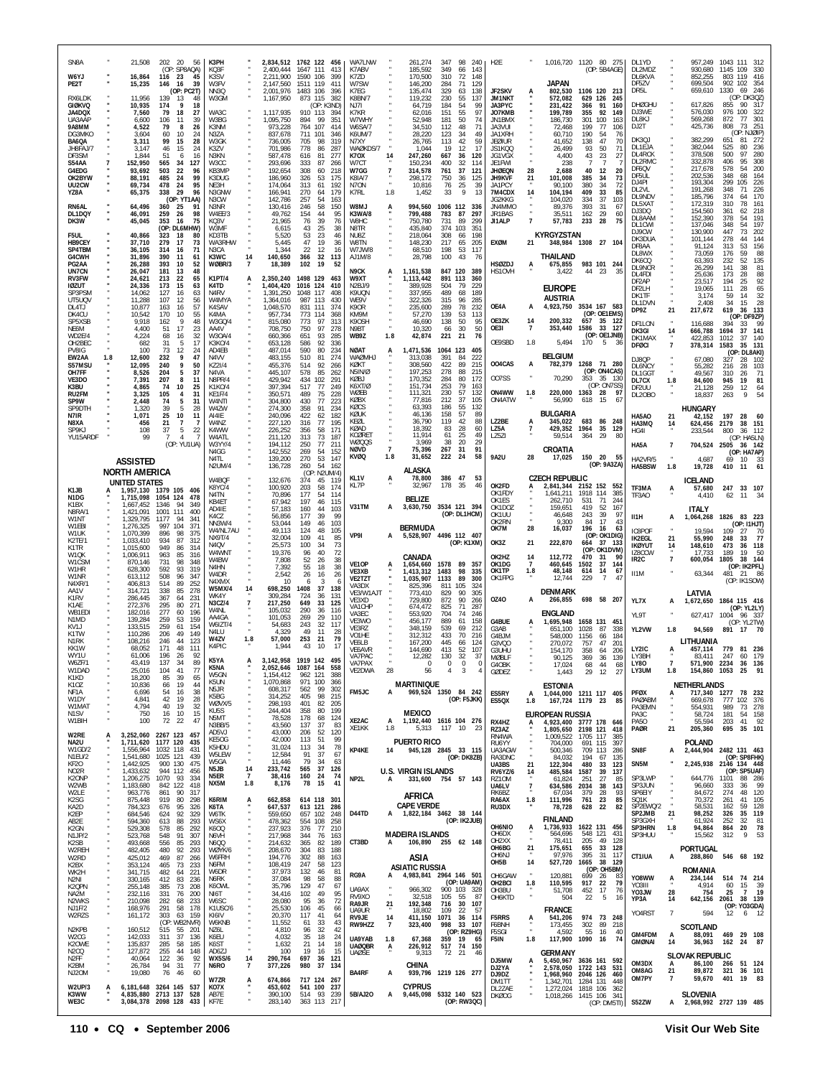| SN <sub>8</sub> A<br>W6YJ                      |     | 21,508<br>16,864                                   | 202 20 56<br>(OP: SP8AQA)<br>116 23<br>45                      | K3PH<br>KQ3F<br>K3SV                 |                             | 2,211,900                           | 2.834.512 1762 122 456<br>2,400,444 1647 111<br>413<br>1590 106<br>399  | WA7LNW<br>K7ABV<br>K7ZD              |                      | 261,274<br>185,592<br>170,500                    | 347<br>349<br>310      | 98<br>240<br>66<br>143<br>72<br>148    | H <sub>2</sub> E                      |                             |                                                                | 1,016,720 1120 80 275<br>(OP: 5B4AGE)         |                            | DL1YD<br>DL2MDZ<br>DL6KVA             |                      | 957,249<br>930,680<br>852,255              | 1145 109<br>803 119  | 1043 111 312<br>330<br>416                                         |
|------------------------------------------------|-----|----------------------------------------------------|----------------------------------------------------------------|--------------------------------------|-----------------------------|-------------------------------------|-------------------------------------------------------------------------|--------------------------------------|----------------------|--------------------------------------------------|------------------------|----------------------------------------|---------------------------------------|-----------------------------|----------------------------------------------------------------|-----------------------------------------------|----------------------------|---------------------------------------|----------------------|--------------------------------------------|----------------------|--------------------------------------------------------------------|
| PE2T<br>RX6LDK                                 |     | 15,235<br>11,956                                   | 146<br>16<br>39<br>(OP: PC2T)<br>139<br>13<br>48               | W3FV<br>NN3Q<br>W3GM                 |                             | 2,147,560<br>2,001,976<br>1,167,950 | 1511 119<br>411<br>1483 106<br>396<br>873 115<br>382                    | W7SW<br>K7EG<br>K8BN/7               |                      | 146,200<br>135,474<br>119,232                    | 284<br>329<br>230      | 129<br>71<br>63<br>138<br>55<br>137    | JF2SKV<br><b>JM1NKT</b>               | A                           | <b>JAPAN</b><br>802,530<br>572,082                             | 1106 120<br>629 126                           | - 213<br>245               | DF5ZV<br>DR <sub>5</sub> L            |                      | 699,504<br>659,610                         | 902<br>1330          | 102<br>354<br>69<br>246<br>(OP: DK3QZ)                             |
| <b>GIØKVQ</b><br><b>JA4DQX</b><br>UA3AAF       |     | 10,935<br>7,560<br>6,600                           | 174<br>9<br>18<br>79<br>18<br>27<br>106<br>11<br>39            | WA3C<br>W3BG                         |                             | 1,117,935<br>1,095,750              | (OP: K3ND)<br>910 113<br>-394<br>894<br>99<br>351                       | NJ7I<br>K7KR<br>W7WHY                |                      | 64,719<br>62.016<br>52,948                       | 184<br>151<br>181      | 54<br>99<br>97<br>55<br>50<br>74       | JA3PYC<br>JO7KMB<br>JN1BMX            |                             | 231,422<br>199,789<br>186,730                                  | 366<br>91<br>92<br>355<br>301<br>100          | 160<br>149<br>163          | <b>DHØGHU</b><br>DJ3WE<br>DL8KJ       |                      | 617,826<br>576,030<br>569,268              | 855<br>976<br>872    | 90<br>317<br>100<br>322<br>301<br>77                               |
| 9A8MM<br>DG3MKO                                |     | 4,522<br>3.604                                     | 79<br>26<br>8<br>60<br>10<br>24                                | K3NM<br>N3ZA                         |                             | 973,228<br>837,678                  | 764<br>107<br>414<br>711<br>101<br>-346                                 | W6SA/7<br>K6UM/7                     |                      | 34,510<br>28,220                                 | 112<br>123             | 48<br>71<br>49<br>34                   | JA3VUI<br>JA1XRH                      |                             | 72,468<br>60,710                                               | 199<br>77<br>190<br>-54                       | 106<br>76                  | DJ2T<br>DK3QJ                         |                      | 425,736<br>382,299                         | 808<br>651           | 73<br>251<br>(OP: NJØIP)<br>81 272                                 |
| BA6QA<br>JH8FAJ/7<br>DF3SM                     |     | 3,311<br>3.147<br>1,844                            | 99<br>15<br>28<br>46<br>15<br>24<br>51<br>6<br>16              | W3GK<br>K3ZV<br>N3KN                 |                             | 736,005<br>701,986<br>587,478       | 705<br>98<br>319<br>778<br>86<br>287<br>616<br>81<br>277                | N7XY<br>WAØKDS/7<br>K7OX             | 14                   | 26,765<br>1.044<br>247,260                       | 113<br>19<br>667       | 42<br>59<br>17<br>12<br>36<br>120      | <b>JEØIUR</b><br>JS1KOO<br>JG1VGX     |                             | 41,652<br>26,499<br>4,400                                      | 138<br>47<br>93<br>50<br>43<br>23             | 70<br>71<br>27             | DL1EJA<br>DL4RCK<br>DL2RMC            |                      | 382,044<br>378,508<br>332,878              | 525<br>500<br>406    | 236<br>80<br>97<br>280<br>95<br>308                                |
| S54AA<br>G4EDG<br>OK2BYW                       |     | 152,950<br>93,692<br>88,191                        | 565<br>34<br>127<br>503<br>22<br>96<br>485<br>24<br>99         | W3CC<br>KB3MP<br>K3DUG               |                             | 293,696<br>192,654<br>186,960       | 333<br>87<br>266<br>308<br>60<br>218<br>326<br>53<br>175                | W7CT<br>W7GG<br><b>K8IA/7</b>        | $\overline{7}$       | 150.234<br>314,578<br>298,172                    | 400<br>761<br>750      | 32<br>114<br>37<br>121<br>125<br>36    | JF1FWI<br><b>JHØEQN</b><br>JH9KVF     | 28<br>21                    | 238<br>2,688<br>101,008                                        | $\overline{7}$<br>-7<br>40<br>12<br>385<br>34 | 20<br>73                   | DF6QV<br>DE5UL                        |                      | 217,678<br>202,536                         | 578<br>348           | 200<br>54<br>68<br>164                                             |
| UU2CW<br>YZ8A                                  |     | 69,734<br>65,375                                   | 478<br>24<br>95<br>29<br>338<br>96<br>(OP: YT1AA)              | NE3H<br>N3GNW<br>N3CW                |                             | 174,064<br>166,941<br>142,786       | 313<br>61<br>192<br>270<br>-64<br>179<br>257<br>54<br>163               | N7ON<br>K7RL                         | 1.8                  | 10,816<br>1,452                                  | 76<br>-33              | 25<br>39<br>9<br>13                    | JA1PCY<br>7M4CDX<br>JG2KKG            | 14                          | 90,100<br>104,194<br>104,020                                   | 380<br>34<br>409<br>33<br>334<br>37           | 72<br>85<br>103            | DJ4PI<br>DI 2VI<br>DL9NDV             |                      | 193,304<br>191,268<br>185,796              | 299<br>348<br>374    | 105<br>226<br>226<br>71<br>170<br>64                               |
| RN6AL<br>DL1DQY<br>DK3W                        |     | 64,496<br>46,091<br>45,045                         | 360<br>-25<br>91<br>259<br>26<br>98<br>353<br>16<br>75         | N3NR<br>W4EE/3<br>KQ3V               |                             | 130,416<br>49,762<br>21,965         | 58<br>150<br>246<br>154<br>44<br>95<br>39<br>76<br>76                   | LM8W<br>K3WA/8<br>W8HC               |                      | 994,560<br>799,488<br>750.780                    | 1006 112<br>783<br>731 | 336<br>87<br>297<br>89<br>299          | JN4MMO<br>JR1BAS<br>JI1ALP            | $\overline{7}$              | 89,376<br>35,511<br>57,783                                     | 393<br>-31<br>162<br>29<br>233<br>28          | 67<br>60<br>75             | DL5XAT<br>DJ3DQ<br>DL8AAM             |                      | 172,319<br>154,560<br>152,390              | 310<br>361<br>378    | 78<br>161<br>218<br>62<br>191<br>54                                |
| F5UL<br>HB9CEY                                 |     | 40,866<br>37,710                                   | (OP: DL6MHW)<br>323<br>18<br>80<br>279<br>17<br>73             | W3MF<br>KD3TB<br><b>WA3RHW</b>       |                             | 6,615<br>5,520<br>5.445             | 43<br>25<br>38<br>53<br>23<br>46<br>47<br>19<br>36                      | N8TR<br>NU8Z<br>W8TN                 |                      | 435,840<br>218,064<br>148,230                    | 374<br>308<br>217      | 103<br>351<br>198<br>66<br>65<br>205   | <b>EXØM</b>                           | 21                          | KYRGYZSTAN                                                     | 348,984 1308 27 104                           |                            | DL1CWI<br>DJ9CW<br>DK3DUA             |                      | 137,046<br>130,900<br>101,144              | 348<br>447<br>278    | 197<br>54<br>73<br>202<br>144<br>44                                |
| SP4TBM<br>G4CWH<br>PG2AA                       |     | 36.105<br>31,896<br>26,288                         | 314<br>71<br>16<br>390<br>-11<br>61<br>393<br>10<br>52         | N3CA<br>K3WC<br>WØBR/3               | 14<br>$\overline{7}$        | 1,344<br>140,650<br>18,389          | 22<br>12<br>16<br>32<br>366<br>113<br>102<br>19<br>52                   | W7JW/8<br>AJ1M/8                     |                      | 68,510<br>28,798                                 | 198<br>100             | 53<br>117<br>43<br>- 76                | HSØZDJ                                |                             | <b>THAILAND</b><br>675,855                                     | 983 101 244                                   |                            | DF8AA<br>DL8WX<br>DK6CQ               |                      | 91,124<br>73,059<br>63,393                 | 313<br>176<br>232    | 156<br>53<br>88<br>59<br>52<br>135                                 |
| UN7CN<br><b>RV3FW</b><br><b>IØZUT</b>          |     | 26,047<br>24,621<br>24,336                         | 181<br>13<br>48<br>213<br>22<br>65<br>173<br>15<br>63          | <b>K1PT/4</b><br>K4TD                | А                           | 2,350,240<br>1,404,420              | 1498 129<br>463<br>1016 124<br>410                                      | N9CK<br>W9XT<br>N2BJ/9               | A                    | 1,161,538<br>1,113,442<br>389,928                | 891<br>504             | 847 120 389<br>113<br>360<br>79<br>229 | HS10VH                                |                             | 3,422                                                          | 44<br>23                                      | 35                         | DL9NCR<br>DL4FDI<br>DF2AP             |                      | 26.299<br>25,636<br>23.517                 | 141<br>173<br>194    | 81<br>38<br>88<br>28<br>92<br>25                                   |
| SP3PSM<br>UT5UQV                               |     | 14,062<br>11,288                                   | 127<br>16<br>63<br>107<br>12<br>56                             | N4RV<br>W4MYA                        |                             | 1,391,250<br>1.364.016              | 1048 117<br>408<br>987 113<br>430                                       | K9UQN<br>WE9V                        |                      | 337,955<br>322.326                               | 489<br>315             | 68<br>189<br>285<br>96                 | OE4A                                  | A                           | <b>EUROPE</b><br><b>AUSTRIA</b><br>4,923,750 3534 167 583      |                                               |                            | DF2LH<br>DK1TF<br>DL1DVN              |                      | 19,065<br>3,174<br>2,408                   | 111<br>59<br>34      | 65<br>28<br>32<br>14<br>28<br>15                                   |
| DL4TJ<br>DK4CU<br>SP5XSB                       |     | 10,877<br>10,542<br>9,918                          | 163<br>16<br>57<br>170<br>55<br>10<br>162<br>48                | K4SAV<br>K4MA<br>W3GQ/4              |                             | 1,048,570<br>957.734<br>815,080     | 831<br>111<br>374<br>773<br>114<br>368<br>773<br>97<br>313              | K9OR<br>KM9M<br>K9OSH                |                      | 235,600<br>57,270<br>46,690                      | 289<br>139<br>138      | 78<br>232<br>53<br>113<br>50<br>95     | OE3ZK                                 | 14                          | 200,332                                                        | (OP: OE1EMS)<br>657                           | 35 122                     | DP9Z<br>DF1LON                        | 21                   | 217,672<br>116,688                         | 619<br>394           | 133<br>36<br>(OP: DF9ZP)<br>33                                     |
| NE6M<br>WD2E/4<br>OH2BEC                       |     | 4,400<br>4,224<br>682                              | 17<br>51<br>23<br>32<br>68<br>16<br>31<br>5<br>17              | AA4V<br>W30A/4<br>K3K0/4             |                             | 708,750<br>660,366<br>653,128       | 97<br>750<br>278<br>651<br>93<br>285<br>586<br>92<br>336                | N9BT<br>WB9Z                         | 1.8                  | 10,320<br>42,874                                 | 66<br>221              | 30<br>50<br>76<br>21                   | OE3I<br>OE9SBD                        | $\overline{7}$<br>1.8       | 353,440<br>5,494                                               | 1586<br>33<br>(OP: OE1JNB)<br>170<br>-5       | 127<br>-36                 | DK3GI<br>DK1MAX<br><b>DFØCI</b>       | 14<br>$\overline{7}$ | 666,788<br>422,853<br>378,314              | 1694<br>1012<br>1583 | 141<br>37<br>37<br>140<br>35 131                                   |
| <b>PV8IG</b><br>EW2AA<br>S57MSU                | 1.8 | 100<br>12,600<br>12.095                            | 73<br>12<br>24<br>232<br>9<br>47<br>240<br>9<br>50             | AD4FB<br>N4VV<br>KZ21/4              |                             | 487,014<br>483,155<br>455,376       | 590<br>80<br>234<br>510<br>81<br>274<br>514<br>92<br>266                | <b>NØAT</b><br><b>UHMØNN</b><br>KØKT | A                    | 1.471.536<br>313,038<br>308,560                  | 1064 123<br>391<br>422 | 405<br>222<br>84<br>89<br>215          | 004CAS                                | A                           | <b>BELGIUM</b><br>782,379                                      | 1268 71 280                                   |                            | DJ8QP<br>DL6NCY                       |                      | 67,080<br>55,282                           | 327<br>216           | (OP: DL8AKI)<br>28<br>102<br>28<br>103                             |
| OH7FF<br>VF3DO<br>K3BU                         |     | 8,526<br>7.391<br>4,865                            | 204<br>5<br>37<br>207<br>8<br>11<br>10<br>74<br>25             | N4VA<br>N8PR/4<br>K1K0/4             |                             | 445,107<br>429.942<br>397,394       | 578<br>85<br>262<br>434<br>102<br>291<br>517<br>77<br>249               | N5IN/Ø<br>KØBJ<br>K6XT/Ø             |                      | 197,253<br>170,352<br>151,734                    | 278<br>284<br>253      | 88<br>215<br>80<br>172<br>79<br>163    | 007SS                                 |                             | 70,290                                                         | (OP: ON4CAS)<br>353<br>(OP: ON7SS)            | 35 130                     | DL1GGT<br>DL7CX<br>DF <sub>2</sub> UU | 1.8                  | 49.567<br>84,600<br>21.128                 | 310<br>945<br>259    | 71<br>-26<br>19<br>81<br>12<br>64                                  |
| RU2FM<br>SP9W<br>SP9DTH                        |     | 3,325<br>2,448<br>1.320                            | 105<br>$\overline{4}$<br>31<br>74<br>5<br>31<br>39<br>-5<br>28 | KF1F/4<br>W4NTI<br>W4ZW              |                             | 350,571<br>304,800<br>274,300       | 489<br>75<br>228<br>430<br>77<br>223<br>358<br>91<br>234                | WØEB<br>KØBX<br>KØCS                 |                      | 111,321<br>77.816<br>63,393                      | 230<br>212<br>186      | 57<br>132<br>37<br>105<br>55<br>132    | ON4WW<br>ON4ATW                       | 1.8                         | 220,000 1363<br>56,990                                         | 28<br>618<br>-15                              | 97<br>6                    | DL20B0                                |                      | 18,837<br><b>HUNGARY</b>                   | 263                  | 9<br>54                                                            |
| N7IR<br>N8XA                                   |     | 1,071<br>456                                       | 25<br>10<br>11<br>21<br>7<br>7                                 | AI4IE<br>W4NZ                        |                             | 240,096<br>227,120                  | 422<br>62<br>182<br>316<br>77<br>195<br>171                             | KØUK<br>KEØL<br>KØAD                 |                      | 46,136<br>36,790<br>18,392                       | 158<br>119<br>83       | 57<br>89<br>42<br>88<br>28<br>60       | LZ2BE<br>LZ5A                         | A<br>7                      | <b>BULGARIA</b><br>345,022<br>429,352                          | 683<br>86<br>1964<br>35                       | 248<br>129                 | HA5AO<br>HA3MQ                        | 21<br>14             | 42,152<br>624,456                          | 197<br>2179          | 28<br>60<br>38 151                                                 |
| SP9KJ<br>YU15ARDF                              |     | 108<br>99                                          | 37<br>5<br>22<br>$\overline{7}$<br>4<br>-7<br>(OP: YU1UA)      | K4WW<br>W4ATL<br>W3YY/4              |                             | 226,252<br>211,120<br>194,112       | 356<br>58<br>313<br>73<br>187<br>77<br>250<br>211                       | KCØRET<br>WØQQS<br>NØVD              | $\overline{7}$       | 11,914<br>3,969<br>75,396                        | 61<br>38<br>267        | 25<br>49<br>20<br>29<br>31<br>91       | LZ5ZI                                 |                             | 59,514<br>CROATIA                                              | 364<br>29                                     | 80                         | HG4I<br>HA5A                          | $\overline{7}$       | 233,544                                    | 800                  | 36 112<br>(OP: HA5LN)<br>704,524 2505 36 142                       |
|                                                |     | <b>ASSISTED</b>                                    |                                                                | N4GG<br>N4TI<br>N2UM/4               |                             | 142,552<br>139,200<br>136,728       | 269<br>54<br>152<br>270<br>53<br>147<br>260<br>54<br>162                | KVØQ                                 | 1.8                  | 31,652<br>ALASKA                                 | 222                    | 24<br>58                               | <b>9A2U</b>                           | 28                          | 17,025                                                         | 150 20<br>(OP: 9A3ZA)                         | - 55                       | HA2VR/5<br>HA5BSW                     | 1.8                  | 4,687<br>19,728                            | 69<br>410            | (OP: HA7AP)<br>10<br>$\begin{array}{c} 33 \\ 61 \end{array}$<br>11 |
| K1JB                                           |     | <b>NORTH AMERICA</b><br>UNITED STATES<br>1,957,130 | 1379 105<br>406                                                | W4BQF<br>K8YC/4                      |                             | 132,676<br>100.920                  | (OP: N2UM/4)<br>374<br>45<br>119<br>203<br>58<br>174                    | KL1V<br>KL7P                         | А                    | 78,800<br>32,967                                 | 386 47<br>178          | 53<br>35<br>46                         | OK2FD                                 |                             | <b>CZECH REPUBLIC</b><br>2,841,344                             | 2152 152                                      | 552                        | TF3MA                                 | A                    | ICELAND<br>57,680                          | 247                  | 33 107                                                             |
| N1DG<br>K1BX<br>N8RA/1                         |     | 1,715,098<br>1,667,452<br>1,421,091                | 1054 124<br>478<br>1346<br>94<br>349<br>1001<br>111<br>400     | N4TN<br>KB4ET<br>AD4IE               |                             | 70,896<br>67,942<br>57,183          | 177<br>54<br>114<br>197<br>46<br>115<br>160<br>44<br>103                | V31TM                                | A                    | <b>BELIZE</b><br>3,630,750                       |                        | 3534 121 394                           | OK1FDY<br>OK1ES<br>OK1DOZ             |                             | 1,641,211<br>262,710<br>159,651                                | 1918<br>114<br>71<br>531<br>419<br>52         | 385<br>244<br>167          | TF3AO                                 |                      | 4,410<br><b>ITALY</b>                      | 62                   | 11 34                                                              |
| W1NT<br>W1FBI<br>W1UK                          |     | 1,329,795<br>1,276,325<br>1,070,399                | 1177<br>94<br>341<br>997<br>104<br>371<br>896<br>98<br>375     | K4CZ<br>NN3W/4<br>W4/NL7AU           |                             | 56,856<br>53,044<br>49.113          | 39<br>99<br>177<br>149<br>46<br>103<br>124<br>48<br>105                 |                                      |                      | <b>BERMUDA</b>                                   |                        | (OP: DL1HCM)                           | OK1UU<br>OK2RN<br>OK7M                | 28                          | 46,648<br>9,300<br>16,037                                      | 243<br>39<br>84<br>17<br>196<br>-16           | 97<br>43<br>63             | II1H<br>IC8POF                        | A                    | 1,064,268<br>19,594                        | 109                  | 1826 83 223<br>(OP: I1HJT)<br>27<br>70                             |
| K2TE/1<br>K1TR                                 |     | 1,033,410<br>1,015,600                             | 934<br>87<br>312<br>949<br>86<br>314                           | NX9T/4<br>N <sub>4</sub> OV<br>W4WNT |                             | 32,004<br>25,573<br>19,376          | 109<br>41<br>85<br>100<br>34<br>73<br>96<br>40<br>72                    | VP9I                                 | A                    | 5,528,907 4496 112 407                           |                        | (OP: K1XM)                             | OK3Z                                  | 21                          | 222,870                                                        | (OP: OK1DIG)<br>664<br>-37<br>(OP: OK1DVM)    | - 133                      | IK2EGL<br>IKØYUT<br>IZ8CCW            | 21<br>14             | 55.990<br>148,610<br>17,733                | 248<br>473<br>189    | 77<br>33<br>118<br>36<br>19<br>50                                  |
| W1QK<br>W1CSM<br>W1HR                          |     | 1,006,911<br>870,146<br>628,300                    | 963<br>85<br>316<br>731<br>98<br>348<br>592<br>93<br>319       | W4BW<br>N4HN<br>W4DR                 |                             | 7,808<br>7,392<br>2,542             | 52<br>26<br>38<br>55<br>18<br>38<br>26<br>16<br>26                      | VE1OP<br>VE3XB                       | A                    | CANADA<br>1,654,660<br>1,413,312                 | 1578<br>1483           | 89<br>357<br>98<br>335                 | OK2HZ<br>OK1DG<br>OK1TP               | 14<br>$\overline{7}$<br>1.8 | 112.772<br>460,645<br>48,148                                   | 470<br>-31<br>1502<br>37<br>614<br>14         | 90<br>144<br>67            | IR <sub>2</sub> C<br>II1M             | $\overline{7}$       | 600,054<br>63,344                          | 1805<br>481 21       | 38 144<br>(OP: IK2PFL)<br>86                                       |
| W1NR<br>N4XR/1<br>AA1V                         |     | 613,112<br>406,813<br>314,721                      | 508<br>96<br>347<br>514<br>89<br>252<br>338<br>85<br>278       | N4XMX<br><b>W5MX/4</b><br>WK4Y       | 14                          | 10<br>698,250                       | 6<br>3<br>37<br>1408<br>138<br>724                                      | VE2TZT<br>VA3DX<br>VE3/W1AJT         |                      | 1,035,907<br>825,396<br>773,410                  | 1133<br>811<br>829     | 89<br>300<br>105<br>324<br>90<br>305   | OK1FPG                                |                             | 12,744<br><b>DENMARK</b>                                       | 229<br>$\overline{7}$                         | $\overline{4}$             |                                       |                      | LATVIA                                     |                      | (OP: IK1SOW)                                                       |
| K <sub>1</sub> RV<br>K1AE<br>WB1EDI            |     | 286,445<br>272,376<br>182.016                      | 367<br>64<br>231<br>295<br>80<br>271<br>277<br>60<br>196       | N3CZ/4<br>W4NI                       | $\overline{7}$              | 309,284<br>217,250<br>105,032       | 131<br>-36<br>649<br>33<br>125<br>290<br>-36<br>116                     | VE3XD<br><b>VA1CHP</b><br>VA3FC      |                      | 729.800<br>674,472<br>553.920                    | 872<br>825<br>704      | 90<br>266<br>71<br>287<br>246<br>74    | 0Z40                                  | A                           | 266,855<br><b>ENGLAND</b>                                      | 698 58 207                                    |                            | YL7X<br>YL9T                          | A                    | 1,672,650<br>627,417                       | 1004                 | 1864 115 416<br>(OP: YL2LY)<br>96 337                              |
| N1MD<br>KV1J<br>K1TW                           |     | 139,284<br>133,515<br>110,286                      | 259<br>53<br>159<br>259<br>154<br>61<br>206<br>49<br>149       | AA4GA<br>W6IZT/4<br>N4LU             |                             | 101,053<br>54,683<br>4,329          | 269<br>29<br>110<br>32<br>243<br>117<br>49<br>11<br>28                  | VE3WO<br>VF3R7<br>VO1HE              |                      | 456,177<br>348,159<br>312,312                    | 889<br>539<br>433      | 61<br>158<br>69<br>212<br>70<br>216    | G4BUE<br>G3AB<br>G4BJM                | A                           | 1,695,948<br>651.100<br>548,000                                | 1658 131 451<br>1028<br>87<br>1156<br>66      | 338<br>184                 | YL2VW                                 | 1.8                  | 94,569                                     |                      | (OP: YL2TW)<br>891 17 70                                           |
| N1RK<br>KK1W<br>WY1U                           |     | 108.216<br>68.052<br>61.006                        | 246<br>44<br>123<br>171<br>48<br>111<br>196<br>26<br>92        | W4ZV<br>K4PIC                        | 1.8                         | 57,000<br>1,944                     | 253<br>21<br>79<br>43<br>10<br>17                                       | VE6LB<br>VE6AVR<br>VA7PAC            |                      | 167,200<br>144,690<br>12.282                     | 445<br>413<br>130      | 66<br>124<br>52<br>107<br>32<br>-37    | G3VQO<br>G3UHU<br><b>MØBLF</b>        |                             | 270,072<br>154,170<br>90,125                                   | 757<br>47<br>358<br>64<br>369<br>36           | 201<br>206<br>139          | LY2IC<br>LY3BH                        |                      | LITHUANIA<br>457,114<br>83.411             | 247                  | 779 81 236<br>60<br>179                                            |
| W6ZF/1<br>W1DAD<br>K1KD                        |     | 43.419<br>25,016<br>18,200                         | 137<br>-34<br>8<br>104<br>41<br>77<br>85<br>39<br>65           | K5YA<br>K5NA<br>W5GN                 |                             | 1,154,412                           | A 3.142.958 1919 142 495<br>2,052,646 1087 164<br>558<br>962 121<br>388 | VA7PAX<br>VE2DWA                     | 28                   | $\overline{0}$<br>56                             | 0<br>4                 | 0<br>3<br>4                            | G4OBK<br><b>GØDEZ</b>                 |                             | 17,024<br>1,443                                                | 68<br>44<br>29<br>12                          | 68<br>27                   | LY80<br>LY3UM                         | 1.8                  | 571.900 2234 36 136<br>154,860 1053 25     |                      | 91                                                                 |
| K <sub>1</sub> OZ<br>NF1A<br>W1DY              |     | 10,836<br>6,696<br>4,841                           | 66<br>19<br>44<br>54<br>16<br>38<br>42<br>19<br>28             | K5UN<br>N5JR<br>K5BG                 |                             | 1,070,868<br>608,317<br>314,252     | 971 100<br>366<br>562<br>99<br>302<br>405<br>98<br>215                  | FM5JC                                | А                    | <b>MARTINIQUE</b><br>969,524 1350 84 242         |                        | (OP: F5JKK)                            | ES5RY                                 | A<br>1.8                    | <b>ESTONIA</b><br>1,044,000 1211 117 405                       |                                               | 85                         | PFØX<br>PAØABM                        |                      | NETHERLANDS<br>717,340 1277<br>669,678     | 777                  | 78 232<br>102 376                                                  |
| W1MAT<br>N1SV<br>W1BIH                         |     | 4,794<br>750<br>100                                | 40<br>19<br>32<br>16<br>10<br>15<br>72 22<br>47                | WØVX/5<br>KU5S<br>N5MT               |                             | 298,193<br>244,404<br>78,528        | 401<br>82<br>205<br>358<br>80<br>199<br>178<br>68<br>124                | XE2AC                                | A                    | <b>MEXICO</b><br>1,192,440 1616 104 276          |                        |                                        | ES50X<br>RX4HZ                        |                             | <b>EUROPEAN RUSSIA</b>                                         | 167,724 1179 23                               |                            | PA3EMN<br>PA3C<br><b>PA50</b>         | $\epsilon$           | 554,931<br>58,724<br>55,594                | 989<br>181<br>203    | 73<br>278<br>54 158<br>41 92                                       |
| W2RE<br>NA2U                                   |     | 3,252,060 2267 123<br>1,711,620 1177 120           | 457<br>435                                                     | N3BB/5<br>AD5VJ<br>KE5OG             |                             | 43,560<br>43,000<br>42,000          | 137<br>37<br>83<br>52<br>206<br>120<br>113<br>51<br>99                  | XE1KK                                | 1.8                  | <b>PUERTO RICO</b>                               | 5,313 117 10           | - 23                                   | RZ3AZ<br>RN4WA                        | A                           | 4,923,400 3777 178 646<br>1,805,650 2198 121                   | 1,009,522 1705 117                            | 418<br>385                 | PAØR                                  | 21                   | 205,360<br><b>POLAND</b>                   | 695                  | 35 101                                                             |
| W1GD/2<br>N1EU/2                               |     | 1,556,964<br>1,541,680                             | 1032 118<br>431<br>1025 121<br>439<br>900 130                  | K5HDU<br>W5LEW<br>W5GA               |                             | 31,024<br>12,584<br>11,446          | 113<br>34<br>78<br>37<br>91<br>67<br>79<br>-34<br>63                    | KP4KE                                | 14                   | 945,128 2845 33 115                              |                        | (OP: DK8ZB)                            | RU6YY<br>UA3AGW<br>RA3DNC             |                             | 704,000<br>500,346<br>84,032                                   | 691<br>115<br>709 113<br>194<br>67            | 397<br>286<br>135          | SN8F                                  | А                    | 2,444,904 2482 131 463                     |                      | (OP: SP8FHK)                                                       |
| KF20<br>NO2R<br>K2ONP                          |     | 1,442,925<br>1,433,632<br>1,206,275 1070           | 475<br>944 112<br>456<br>93<br>334                             | N5JB<br>N5ER<br>NX5M                 | 14<br>$\overline{7}$<br>1.8 | 233,742<br>38,416<br>8,176          | 565<br>37<br>126<br>160<br>24<br>74<br>78<br>15<br>41                   | NP2L                                 | A                    | <b>U.S. VIRGIN ISLANDS</b><br>331.600 754 57 143 |                        |                                        | UA3BS<br><b>RV6YZ/6</b><br>RZ10M      | 21<br>14                    | 122,304<br>485,584<br>61,824                                   | 480<br>33<br>1587<br>39<br>251<br>27          | 123<br>137<br>85           | SN5M<br>SP3LWP                        |                      | 2,245,938<br>644,776                       | 1101                 | 2146 134 448<br>(OP: SP5UAF)<br>88 286                             |
| W2WB<br>W2LE<br>K2SG                           |     | 1,183,680<br>963,776<br>875,448                    | 842 122<br>418<br>861<br>90<br>317<br>919<br>80<br>298         | K6RIM                                | A                           | 662,858                             | 614 118 301                                                             |                                      |                      | AFRICA                                           |                        |                                        | UA6LV<br>RK6BZ<br>RA6AX               | $\overline{7}$<br>1.8       | 634,586 2034<br>67,034<br>111,996                              | 38<br>379<br>28<br>761<br>23                  | 143<br>93<br>85            | SP3JUN<br>SP6EIY<br>SQ1K              |                      | 96,660<br>84,672<br>70,372                 | 333<br>274<br>261    | - 99<br>-36<br>48<br>120<br>41 105                                 |
| KA2D<br>K2EP<br>AB2E                           |     | 784,323<br>684,546<br>594,360                      | 676<br>95<br>326<br>92<br>624<br>329<br>613<br>88<br>293       | K6TA<br>W6TK<br>WS6X                 |                             | 647,537<br>559,650<br>478,362       | 613 121<br>286<br>657 102<br>248<br>554 108<br>258                      | D44TD                                |                      | <b>CAPE VERDE</b><br>A 1,822,184 3462 38 144     |                        | (OP: IK2JUB)                           | RU3DX                                 |                             | 78,728<br><b>FINLAND</b>                                       | 628<br>22                                     | 82                         | SP2EWQ/2<br>SP2JMB<br>SP3GXH          | $^{21}$              | 58,531<br>98,252<br>61,924                 | 162<br>326<br>252    | 59<br>128<br>35 119<br>32<br>81                                    |
| K2GN<br>N1JP/2<br>K <sub>2</sub> SB            |     | 529,308<br>523,768<br>493,668                      | 578<br>85<br>292<br>548<br>91<br>307<br>556<br>85<br>293       | K6OQ<br>N6VH<br>N6QQ                 |                             | 237,923<br>217,968<br>214,632       | 376<br>77<br>210<br>344<br>76<br>163<br>365<br>189<br>82                | CT3BD                                | A                    | <b>MADEIRA ISLANDS</b><br>106,890 255 62 148     |                        |                                        | OH6NIO<br>OH6DX<br>OH <sub>2</sub> XX | A                           | 1,736,933 1622 131 456<br>564,696<br>78,411                    | 548 121<br>205<br>49                          | 431<br>128                 | SP3HRN<br>SP3HUU                      | 1.8                  | 94,864<br>15,562                           | 864<br>312           | 20<br>78<br>9<br>53                                                |
| W2REH<br>W2RD<br>K2BX                          |     | 482,405<br>425,012<br>353,124                      | 480<br>92<br>293<br>469<br>87<br>266<br>465<br>73<br>233       | WØYK/6<br>W6FRH<br>N6FM              |                             | 208,670<br>194,776<br>108,419       | 304<br>83<br>188<br>302<br>88<br>163<br>247<br>58<br>123                |                                      |                      | ASIA                                             |                        |                                        | OH6BG<br>OH6NJ<br>OH5B                | 21<br>14                    | 175,651<br>97,976<br>527,720                                   | 655<br>395<br>1665                            | 33 128<br>31 117<br>38 129 | CT1IUA                                | А                    | PORTUGAL<br>288,860                        |                      | 546 68 192                                                         |
| WK2H<br>N2NI<br>K2QPN                          |     | 341,715<br>330,165<br>255,148                      | 482<br>64<br>221<br>412<br>83<br>236<br>385<br>73<br>208       | W6DR<br>N6RK<br>K6OWL                |                             | 37,973<br>37,084<br>35,796          | 132<br>46<br>81<br>98<br>88<br>58<br>129<br>47<br>67                    | RG9A                                 | А                    | <b>ASIATIC RUSSIA</b><br>4,983,841 2964 146 501  |                        | (OP: UA9AM)                            | OH6GAW<br>OH2BCI                      | 1.8                         | 120,881<br>110,595                                             | (OP: OH5BM)<br>699<br>26<br>917<br>22         | -83<br>79                  | Y08WW<br>YO3III                       | Á                    | <b>ROMANIA</b><br>234,144<br>4,914         | 514<br>60            | 74 214<br>15<br>39                                                 |
| NA2M<br>N2WKS<br>NJ1F/2                        |     | 232,116<br>210,098<br>168,976                      | 76<br>331<br>200<br>282<br>68<br>233<br>291<br>58<br>178       | NI6T<br>W6SC<br>K1USC/6              |                             | 34,416<br>28,080<br>25,530          | 102<br>49<br>95<br>95<br>36<br>72<br>106<br>45<br>66                    | UA9AX<br>RV9XO<br>RA9JR              | 21                   | 966,302<br>32,518<br>192,348                     | 105                    | 900 103 328<br>55<br>87<br>716 30 107  | OH3BU<br>OH6KTD                       |                             | 51,708<br>504                                                  | 452<br>17<br>22<br>5                          | 76<br>16                   | Y03JW<br>YP3A                         | 28<br>14             | 754<br>642,156                             | 25<br>2061           | $\overline{7}$<br>- 19<br>38 139<br>(OP: YO3GDA)                   |
| W2RZS<br>N <sub>2</sub> KPB                    |     | 161,172<br>160,512                                 | 303<br>63<br>159<br>(OP: WB2NVR)<br>515<br>55<br>201           | KI6IV<br>W6KNB<br>NZ6L               |                             | 20,370<br>11,552<br>4,810           | 117<br>41<br>64<br>33<br>61<br>43<br>32<br>96<br>42                     | UA9UR<br>RV9JE<br>RW9HZZ             | 14<br>$\overline{7}$ | 18,802<br>411,150<br>323,400                     | 109<br>1071<br>998     | 22<br>57<br>36 114<br>33 107           | <b>F5RRS</b><br>F6BNH                 | Ā.                          | <b>FRANCE</b><br>541,206<br>173,455                            | 974 73 248<br>302<br>89                       | 218                        | Y04RST                                | $\overline{7}$       | 594<br><b>SCOTLAND</b>                     | 12                   | 6 12                                                               |
| W2CG<br>K20WE                                  |     | 142,033<br>135,837                                 | 37<br>311<br>136<br>285<br>58<br>185                           | K6EU<br>K6ST                         |                             | 4,032<br>1,632                      | 18<br>35<br>24<br>21<br>14<br>18<br>19                                  | UA9YAB<br><b>UAØQBR</b>              | 1.8<br>$\mathbf{A}$  | 67,368<br>226,912                                | 359                    | (OP: RZ9HG)<br>19<br>65<br>517 74 150  | F5SGI<br>F5IN                         | 1.8                         | 4,592<br>117,900                                               | 55<br>16<br>1090<br>16                        | 40<br>74                   | GM4FDM<br><b>GMØNAI</b>               | А<br>14              | 88,091<br>36,963                           | 162                  | 469 29 108<br>24 87                                                |
| N <sub>2</sub> CQ<br>N <sub>2</sub> FF<br>K2BM |     | 127,872<br>40,064<br>26,784                        | 255<br>44<br>148<br>122<br>36<br>92<br>94<br>31<br>77          | AD6ZJ<br><b>WX5S/6</b><br>N6RO       | 14<br>$\overline{7}$        | 100<br>290,764<br>377,226           | 16<br>15<br>697<br>36 121<br>980 37 134                                 | UAØSE                                |                      | 9,313<br>CHINA                                   | 72 21                  | 46                                     | DJ5MW<br>DJ2YA                        | $\ddot{A}$                  | <b>GERMANY</b><br>5,450,967 3636 161 592<br>2,578,050 1722 143 |                                               | 531                        | OM3DX<br>OM8AG                        | А<br>21              | <b>SLOVAK REPUBLIC</b><br>86,100<br>89,872 | 266<br>321           | 51 124<br>36 101                                                   |
| NJ20M<br><b>W2UP/3</b>                         |     | 19,080                                             | 76<br>46<br>60<br>6,181,648 3264 145 537                       | W7ZR<br>KO7X                         | А                           | 674,866<br>453,602                  | 717 124 267<br>541 100<br>237                                           | BA4RF                                | A                    | 939,796 1219 126 277<br><b>CYPRUS</b>            |                        |                                        | DJ9DZ<br>DM1TT<br>DL2ZAE              |                             | 1,968,960 2046 126<br>1,342,701<br>1,272,024                   | 1284 131<br>1818 106                          | 460<br>448<br>362          | OM7PY                                 | $\overline{7}$       | 59,670                                     | 401                  | 19<br>83                                                           |
| K3WW<br>WE3C                                   |     |                                                    | 4,835,880 2713 137<br>528<br>3,084,378 2098 128 433            | AB7E<br>KF7E                         |                             | 390,100<br>283,140                  | 514 93<br>239<br>363 113 217                                            | 5B/AJ20                              | А                    | 9,445,098 5332 140 523                           |                        | (OP: RW3QC)                            | <b>DKØOG</b>                          |                             | 1,018,266                                                      | 1415 106<br>(OP: DM5TI)                       | 341                        | S52ZW                                 | А                    | SLOVENIA<br>2,968,992 2727 139 485         |                      |                                                                    |